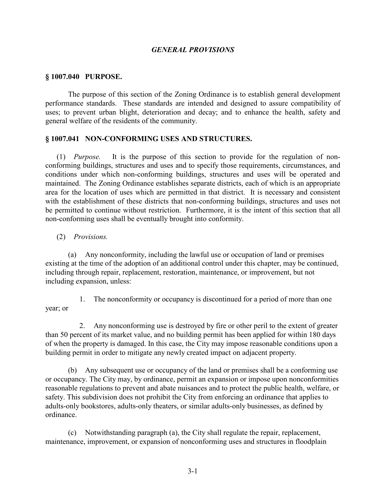#### *GENERAL PROVISIONS*

#### **§ 1007.040 PURPOSE.**

The purpose of this section of the Zoning Ordinance is to establish general development performance standards. These standards are intended and designed to assure compatibility of uses; to prevent urban blight, deterioration and decay; and to enhance the health, safety and general welfare of the residents of the community.

#### **§ 1007.041 NON-CONFORMING USES AND STRUCTURES.**

(1) *Purpose.* It is the purpose of this section to provide for the regulation of nonconforming buildings, structures and uses and to specify those requirements, circumstances, and conditions under which non-conforming buildings, structures and uses will be operated and maintained. The Zoning Ordinance establishes separate districts, each of which is an appropriate area for the location of uses which are permitted in that district. It is necessary and consistent with the establishment of these districts that non-conforming buildings, structures and uses not be permitted to continue without restriction. Furthermore, it is the intent of this section that all non-conforming uses shall be eventually brought into conformity.

(2) *Provisions.*

(a) Any nonconformity, including the lawful use or occupation of land or premises existing at the time of the adoption of an additional control under this chapter, may be continued, including through repair, replacement, restoration, maintenance, or improvement, but not including expansion, unless:

1. The nonconformity or occupancy is discontinued for a period of more than one year; or

2. Any nonconforming use is destroyed by fire or other peril to the extent of greater than 50 percent of its market value, and no building permit has been applied for within 180 days of when the property is damaged. In this case, the City may impose reasonable conditions upon a building permit in order to mitigate any newly created impact on adjacent property.

(b) Any subsequent use or occupancy of the land or premises shall be a conforming use or occupancy. The City may, by ordinance, permit an expansion or impose upon nonconformities reasonable regulations to prevent and abate nuisances and to protect the public health, welfare, or safety. This subdivision does not prohibit the City from enforcing an ordinance that applies to adults-only bookstores, adults-only theaters, or similar adults-only businesses, as defined by ordinance.

(c) Notwithstanding paragraph (a), the City shall regulate the repair, replacement, maintenance, improvement, or expansion of nonconforming uses and structures in floodplain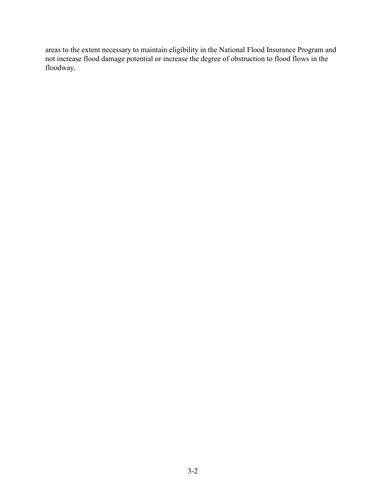areas to the extent necessary to maintain eligibility in the National Flood Insurance Program and not increase flood damage potential or increase the degree of obstruction to flood flows in the floodway.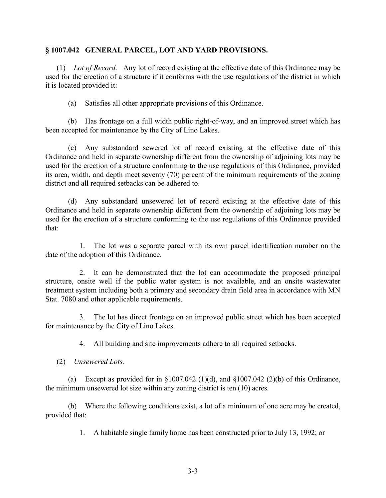#### **§ 1007.042 GENERAL PARCEL, LOT AND YARD PROVISIONS.**

(1) *Lot of Record.*Any lot of record existing at the effective date of this Ordinance may be used for the erection of a structure if it conforms with the use regulations of the district in which it is located provided it:

(a) Satisfies all other appropriate provisions of this Ordinance.

(b) Has frontage on a full width public right-of-way, and an improved street which has been accepted for maintenance by the City of Lino Lakes.

(c) Any substandard sewered lot of record existing at the effective date of this Ordinance and held in separate ownership different from the ownership of adjoining lots may be used for the erection of a structure conforming to the use regulations of this Ordinance, provided its area, width, and depth meet seventy (70) percent of the minimum requirements of the zoning district and all required setbacks can be adhered to.

(d) Any substandard unsewered lot of record existing at the effective date of this Ordinance and held in separate ownership different from the ownership of adjoining lots may be used for the erection of a structure conforming to the use regulations of this Ordinance provided that:

1. The lot was a separate parcel with its own parcel identification number on the date of the adoption of this Ordinance.

2. It can be demonstrated that the lot can accommodate the proposed principal structure, onsite well if the public water system is not available, and an onsite wastewater treatment system including both a primary and secondary drain field area in accordance with MN Stat. 7080 and other applicable requirements.

3. The lot has direct frontage on an improved public street which has been accepted for maintenance by the City of Lino Lakes.

4. All building and site improvements adhere to all required setbacks.

(2) *Unsewered Lots.*

(a) Except as provided for in  $\S 1007.042$  (1)(d), and  $\S 1007.042$  (2)(b) of this Ordinance, the minimum unsewered lot size within any zoning district is ten (10) acres.

(b) Where the following conditions exist, a lot of a minimum of one acre may be created, provided that:

1. A habitable single family home has been constructed prior to July 13, 1992; or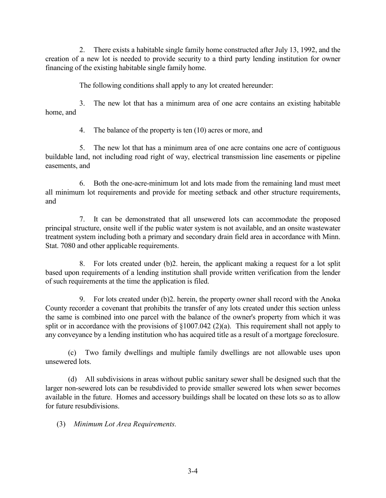2. There exists a habitable single family home constructed after July 13, 1992, and the creation of a new lot is needed to provide security to a third party lending institution for owner financing of the existing habitable single family home.

The following conditions shall apply to any lot created hereunder:

3. The new lot that has a minimum area of one acre contains an existing habitable home, and

4. The balance of the property is ten (10) acres or more, and

5. The new lot that has a minimum area of one acre contains one acre of contiguous buildable land, not including road right of way, electrical transmission line easements or pipeline easements, and

6. Both the one-acre-minimum lot and lots made from the remaining land must meet all minimum lot requirements and provide for meeting setback and other structure requirements, and

7. It can be demonstrated that all unsewered lots can accommodate the proposed principal structure, onsite well if the public water system is not available, and an onsite wastewater treatment system including both a primary and secondary drain field area in accordance with Minn. Stat. 7080 and other applicable requirements.

8. For lots created under (b)2. herein, the applicant making a request for a lot split based upon requirements of a lending institution shall provide written verification from the lender of such requirements at the time the application is filed.

9. For lots created under (b)2. herein, the property owner shall record with the Anoka County recorder a covenant that prohibits the transfer of any lots created under this section unless the same is combined into one parcel with the balance of the owner's property from which it was split or in accordance with the provisions of  $\S 1007.042$  (2)(a). This requirement shall not apply to any conveyance by a lending institution who has acquired title as a result of a mortgage foreclosure.

(c) Two family dwellings and multiple family dwellings are not allowable uses upon unsewered lots.

(d) All subdivisions in areas without public sanitary sewer shall be designed such that the larger non-sewered lots can be resubdivided to provide smaller sewered lots when sewer becomes available in the future. Homes and accessory buildings shall be located on these lots so as to allow for future resubdivisions.

(3) *Minimum Lot Area Requirements.*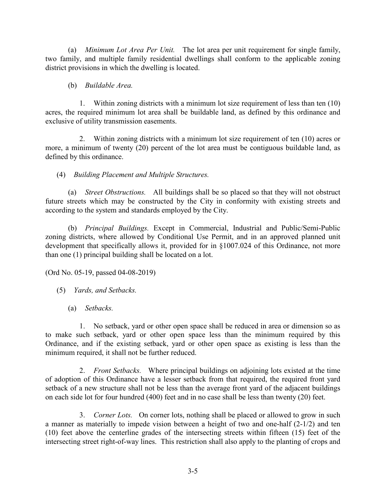(a) *Minimum Lot Area Per Unit.* The lot area per unit requirement for single family, two family, and multiple family residential dwellings shall conform to the applicable zoning district provisions in which the dwelling is located.

### (b) *Buildable Area.*

1. Within zoning districts with a minimum lot size requirement of less than ten (10) acres, the required minimum lot area shall be buildable land, as defined by this ordinance and exclusive of utility transmission easements.

2. Within zoning districts with a minimum lot size requirement of ten (10) acres or more, a minimum of twenty (20) percent of the lot area must be contiguous buildable land, as defined by this ordinance.

### (4) *Building Placement and Multiple Structures.*

(a) *Street Obstructions.* All buildings shall be so placed so that they will not obstruct future streets which may be constructed by the City in conformity with existing streets and according to the system and standards employed by the City.

(b) *Principal Buildings.* Except in Commercial, Industrial and Public/Semi-Public zoning districts, where allowed by Conditional Use Permit, and in an approved planned unit development that specifically allows it, provided for in §1007.024 of this Ordinance, not more than one (1) principal building shall be located on a lot.

(Ord No. 05-19, passed 04-08-2019)

(5) *Yards, and Setbacks.*

(a) *Setbacks.*

1. No setback, yard or other open space shall be reduced in area or dimension so as to make such setback, yard or other open space less than the minimum required by this Ordinance, and if the existing setback, yard or other open space as existing is less than the minimum required, it shall not be further reduced.

2. *Front Setbacks.* Where principal buildings on adjoining lots existed at the time of adoption of this Ordinance have a lesser setback from that required, the required front yard setback of a new structure shall not be less than the average front yard of the adjacent buildings on each side lot for four hundred (400) feet and in no case shall be less than twenty (20) feet.

3. *Corner Lots.* On corner lots, nothing shall be placed or allowed to grow in such a manner as materially to impede vision between a height of two and one-half (2-1/2) and ten (10) feet above the centerline grades of the intersecting streets within fifteen (15) feet of the intersecting street right-of-way lines. This restriction shall also apply to the planting of crops and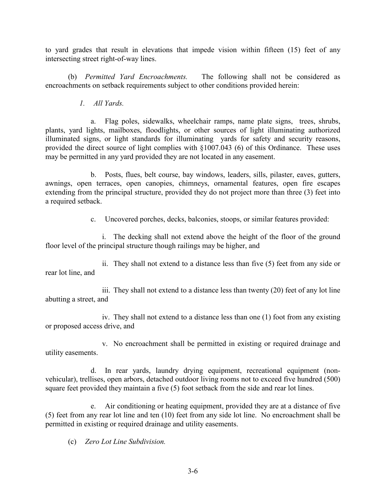to yard grades that result in elevations that impede vision within fifteen (15) feet of any intersecting street right-of-way lines.

(b) *Permitted Yard Encroachments.* The following shall not be considered as encroachments on setback requirements subject to other conditions provided herein:

*1. All Yards.* 

a. Flag poles, sidewalks, wheelchair ramps, name plate signs, trees, shrubs, plants, yard lights, mailboxes, floodlights, or other sources of light illuminating authorized illuminated signs, or light standards for illuminating yards for safety and security reasons, provided the direct source of light complies with §1007.043 (6) of this Ordinance. These uses may be permitted in any yard provided they are not located in any easement.

b. Posts, flues, belt course, bay windows, leaders, sills, pilaster, eaves, gutters, awnings, open terraces, open canopies, chimneys, ornamental features, open fire escapes extending from the principal structure, provided they do not project more than three (3) feet into a required setback.

c. Uncovered porches, decks, balconies, stoops, or similar features provided:

i. The decking shall not extend above the height of the floor of the ground floor level of the principal structure though railings may be higher, and

ii. They shall not extend to a distance less than five (5) feet from any side or rear lot line, and

iii. They shall not extend to a distance less than twenty (20) feet of any lot line abutting a street, and

iv. They shall not extend to a distance less than one (1) foot from any existing or proposed access drive, and

v. No encroachment shall be permitted in existing or required drainage and utility easements.

d. In rear yards, laundry drying equipment, recreational equipment (nonvehicular), trellises, open arbors, detached outdoor living rooms not to exceed five hundred (500) square feet provided they maintain a five (5) foot setback from the side and rear lot lines.

e. Air conditioning or heating equipment, provided they are at a distance of five (5) feet from any rear lot line and ten (10) feet from any side lot line. No encroachment shall be permitted in existing or required drainage and utility easements.

(c) *Zero Lot Line Subdivision.*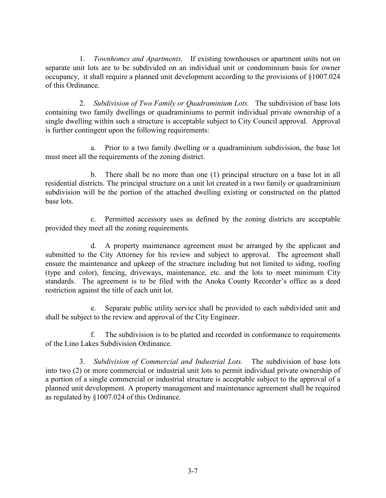1. *Townhomes and Apartments.* If existing townhouses or apartment units not on separate unit lots are to be subdivided on an individual unit or condominium basis for owner occupancy, it shall require a planned unit development according to the provisions of §1007.024 of this Ordinance.

2. *Subdivision of Two Family or Quadraminium Lots.* The subdivision of base lots containing two family dwellings or quadraminiums to permit individual private ownership of a single dwelling within such a structure is acceptable subject to City Council approval. Approval is further contingent upon the following requirements:

a. Prior to a two family dwelling or a quadraminium subdivision, the base lot must meet all the requirements of the zoning district.

b. There shall be no more than one (1) principal structure on a base lot in all residential districts. The principal structure on a unit lot created in a two family or quadraminium subdivision will be the portion of the attached dwelling existing or constructed on the platted base lots.

c. Permitted accessory uses as defined by the zoning districts are acceptable provided they meet all the zoning requirements.

d. A property maintenance agreement must be arranged by the applicant and submitted to the City Attorney for his review and subject to approval. The agreement shall ensure the maintenance and upkeep of the structure including but not limited to siding, roofing (type and color), fencing, driveways, maintenance, etc. and the lots to meet minimum City standards. The agreement is to be filed with the Anoka County Recorder's office as a deed restriction against the title of each unit lot.

e. Separate public utility service shall be provided to each subdivided unit and shall be subject to the review and approval of the City Engineer.

f. The subdivision is to be platted and recorded in conformance to requirements of the Lino Lakes Subdivision Ordinance.

3. *Subdivision of Commercial and Industrial Lots.* The subdivision of base lots into two (2) or more commercial or industrial unit lots to permit individual private ownership of a portion of a single commercial or industrial structure is acceptable subject to the approval of a planned unit development. A property management and maintenance agreement shall be required as regulated by §1007.024 of this Ordinance.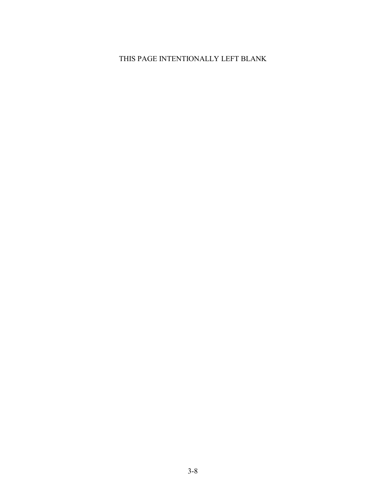# THIS PAGE INTENTIONALLY LEFT BLANK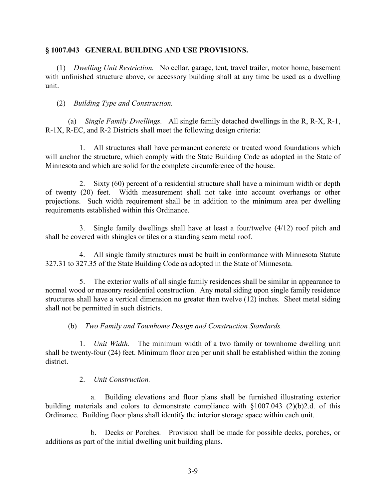#### **§ 1007.043 GENERAL BUILDING AND USE PROVISIONS.**

(1) *Dwelling Unit Restriction.* No cellar, garage, tent, travel trailer, motor home, basement with unfinished structure above, or accessory building shall at any time be used as a dwelling unit.

(2) *Building Type and Construction.* 

(a) *Single Family Dwellings.* All single family detached dwellings in the R, R-X, R-1, R-1X, R-EC, and R-2 Districts shall meet the following design criteria:

1. All structures shall have permanent concrete or treated wood foundations which will anchor the structure, which comply with the State Building Code as adopted in the State of Minnesota and which are solid for the complete circumference of the house.

2. Sixty (60) percent of a residential structure shall have a minimum width or depth of twenty (20) feet. Width measurement shall not take into account overhangs or other projections. Such width requirement shall be in addition to the minimum area per dwelling requirements established within this Ordinance.

3. Single family dwellings shall have at least a four/twelve (4/12) roof pitch and shall be covered with shingles or tiles or a standing seam metal roof.

4. All single family structures must be built in conformance with Minnesota Statute 327.31 to 327.35 of the State Building Code as adopted in the State of Minnesota.

5. The exterior walls of all single family residences shall be similar in appearance to normal wood or masonry residential construction. Any metal siding upon single family residence structures shall have a vertical dimension no greater than twelve (12) inches. Sheet metal siding shall not be permitted in such districts.

(b) *Two Family and Townhome Design and Construction Standards.*

1. *Unit Width.* The minimum width of a two family or townhome dwelling unit shall be twenty-four (24) feet. Minimum floor area per unit shall be established within the zoning district.

### 2. *Unit Construction.*

a. Building elevations and floor plans shall be furnished illustrating exterior building materials and colors to demonstrate compliance with §1007.043 (2)(b)2.d. of this Ordinance. Building floor plans shall identify the interior storage space within each unit.

b. Decks or Porches. Provision shall be made for possible decks, porches, or additions as part of the initial dwelling unit building plans.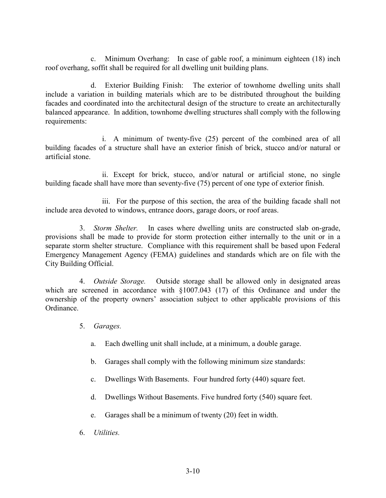c. Minimum Overhang: In case of gable roof, a minimum eighteen (18) inch roof overhang, soffit shall be required for all dwelling unit building plans.

d. Exterior Building Finish: The exterior of townhome dwelling units shall include a variation in building materials which are to be distributed throughout the building facades and coordinated into the architectural design of the structure to create an architecturally balanced appearance. In addition, townhome dwelling structures shall comply with the following requirements:

i. A minimum of twenty-five (25) percent of the combined area of all building facades of a structure shall have an exterior finish of brick, stucco and/or natural or artificial stone.

ii. Except for brick, stucco, and/or natural or artificial stone, no single building facade shall have more than seventy-five (75) percent of one type of exterior finish.

iii. For the purpose of this section, the area of the building facade shall not include area devoted to windows, entrance doors, garage doors, or roof areas.

3. *Storm Shelter.* In cases where dwelling units are constructed slab on-grade, provisions shall be made to provide for storm protection either internally to the unit or in a separate storm shelter structure. Compliance with this requirement shall be based upon Federal Emergency Management Agency (FEMA) guidelines and standards which are on file with the City Building Official.

4. *Outside Storage.* Outside storage shall be allowed only in designated areas which are screened in accordance with §1007.043 (17) of this Ordinance and under the ownership of the property owners' association subject to other applicable provisions of this Ordinance.

- 5. *Garages.* 
	- a. Each dwelling unit shall include, at a minimum, a double garage.
	- b. Garages shall comply with the following minimum size standards:
	- c. Dwellings With Basements. Four hundred forty (440) square feet.
	- d. Dwellings Without Basements. Five hundred forty (540) square feet.
	- e. Garages shall be a minimum of twenty (20) feet in width.
- 6. *Utilities.*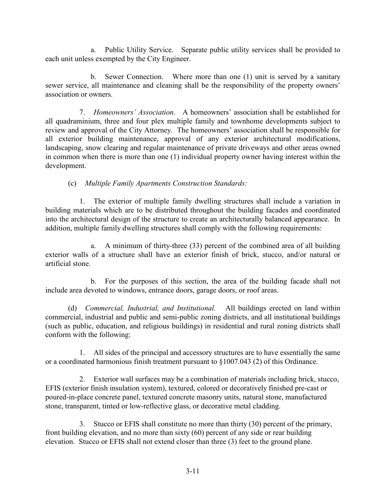a. Public Utility Service. Separate public utility services shall be provided to each unit unless exempted by the City Engineer.

b. Sewer Connection. Where more than one (1) unit is served by a sanitary sewer service, all maintenance and cleaning shall be the responsibility of the property owners' association or owners.

7. *Homeowners' Association.* A homeowners' association shall be established for all quadraminium, three and four plex multiple family and townhome developments subject to review and approval of the City Attorney. The homeowners' association shall be responsible for all exterior building maintenance, approval of any exterior architectural modifications, landscaping, snow clearing and regular maintenance of private driveways and other areas owned in common when there is more than one (1) individual property owner having interest within the development.

## (c) *Multiple Family Apartments Construction Standards:*

1. The exterior of multiple family dwelling structures shall include a variation in building materials which are to be distributed throughout the building facades and coordinated into the architectural design of the structure to create an architecturally balanced appearance. In addition, multiple family dwelling structures shall comply with the following requirements:

a. A minimum of thirty-three (33) percent of the combined area of all building exterior walls of a structure shall have an exterior finish of brick, stucco, and/or natural or artificial stone.

b. For the purposes of this section, the area of the building facade shall not include area devoted to windows, entrance doors, garage doors, or roof areas.

(d) *Commercial, Industrial, and Institutional.* All buildings erected on land within commercial, industrial and public and semi-public zoning districts, and all institutional buildings (such as public, education, and religious buildings) in residential and rural zoning districts shall conform with the following:

1. All sides of the principal and accessory structures are to have essentially the same or a coordinated harmonious finish treatment pursuant to §1007.043 (2) of this Ordinance.

2. Exterior wall surfaces may be a combination of materials including brick, stucco, EFIS (exterior finish insulation system), textured, colored or decoratively finished pre-cast or poured-in-place concrete panel, textured concrete masonry units, natural stone, manufactured stone, transparent, tinted or low-reflective glass, or decorative metal cladding.

3. Stucco or EFIS shall constitute no more than thirty (30) percent of the primary, front building elevation, and no more than sixty (60) percent of any side or rear building elevation. Stucco or EFIS shall not extend closer than three (3) feet to the ground plane.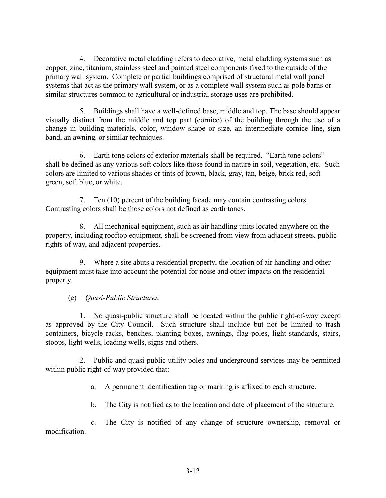4. Decorative metal cladding refers to decorative, metal cladding systems such as copper, zinc, titanium, stainless steel and painted steel components fixed to the outside of the primary wall system. Complete or partial buildings comprised of structural metal wall panel systems that act as the primary wall system, or as a complete wall system such as pole barns or similar structures common to agricultural or industrial storage uses are prohibited.

5. Buildings shall have a well-defined base, middle and top. The base should appear visually distinct from the middle and top part (cornice) of the building through the use of a change in building materials, color, window shape or size, an intermediate cornice line, sign band, an awning, or similar techniques.

6. Earth tone colors of exterior materials shall be required. "Earth tone colors" shall be defined as any various soft colors like those found in nature in soil, vegetation, etc. Such colors are limited to various shades or tints of brown, black, gray, tan, beige, brick red, soft green, soft blue, or white.

7. Ten (10) percent of the building facade may contain contrasting colors. Contrasting colors shall be those colors not defined as earth tones.

8. All mechanical equipment, such as air handling units located anywhere on the property, including rooftop equipment, shall be screened from view from adjacent streets, public rights of way, and adjacent properties.

9. Where a site abuts a residential property, the location of air handling and other equipment must take into account the potential for noise and other impacts on the residential property.

## (e) *Quasi-Public Structures.*

1. No quasi-public structure shall be located within the public right-of-way except as approved by the City Council. Such structure shall include but not be limited to trash containers, bicycle racks, benches, planting boxes, awnings, flag poles, light standards, stairs, stoops, light wells, loading wells, signs and others.

2. Public and quasi-public utility poles and underground services may be permitted within public right-of-way provided that:

a. A permanent identification tag or marking is affixed to each structure.

b. The City is notified as to the location and date of placement of the structure.

c. The City is notified of any change of structure ownership, removal or modification.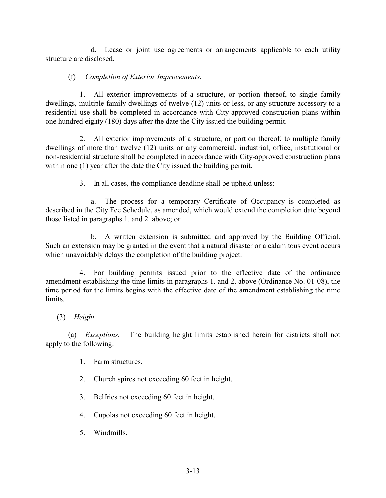d. Lease or joint use agreements or arrangements applicable to each utility structure are disclosed.

### (f) *Completion of Exterior Improvements.*

1. All exterior improvements of a structure, or portion thereof, to single family dwellings, multiple family dwellings of twelve (12) units or less, or any structure accessory to a residential use shall be completed in accordance with City-approved construction plans within one hundred eighty (180) days after the date the City issued the building permit.

2. All exterior improvements of a structure, or portion thereof, to multiple family dwellings of more than twelve (12) units or any commercial, industrial, office, institutional or non-residential structure shall be completed in accordance with City-approved construction plans within one (1) year after the date the City issued the building permit.

3. In all cases, the compliance deadline shall be upheld unless:

a. The process for a temporary Certificate of Occupancy is completed as described in the City Fee Schedule, as amended, which would extend the completion date beyond those listed in paragraphs 1. and 2. above; or

b. A written extension is submitted and approved by the Building Official. Such an extension may be granted in the event that a natural disaster or a calamitous event occurs which unavoidably delays the completion of the building project.

4. For building permits issued prior to the effective date of the ordinance amendment establishing the time limits in paragraphs 1. and 2. above (Ordinance No. 01-08), the time period for the limits begins with the effective date of the amendment establishing the time limits.

### (3) *Height.*

(a) *Exceptions.* The building height limits established herein for districts shall not apply to the following:

- 1. Farm structures.
- 2. Church spires not exceeding 60 feet in height.
- 3. Belfries not exceeding 60 feet in height.
- 4. Cupolas not exceeding 60 feet in height.
- 5. Windmills.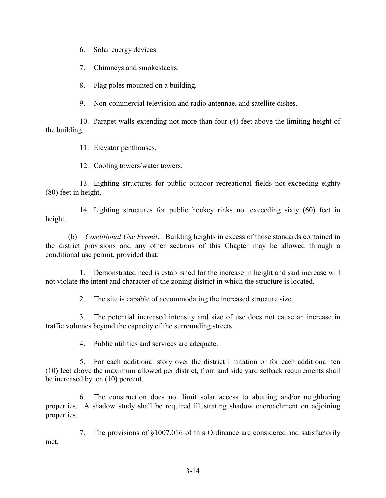6. Solar energy devices.

7. Chimneys and smokestacks.

8. Flag poles mounted on a building.

9. Non-commercial television and radio antennae, and satellite dishes.

10. Parapet walls extending not more than four (4) feet above the limiting height of the building.

11. Elevator penthouses.

12. Cooling towers/water towers.

13. Lighting structures for public outdoor recreational fields not exceeding eighty (80) feet in height.

14. Lighting structures for public hockey rinks not exceeding sixty (60) feet in height.

(b) *Conditional Use Permit*. Building heights in excess of those standards contained in the district provisions and any other sections of this Chapter may be allowed through a conditional use permit, provided that:

1. Demonstrated need is established for the increase in height and said increase will not violate the intent and character of the zoning district in which the structure is located.

2. The site is capable of accommodating the increased structure size.

3. The potential increased intensity and size of use does not cause an increase in traffic volumes beyond the capacity of the surrounding streets.

4. Public utilities and services are adequate.

5. For each additional story over the district limitation or for each additional ten (10) feet above the maximum allowed per district, front and side yard setback requirements shall be increased by ten (10) percent.

6. The construction does not limit solar access to abutting and/or neighboring properties. A shadow study shall be required illustrating shadow encroachment on adjoining properties.

7. The provisions of §1007.016 of this Ordinance are considered and satisfactorily met.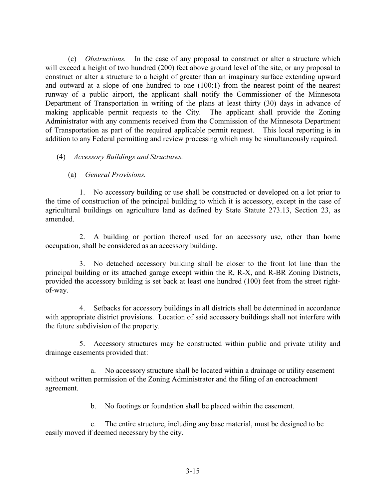(c) *Obstructions.* In the case of any proposal to construct or alter a structure which will exceed a height of two hundred (200) feet above ground level of the site, or any proposal to construct or alter a structure to a height of greater than an imaginary surface extending upward and outward at a slope of one hundred to one (100:1) from the nearest point of the nearest runway of a public airport, the applicant shall notify the Commissioner of the Minnesota Department of Transportation in writing of the plans at least thirty (30) days in advance of making applicable permit requests to the City. The applicant shall provide the Zoning Administrator with any comments received from the Commission of the Minnesota Department of Transportation as part of the required applicable permit request. This local reporting is in addition to any Federal permitting and review processing which may be simultaneously required.

(4) *Accessory Buildings and Structures.*

(a) *General Provisions.*

1. No accessory building or use shall be constructed or developed on a lot prior to the time of construction of the principal building to which it is accessory, except in the case of agricultural buildings on agriculture land as defined by State Statute 273.13, Section 23, as amended.

2. A building or portion thereof used for an accessory use, other than home occupation, shall be considered as an accessory building.

3. No detached accessory building shall be closer to the front lot line than the principal building or its attached garage except within the R, R-X, and R-BR Zoning Districts, provided the accessory building is set back at least one hundred (100) feet from the street rightof-way.

4. Setbacks for accessory buildings in all districts shall be determined in accordance with appropriate district provisions. Location of said accessory buildings shall not interfere with the future subdivision of the property.

5. Accessory structures may be constructed within public and private utility and drainage easements provided that:

a. No accessory structure shall be located within a drainage or utility easement without written permission of the Zoning Administrator and the filing of an encroachment agreement.

b. No footings or foundation shall be placed within the easement.

c. The entire structure, including any base material, must be designed to be easily moved if deemed necessary by the city.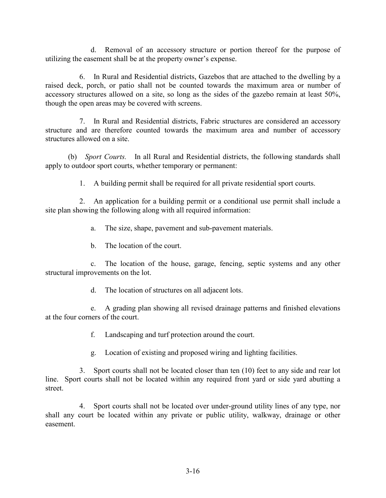d. Removal of an accessory structure or portion thereof for the purpose of utilizing the easement shall be at the property owner's expense.

6. In Rural and Residential districts, Gazebos that are attached to the dwelling by a raised deck, porch, or patio shall not be counted towards the maximum area or number of accessory structures allowed on a site, so long as the sides of the gazebo remain at least 50%, though the open areas may be covered with screens.

7. In Rural and Residential districts, Fabric structures are considered an accessory structure and are therefore counted towards the maximum area and number of accessory structures allowed on a site.

(b) *Sport Courts.* In all Rural and Residential districts, the following standards shall apply to outdoor sport courts, whether temporary or permanent:

1. A building permit shall be required for all private residential sport courts.

2. An application for a building permit or a conditional use permit shall include a site plan showing the following along with all required information:

a. The size, shape, pavement and sub-pavement materials.

b. The location of the court.

c. The location of the house, garage, fencing, septic systems and any other structural improvements on the lot.

d. The location of structures on all adjacent lots.

e. A grading plan showing all revised drainage patterns and finished elevations at the four corners of the court.

f. Landscaping and turf protection around the court.

g. Location of existing and proposed wiring and lighting facilities.

3. Sport courts shall not be located closer than ten (10) feet to any side and rear lot line. Sport courts shall not be located within any required front yard or side yard abutting a street.

4. Sport courts shall not be located over under-ground utility lines of any type, nor shall any court be located within any private or public utility, walkway, drainage or other easement.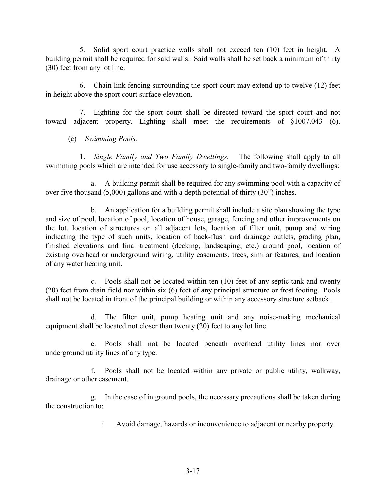5. Solid sport court practice walls shall not exceed ten (10) feet in height. A building permit shall be required for said walls. Said walls shall be set back a minimum of thirty (30) feet from any lot line.

6. Chain link fencing surrounding the sport court may extend up to twelve (12) feet in height above the sport court surface elevation.

7. Lighting for the sport court shall be directed toward the sport court and not toward adjacent property. Lighting shall meet the requirements of §1007.043 (6).

(c) *Swimming Pools.* 

1. *Single Family and Two Family Dwellings.* The following shall apply to all swimming pools which are intended for use accessory to single-family and two-family dwellings:

a. A building permit shall be required for any swimming pool with a capacity of over five thousand (5,000) gallons and with a depth potential of thirty (30") inches.

b. An application for a building permit shall include a site plan showing the type and size of pool, location of pool, location of house, garage, fencing and other improvements on the lot, location of structures on all adjacent lots, location of filter unit, pump and wiring indicating the type of such units, location of back-flush and drainage outlets, grading plan, finished elevations and final treatment (decking, landscaping, etc.) around pool, location of existing overhead or underground wiring, utility easements, trees, similar features, and location of any water heating unit.

c. Pools shall not be located within ten (10) feet of any septic tank and twenty (20) feet from drain field nor within six (6) feet of any principal structure or frost footing. Pools shall not be located in front of the principal building or within any accessory structure setback.

d. The filter unit, pump heating unit and any noise-making mechanical equipment shall be located not closer than twenty (20) feet to any lot line.

e. Pools shall not be located beneath overhead utility lines nor over underground utility lines of any type.

f. Pools shall not be located within any private or public utility, walkway, drainage or other easement.

g. In the case of in ground pools, the necessary precautions shall be taken during the construction to:

i. Avoid damage, hazards or inconvenience to adjacent or nearby property.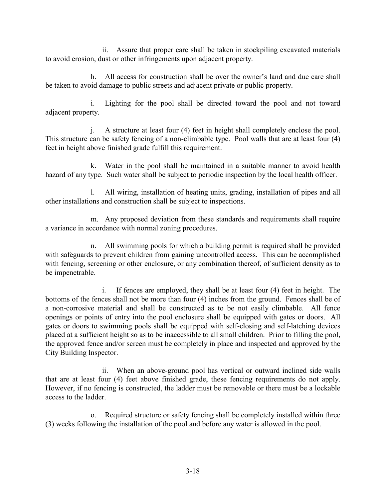ii. Assure that proper care shall be taken in stockpiling excavated materials to avoid erosion, dust or other infringements upon adjacent property.

h. All access for construction shall be over the owner's land and due care shall be taken to avoid damage to public streets and adjacent private or public property.

i. Lighting for the pool shall be directed toward the pool and not toward adjacent property.

j. A structure at least four (4) feet in height shall completely enclose the pool. This structure can be safety fencing of a non-climbable type. Pool walls that are at least four (4) feet in height above finished grade fulfill this requirement.

k. Water in the pool shall be maintained in a suitable manner to avoid health hazard of any type. Such water shall be subject to periodic inspection by the local health officer.

l. All wiring, installation of heating units, grading, installation of pipes and all other installations and construction shall be subject to inspections.

m. Any proposed deviation from these standards and requirements shall require a variance in accordance with normal zoning procedures.

n. All swimming pools for which a building permit is required shall be provided with safeguards to prevent children from gaining uncontrolled access. This can be accomplished with fencing, screening or other enclosure, or any combination thereof, of sufficient density as to be impenetrable.

i. If fences are employed, they shall be at least four (4) feet in height. The bottoms of the fences shall not be more than four (4) inches from the ground. Fences shall be of a non-corrosive material and shall be constructed as to be not easily climbable. All fence openings or points of entry into the pool enclosure shall be equipped with gates or doors. All gates or doors to swimming pools shall be equipped with self-closing and self-latching devices placed at a sufficient height so as to be inaccessible to all small children. Prior to filling the pool, the approved fence and/or screen must be completely in place and inspected and approved by the City Building Inspector.

ii. When an above-ground pool has vertical or outward inclined side walls that are at least four (4) feet above finished grade, these fencing requirements do not apply. However, if no fencing is constructed, the ladder must be removable or there must be a lockable access to the ladder.

o. Required structure or safety fencing shall be completely installed within three (3) weeks following the installation of the pool and before any water is allowed in the pool.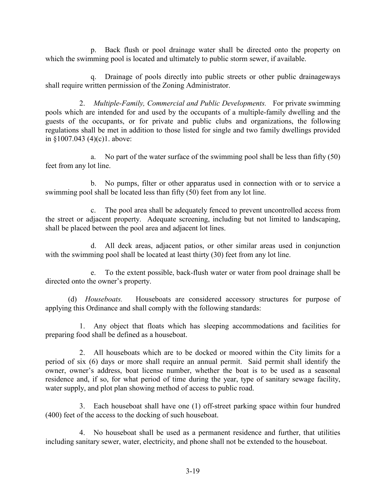p. Back flush or pool drainage water shall be directed onto the property on which the swimming pool is located and ultimately to public storm sewer, if available.

q. Drainage of pools directly into public streets or other public drainageways shall require written permission of the Zoning Administrator.

2. *Multiple-Family, Commercial and Public Developments.* For private swimming pools which are intended for and used by the occupants of a multiple-family dwelling and the guests of the occupants, or for private and public clubs and organizations, the following regulations shall be met in addition to those listed for single and two family dwellings provided in §1007.043 (4)(c)1. above:

a. No part of the water surface of the swimming pool shall be less than fifty (50) feet from any lot line.

b. No pumps, filter or other apparatus used in connection with or to service a swimming pool shall be located less than fifty (50) feet from any lot line.

c. The pool area shall be adequately fenced to prevent uncontrolled access from the street or adjacent property. Adequate screening, including but not limited to landscaping, shall be placed between the pool area and adjacent lot lines.

d. All deck areas, adjacent patios, or other similar areas used in conjunction with the swimming pool shall be located at least thirty (30) feet from any lot line.

e. To the extent possible, back-flush water or water from pool drainage shall be directed onto the owner's property.

(d) *Houseboats.* Houseboats are considered accessory structures for purpose of applying this Ordinance and shall comply with the following standards:

1. Any object that floats which has sleeping accommodations and facilities for preparing food shall be defined as a houseboat.

2. All houseboats which are to be docked or moored within the City limits for a period of six (6) days or more shall require an annual permit. Said permit shall identify the owner, owner's address, boat license number, whether the boat is to be used as a seasonal residence and, if so, for what period of time during the year, type of sanitary sewage facility, water supply, and plot plan showing method of access to public road.

3. Each houseboat shall have one (1) off-street parking space within four hundred (400) feet of the access to the docking of such houseboat.

4. No houseboat shall be used as a permanent residence and further, that utilities including sanitary sewer, water, electricity, and phone shall not be extended to the houseboat.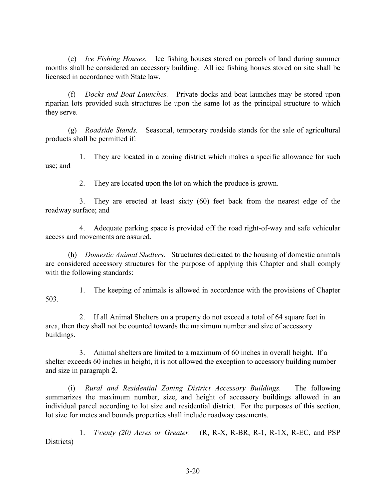(e) *Ice Fishing Houses.* Ice fishing houses stored on parcels of land during summer months shall be considered an accessory building. All ice fishing houses stored on site shall be licensed in accordance with State law.

(f) *Docks and Boat Launches.* Private docks and boat launches may be stored upon riparian lots provided such structures lie upon the same lot as the principal structure to which they serve.

(g) *Roadside Stands.* Seasonal, temporary roadside stands for the sale of agricultural products shall be permitted if:

1. They are located in a zoning district which makes a specific allowance for such use; and

2. They are located upon the lot on which the produce is grown.

3. They are erected at least sixty (60) feet back from the nearest edge of the roadway surface; and

4. Adequate parking space is provided off the road right-of-way and safe vehicular access and movements are assured.

(h) *Domestic Animal Shelters.* Structures dedicated to the housing of domestic animals are considered accessory structures for the purpose of applying this Chapter and shall comply with the following standards:

1. The keeping of animals is allowed in accordance with the provisions of Chapter 503.

2. If all Animal Shelters on a property do not exceed a total of 64 square feet in area, then they shall not be counted towards the maximum number and size of accessory buildings.

3. Animal shelters are limited to a maximum of 60 inches in overall height. If a shelter exceeds 60 inches in height, it is not allowed the exception to accessory building number and size in paragraph 2.

(i) *Rural and Residential Zoning District Accessory Buildings.* The following summarizes the maximum number, size, and height of accessory buildings allowed in an individual parcel according to lot size and residential district. For the purposes of this section, lot size for metes and bounds properties shall include roadway easements.

1. *Twenty (20) Acres or Greater.* (R, R-X, R-BR, R-1, R-1X, R-EC, and PSP Districts)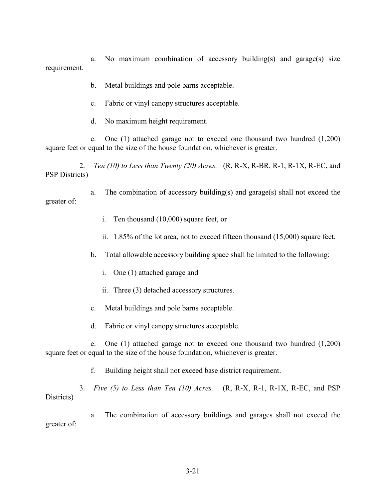a. No maximum combination of accessory building(s) and garage(s) size requirement.

- b. Metal buildings and pole barns acceptable.
- c. Fabric or vinyl canopy structures acceptable.
- d. No maximum height requirement.

e. One (1) attached garage not to exceed one thousand two hundred (1,200) square feet or equal to the size of the house foundation, whichever is greater.

2. *Ten (10) to Less than Twenty (20) Acres.* (R, R-X, R-BR, R-1, R-1X, R-EC, and PSP Districts)

a. The combination of accessory building(s) and garage(s) shall not exceed the greater of:

- i. Ten thousand (10,000) square feet, or
- ii. 1.85% of the lot area, not to exceed fifteen thousand (15,000) square feet.
- b. Total allowable accessory building space shall be limited to the following:
	- i. One (1) attached garage and
	- ii. Three (3) detached accessory structures.
- c. Metal buildings and pole barns acceptable.
- d. Fabric or vinyl canopy structures acceptable.

e. One (1) attached garage not to exceed one thousand two hundred (1,200) square feet or equal to the size of the house foundation, whichever is greater.

f. Building height shall not exceed base district requirement.

3. *Five (5) to Less than Ten (10) Acres.* (R, R-X, R-1, R-1X, R-EC, and PSP Districts)

a. The combination of accessory buildings and garages shall not exceed the greater of: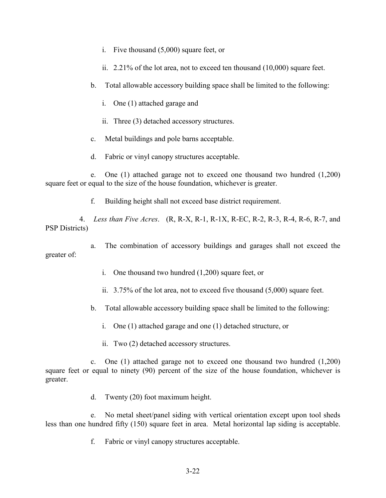- i. Five thousand (5,000) square feet, or
- ii. 2.21% of the lot area, not to exceed ten thousand (10,000) square feet.
- b. Total allowable accessory building space shall be limited to the following:
	- i. One (1) attached garage and
	- ii. Three (3) detached accessory structures.
- c. Metal buildings and pole barns acceptable.
- d. Fabric or vinyl canopy structures acceptable.

e. One (1) attached garage not to exceed one thousand two hundred (1,200) square feet or equal to the size of the house foundation, whichever is greater.

f. Building height shall not exceed base district requirement.

4. *Less than Five Acres*. (R, R-X, R-1, R-1X, R-EC, R-2, R-3, R-4, R-6, R-7, and PSP Districts)

a. The combination of accessory buildings and garages shall not exceed the greater of:

- i. One thousand two hundred (1,200) square feet, or
- ii. 3.75% of the lot area, not to exceed five thousand (5,000) square feet.
- b. Total allowable accessory building space shall be limited to the following:
	- i. One (1) attached garage and one (1) detached structure, or
	- ii. Two (2) detached accessory structures.

c. One (1) attached garage not to exceed one thousand two hundred (1,200) square feet or equal to ninety (90) percent of the size of the house foundation, whichever is greater.

d. Twenty (20) foot maximum height.

e. No metal sheet/panel siding with vertical orientation except upon tool sheds less than one hundred fifty (150) square feet in area. Metal horizontal lap siding is acceptable.

f. Fabric or vinyl canopy structures acceptable.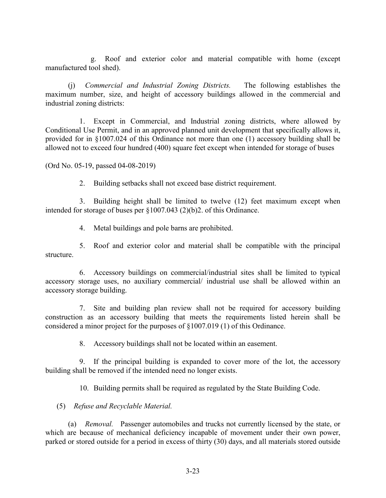g. Roof and exterior color and material compatible with home (except manufactured tool shed).

(j) *Commercial and Industrial Zoning Districts.* The following establishes the maximum number, size, and height of accessory buildings allowed in the commercial and industrial zoning districts:

1. Except in Commercial, and Industrial zoning districts, where allowed by Conditional Use Permit, and in an approved planned unit development that specifically allows it, provided for in §1007.024 of this Ordinance not more than one (1) accessory building shall be allowed not to exceed four hundred (400) square feet except when intended for storage of buses

(Ord No. 05-19, passed 04-08-2019)

2. Building setbacks shall not exceed base district requirement.

3. Building height shall be limited to twelve (12) feet maximum except when intended for storage of buses per §1007.043 (2)(b)2. of this Ordinance.

4. Metal buildings and pole barns are prohibited.

5. Roof and exterior color and material shall be compatible with the principal structure.

6. Accessory buildings on commercial/industrial sites shall be limited to typical accessory storage uses, no auxiliary commercial/ industrial use shall be allowed within an accessory storage building.

7. Site and building plan review shall not be required for accessory building construction as an accessory building that meets the requirements listed herein shall be considered a minor project for the purposes of §1007.019 (1) of this Ordinance.

8. Accessory buildings shall not be located within an easement.

9. If the principal building is expanded to cover more of the lot, the accessory building shall be removed if the intended need no longer exists.

10. Building permits shall be required as regulated by the State Building Code.

(5) *Refuse and Recyclable Material.*

(a) *Removal.* Passenger automobiles and trucks not currently licensed by the state, or which are because of mechanical deficiency incapable of movement under their own power, parked or stored outside for a period in excess of thirty (30) days, and all materials stored outside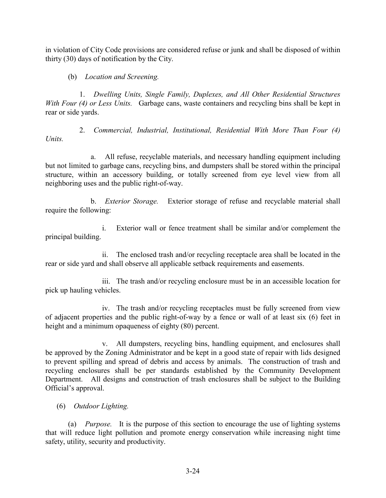in violation of City Code provisions are considered refuse or junk and shall be disposed of within thirty (30) days of notification by the City.

(b) *Location and Screening.*

1. *Dwelling Units, Single Family, Duplexes, and All Other Residential Structures With Four (4) or Less Units.* Garbage cans, waste containers and recycling bins shall be kept in rear or side yards.

2. *Commercial, Industrial, Institutional, Residential With More Than Four (4) Units.*

a. All refuse, recyclable materials, and necessary handling equipment including but not limited to garbage cans, recycling bins, and dumpsters shall be stored within the principal structure, within an accessory building, or totally screened from eye level view from all neighboring uses and the public right-of-way.

b. *Exterior Storage.* Exterior storage of refuse and recyclable material shall require the following:

i. Exterior wall or fence treatment shall be similar and/or complement the principal building.

ii. The enclosed trash and/or recycling receptacle area shall be located in the rear or side yard and shall observe all applicable setback requirements and easements.

iii. The trash and/or recycling enclosure must be in an accessible location for pick up hauling vehicles.

iv. The trash and/or recycling receptacles must be fully screened from view of adjacent properties and the public right-of-way by a fence or wall of at least six (6) feet in height and a minimum opaqueness of eighty (80) percent.

v. All dumpsters, recycling bins, handling equipment, and enclosures shall be approved by the Zoning Administrator and be kept in a good state of repair with lids designed to prevent spilling and spread of debris and access by animals. The construction of trash and recycling enclosures shall be per standards established by the Community Development Department. All designs and construction of trash enclosures shall be subject to the Building Official's approval.

(6) *Outdoor Lighting.* 

(a) *Purpose.* It is the purpose of this section to encourage the use of lighting systems that will reduce light pollution and promote energy conservation while increasing night time safety, utility, security and productivity.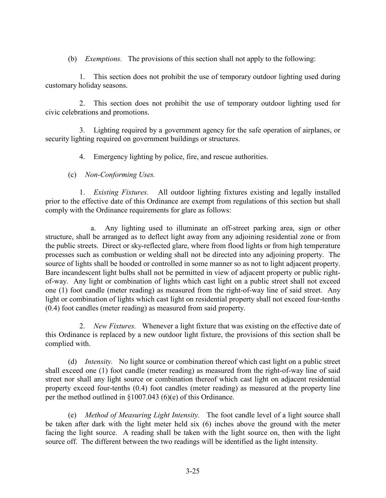(b) *Exemptions.* The provisions of this section shall not apply to the following:

1. This section does not prohibit the use of temporary outdoor lighting used during customary holiday seasons.

2. This section does not prohibit the use of temporary outdoor lighting used for civic celebrations and promotions.

3. Lighting required by a government agency for the safe operation of airplanes, or security lighting required on government buildings or structures.

4. Emergency lighting by police, fire, and rescue authorities.

(c) *Non-Conforming Uses.*

1. *Existing Fixtures.* All outdoor lighting fixtures existing and legally installed prior to the effective date of this Ordinance are exempt from regulations of this section but shall comply with the Ordinance requirements for glare as follows:

a. Any lighting used to illuminate an off-street parking area, sign or other structure, shall be arranged as to deflect light away from any adjoining residential zone or from the public streets. Direct or sky-reflected glare, where from flood lights or from high temperature processes such as combustion or welding shall not be directed into any adjoining property. The source of lights shall be hooded or controlled in some manner so as not to light adjacent property. Bare incandescent light bulbs shall not be permitted in view of adjacent property or public rightof-way. Any light or combination of lights which cast light on a public street shall not exceed one (1) foot candle (meter reading) as measured from the right-of-way line of said street. Any light or combination of lights which cast light on residential property shall not exceed four-tenths (0.4) foot candles (meter reading) as measured from said property.

2. *New Fixtures.* Whenever a light fixture that was existing on the effective date of this Ordinance is replaced by a new outdoor light fixture, the provisions of this section shall be complied with.

(d) *Intensity.* No light source or combination thereof which cast light on a public street shall exceed one (1) foot candle (meter reading) as measured from the right-of-way line of said street nor shall any light source or combination thereof which cast light on adjacent residential property exceed four-tenths (0.4) foot candles (meter reading) as measured at the property line per the method outlined in §1007.043 (6)(e) of this Ordinance.

(e) *Method of Measuring Light Intensity.* The foot candle level of a light source shall be taken after dark with the light meter held six (6) inches above the ground with the meter facing the light source. A reading shall be taken with the light source on, then with the light source off. The different between the two readings will be identified as the light intensity.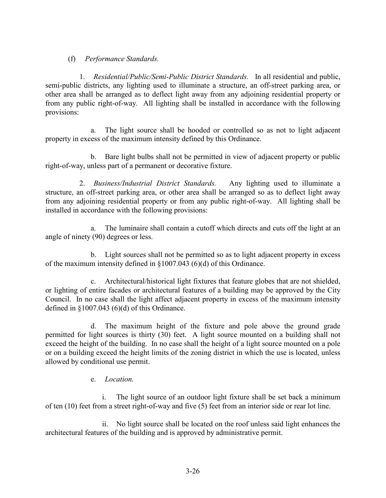### (f) *Performance Standards.*

1. *Residential/Public/Semi-Public District Standards.* In all residential and public, semi-public districts, any lighting used to illuminate a structure, an off-street parking area, or other area shall be arranged as to deflect light away from any adjoining residential property or from any public right-of-way. All lighting shall be installed in accordance with the following provisions:

a. The light source shall be hooded or controlled so as not to light adjacent property in excess of the maximum intensity defined by this Ordinance.

b. Bare light bulbs shall not be permitted in view of adjacent property or public right-of-way, unless part of a permanent or decorative fixture.

2. *Business/Industrial District Standards.* Any lighting used to illuminate a structure, an off-street parking area, or other area shall be arranged so as to deflect light away from any adjoining residential property or from any public right-of-way. All lighting shall be installed in accordance with the following provisions:

a. The luminaire shall contain a cutoff which directs and cuts off the light at an angle of ninety (90) degrees or less.

b. Light sources shall not be permitted so as to light adjacent property in excess of the maximum intensity defined in §1007.043 (6)(d) of this Ordinance.

c. Architectural/historical light fixtures that feature globes that are not shielded, or lighting of entire facades or architectural features of a building may be approved by the City Council. In no case shall the light affect adjacent property in excess of the maximum intensity defined in §1007.043 (6)(d) of this Ordinance.

d. The maximum height of the fixture and pole above the ground grade permitted for light sources is thirty (30) feet. A light source mounted on a building shall not exceed the height of the building. In no case shall the height of a light source mounted on a pole or on a building exceed the height limits of the zoning district in which the use is located, unless allowed by conditional use permit.

## e. *Location.*

i. The light source of an outdoor light fixture shall be set back a minimum of ten (10) feet from a street right-of-way and five (5) feet from an interior side or rear lot line.

ii. No light source shall be located on the roof unless said light enhances the architectural features of the building and is approved by administrative permit.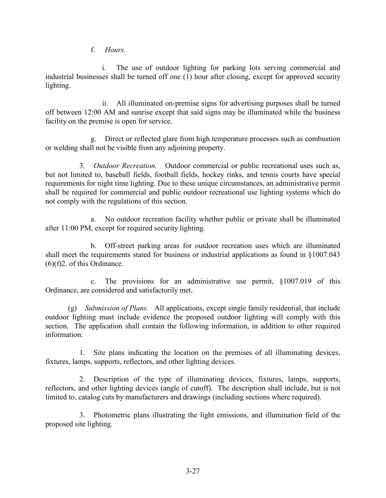#### f. *Hours.*

i. The use of outdoor lighting for parking lots serving commercial and industrial businesses shall be turned off one (1) hour after closing, except for approved security lighting.

ii. All illuminated on-premise signs for advertising purposes shall be turned off between 12:00 AM and sunrise except that said signs may be illuminated while the business facility on the premise is open for service.

g. Direct or reflected glare from high temperature processes such as combustion or welding shall not be visible from any adjoining property.

3. *Outdoor Recreation.* Outdoor commercial or public recreational uses such as, but not limited to, baseball fields, football fields, hockey rinks, and tennis courts have special requirements for night time lighting. Due to these unique circumstances, an administrative permit shall be required for commercial and public outdoor recreational use lighting systems which do not comply with the regulations of this section.

a. No outdoor recreation facility whether public or private shall be illuminated after 11:00 PM, except for required security lighting.

b. Off-street parking areas for outdoor recreation uses which are illuminated shall meet the requirements stated for business or industrial applications as found in §1007.043 (6)(f)2. of this Ordinance.

c. The provisions for an administrative use permit, §1007.019 of this Ordinance, are considered and satisfactorily met.

(g) *Submission of Plans.* All applications, except single family residential, that include outdoor lighting must include evidence the proposed outdoor lighting will comply with this section. The application shall contain the following information, in addition to other required information:

1. Site plans indicating the location on the premises of all illuminating devices, fixtures, lamps, supports, reflectors, and other lighting devices.

2. Description of the type of illuminating devices, fixtures, lamps, supports, reflectors, and other lighting devices (angle of cutoff). The description shall include, but is not limited to, catalog cuts by manufacturers and drawings (including sections where required).

3. Photometric plans illustrating the light emissions, and illumination field of the proposed site lighting.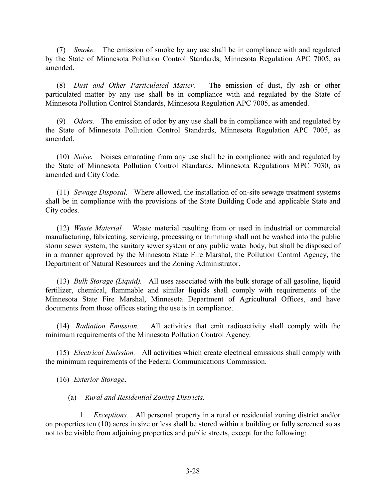(7) *Smoke.* The emission of smoke by any use shall be in compliance with and regulated by the State of Minnesota Pollution Control Standards, Minnesota Regulation APC 7005, as amended.

(8) *Dust and Other Particulated Matter.* The emission of dust, fly ash or other particulated matter by any use shall be in compliance with and regulated by the State of Minnesota Pollution Control Standards, Minnesota Regulation APC 7005, as amended.

(9) *Odors.* The emission of odor by any use shall be in compliance with and regulated by the State of Minnesota Pollution Control Standards, Minnesota Regulation APC 7005, as amended.

(10) *Noise.* Noises emanating from any use shall be in compliance with and regulated by the State of Minnesota Pollution Control Standards, Minnesota Regulations MPC 7030, as amended and City Code.

(11) *Sewage Disposal.* Where allowed, the installation of on-site sewage treatment systems shall be in compliance with the provisions of the State Building Code and applicable State and City codes.

(12) *Waste Material.* Waste material resulting from or used in industrial or commercial manufacturing, fabricating, servicing, processing or trimming shall not be washed into the public storm sewer system, the sanitary sewer system or any public water body, but shall be disposed of in a manner approved by the Minnesota State Fire Marshal, the Pollution Control Agency, the Department of Natural Resources and the Zoning Administrator.

(13) *Bulk Storage (Liquid).* All uses associated with the bulk storage of all gasoline, liquid fertilizer, chemical, flammable and similar liquids shall comply with requirements of the Minnesota State Fire Marshal, Minnesota Department of Agricultural Offices, and have documents from those offices stating the use is in compliance.

(14) *Radiation Emission.* All activities that emit radioactivity shall comply with the minimum requirements of the Minnesota Pollution Control Agency.

(15) *Electrical Emission.* All activities which create electrical emissions shall comply with the minimum requirements of the Federal Communications Commission.

(16) *Exterior Storage***.**

### (a) *Rural and Residential Zoning Districts.*

1. *Exceptions.* All personal property in a rural or residential zoning district and/or on properties ten (10) acres in size or less shall be stored within a building or fully screened so as not to be visible from adjoining properties and public streets, except for the following: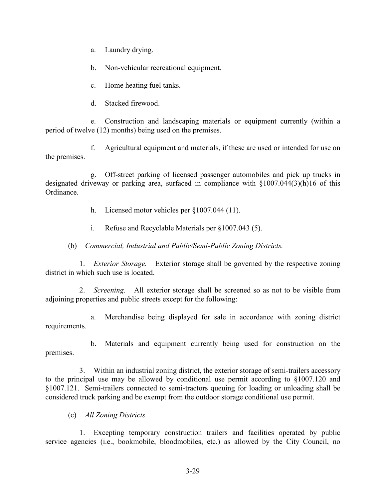a. Laundry drying.

b. Non-vehicular recreational equipment.

c. Home heating fuel tanks.

d. Stacked firewood.

e. Construction and landscaping materials or equipment currently (within a period of twelve (12) months) being used on the premises.

f. Agricultural equipment and materials, if these are used or intended for use on the premises.

g. Off-street parking of licensed passenger automobiles and pick up trucks in designated driveway or parking area, surfaced in compliance with §1007.044(3)(h)16 of this Ordinance.

h. Licensed motor vehicles per §1007.044 (11).

i. Refuse and Recyclable Materials per §1007.043 (5).

(b) *Commercial, Industrial and Public/Semi-Public Zoning Districts.* 

1. *Exterior Storage.* Exterior storage shall be governed by the respective zoning district in which such use is located.

2. *Screening.* All exterior storage shall be screened so as not to be visible from adjoining properties and public streets except for the following:

a. Merchandise being displayed for sale in accordance with zoning district requirements.

b. Materials and equipment currently being used for construction on the premises.

3. Within an industrial zoning district, the exterior storage of semi-trailers accessory to the principal use may be allowed by conditional use permit according to §1007.120 and §1007.121. Semi-trailers connected to semi-tractors queuing for loading or unloading shall be considered truck parking and be exempt from the outdoor storage conditional use permit.

(c) *All Zoning Districts.*

1. Excepting temporary construction trailers and facilities operated by public service agencies (i.e., bookmobile, bloodmobiles, etc.) as allowed by the City Council, no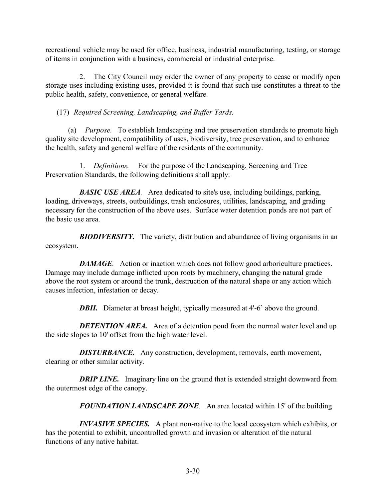recreational vehicle may be used for office, business, industrial manufacturing, testing, or storage of items in conjunction with a business, commercial or industrial enterprise.

2. The City Council may order the owner of any property to cease or modify open storage uses including existing uses, provided it is found that such use constitutes a threat to the public health, safety, convenience, or general welfare.

(17) *Required Screening, Landscaping, and Buffer Yards.*

(a) *Purpose.* To establish landscaping and tree preservation standards to promote high quality site development, compatibility of uses, biodiversity, tree preservation, and to enhance the health, safety and general welfare of the residents of the community.

1. *Definitions.* For the purpose of the Landscaping, Screening and Tree Preservation Standards, the following definitions shall apply:

*BASIC USE AREA.* Area dedicated to site's use, including buildings, parking, loading, driveways, streets, outbuildings, trash enclosures, utilities, landscaping, and grading necessary for the construction of the above uses. Surface water detention ponds are not part of the basic use area.

**BIODIVERSITY.** The variety, distribution and abundance of living organisms in an ecosystem.

*DAMAGE.* Action or inaction which does not follow good arboriculture practices. Damage may include damage inflicted upon roots by machinery, changing the natural grade above the root system or around the trunk, destruction of the natural shape or any action which causes infection, infestation or decay.

*DBH.* Diameter at breast height, typically measured at 4'-6' above the ground.

*DETENTION AREA.* Area of a detention pond from the normal water level and up the side slopes to 10' offset from the high water level.

*DISTURBANCE.* Any construction, development, removals, earth movement, clearing or other similar activity.

*DRIP LINE.* Imaginary line on the ground that is extended straight downward from the outermost edge of the canopy.

*FOUNDATION LANDSCAPE ZONE.* An area located within 15' of the building

*INVASIVE SPECIES.* A plant non-native to the local ecosystem which exhibits, or has the potential to exhibit, uncontrolled growth and invasion or alteration of the natural functions of any native habitat.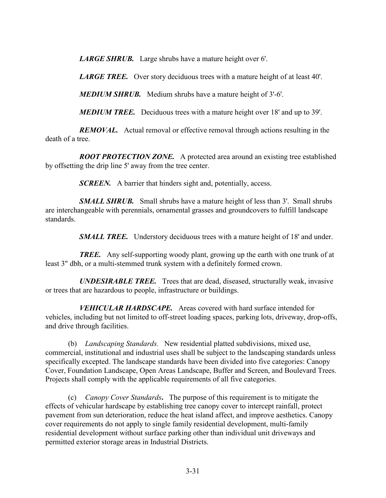*LARGE SHRUB.* Large shrubs have a mature height over 6'.

*LARGE TREE.* Over story deciduous trees with a mature height of at least 40'.

*MEDIUM SHRUB.* Medium shrubs have a mature height of 3'-6'.

*MEDIUM TREE.* Deciduous trees with a mature height over 18' and up to 39'.

*REMOVAL.* Actual removal or effective removal through actions resulting in the death of a tree.

*ROOT PROTECTION ZONE.* A protected area around an existing tree established by offsetting the drip line 5' away from the tree center.

*SCREEN.* A barrier that hinders sight and, potentially, access.

*SMALL SHRUB.* Small shrubs have a mature height of less than 3'. Small shrubs are interchangeable with perennials, ornamental grasses and groundcovers to fulfill landscape standards.

**SMALL TREE.** Understory deciduous trees with a mature height of 18' and under.

*TREE.* Any self-supporting woody plant, growing up the earth with one trunk of at least 3" dbh, or a multi-stemmed trunk system with a definitely formed crown.

*UNDESIRABLE TREE.* Trees that are dead, diseased, structurally weak, invasive or trees that are hazardous to people, infrastructure or buildings.

*VEHICULAR HARDSCAPE.* Areas covered with hard surface intended for vehicles, including but not limited to off-street loading spaces, parking lots, driveway, drop-offs, and drive through facilities.

(b) *Landscaping Standards.* New residential platted subdivisions, mixed use, commercial, institutional and industrial uses shall be subject to the landscaping standards unless specifically excepted. The landscape standards have been divided into five categories: Canopy Cover, Foundation Landscape, Open Areas Landscape, Buffer and Screen, and Boulevard Trees. Projects shall comply with the applicable requirements of all five categories.

(c) *Canopy Cover Standards***.** The purpose of this requirement is to mitigate the effects of vehicular hardscape by establishing tree canopy cover to intercept rainfall, protect pavement from sun deterioration, reduce the heat island affect, and improve aesthetics. Canopy cover requirements do not apply to single family residential development, multi-family residential development without surface parking other than individual unit driveways and permitted exterior storage areas in Industrial Districts.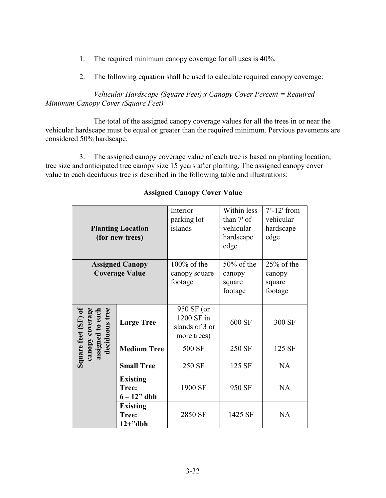- 1. The required minimum canopy coverage for all uses is 40%.
- 2. The following equation shall be used to calculate required canopy coverage:

*Vehicular Hardscape (Square Feet) x Canopy Cover Percent = Required Minimum Canopy Cover (Square Feet)*

The total of the assigned canopy coverage values for all the trees in or near the vehicular hardscape must be equal or greater than the required minimum. Pervious pavements are considered 50% hardscape.

3. The assigned canopy coverage value of each tree is based on planting location, tree size and anticipated tree canopy size 15 years after planting. The assigned canopy cover value to each deciduous tree is described in the following table and illustrations:

| <b>Planting Location</b><br>(for new trees)                                  |                                                 | Interior<br>parking lot<br>islands                         | Within less<br>than 7' of<br>vehicular<br>hardscape<br>edge | $7'$ -12' from<br>vehicular<br>hardscape<br>edge |
|------------------------------------------------------------------------------|-------------------------------------------------|------------------------------------------------------------|-------------------------------------------------------------|--------------------------------------------------|
|                                                                              | <b>Assigned Canopy</b><br><b>Coverage Value</b> | $100\%$ of the<br>canopy square<br>footage                 | $50\%$ of the<br>canopy<br>square<br>footage                | $25%$ of the<br>canopy<br>square<br>footage      |
| Square feet (SF) of<br>canopy coverage<br>assigned to each<br>deciduous tree | <b>Large Tree</b>                               | 950 SF (or<br>1200 SF in<br>islands of 3 or<br>more trees) | 600 SF                                                      | 300 SF                                           |
|                                                                              | <b>Medium Tree</b>                              | 500 SF                                                     | 250 SF                                                      | 125 SF                                           |
|                                                                              | <b>Small Tree</b>                               | 250 SF                                                     | 125 SF                                                      | <b>NA</b>                                        |
|                                                                              | <b>Existing</b><br>Tree:<br>$6 - 12$ " dbh      | 1900 SF                                                    | 950 SF                                                      | <b>NA</b>                                        |
|                                                                              | <b>Existing</b><br>Tree:<br>$12+$ "dbh          | 2850 SF                                                    | 1425 SF                                                     | <b>NA</b>                                        |

### **Assigned Canopy Cover Value**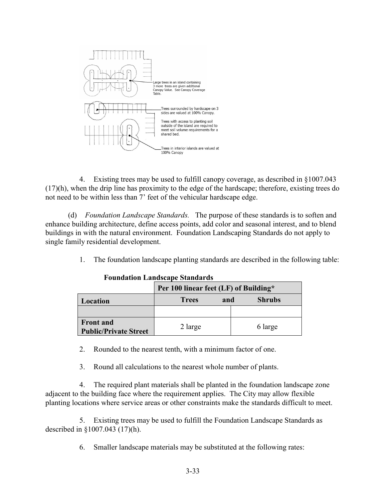

4. Existing trees may be used to fulfill canopy coverage, as described in §1007.043 (17)(h), when the drip line has proximity to the edge of the hardscape; therefore, existing trees do not need to be within less than 7' feet of the vehicular hardscape edge.

(d) *Foundation Landscape Standards.* The purpose of these standards is to soften and enhance building architecture, define access points, add color and seasonal interest, and to blend buildings in with the natural environment. Foundation Landscaping Standards do not apply to single family residential development.

1. The foundation landscape planting standards are described in the following table:

|                                                  | Per 100 linear feet (LF) of Building* |               |
|--------------------------------------------------|---------------------------------------|---------------|
| <b>Location</b>                                  | <b>Trees</b><br>and                   | <b>Shrubs</b> |
|                                                  |                                       |               |
| <b>Front and</b><br><b>Public/Private Street</b> | 2 large                               | 6 large       |

| <b>Foundation Landscape Standards</b> |  |  |
|---------------------------------------|--|--|
|---------------------------------------|--|--|

2. Rounded to the nearest tenth, with a minimum factor of one.

3. Round all calculations to the nearest whole number of plants.

4. The required plant materials shall be planted in the foundation landscape zone adjacent to the building face where the requirement applies. The City may allow flexible planting locations where service areas or other constraints make the standards difficult to meet.

5. Existing trees may be used to fulfill the Foundation Landscape Standards as described in §1007.043 (17)(h).

6. Smaller landscape materials may be substituted at the following rates: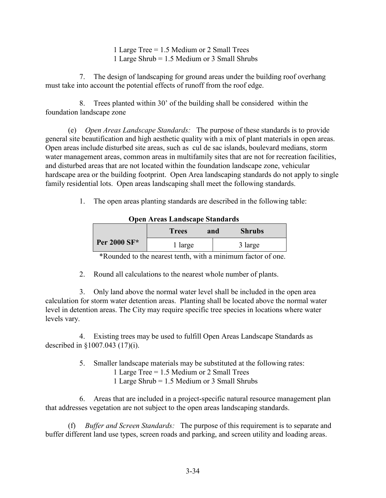1 Large Tree = 1.5 Medium or 2 Small Trees 1 Large Shrub = 1.5 Medium or 3 Small Shrubs

7. The design of landscaping for ground areas under the building roof overhang must take into account the potential effects of runoff from the roof edge.

8. Trees planted within 30' of the building shall be considered within the foundation landscape zone

(e) *Open Areas Landscape Standards:* The purpose of these standards is to provide general site beautification and high aesthetic quality with a mix of plant materials in open areas. Open areas include disturbed site areas, such as cul de sac islands, boulevard medians, storm water management areas, common areas in multifamily sites that are not for recreation facilities, and disturbed areas that are not located within the foundation landscape zone, vehicular hardscape area or the building footprint. Open Area landscaping standards do not apply to single family residential lots. Open areas landscaping shall meet the following standards.

1. The open areas planting standards are described in the following table:

|  | <b>Open Areas Landscape Standards</b> |  |
|--|---------------------------------------|--|
|--|---------------------------------------|--|

|              | <b>Trees</b> | <b>Shrubs</b><br>and |
|--------------|--------------|----------------------|
| Per 2000 SF* | 1 large      | 3 large              |

\*Rounded to the nearest tenth, with a minimum factor of one.

2. Round all calculations to the nearest whole number of plants.

3. Only land above the normal water level shall be included in the open area calculation for storm water detention areas. Planting shall be located above the normal water level in detention areas. The City may require specific tree species in locations where water levels vary.

4. Existing trees may be used to fulfill Open Areas Landscape Standards as described in §1007.043 (17)(i).

5. Smaller landscape materials may be substituted at the following rates:

- 1 Large Tree = 1.5 Medium or 2 Small Trees
- 1 Large Shrub = 1.5 Medium or 3 Small Shrubs

6. Areas that are included in a project-specific natural resource management plan that addresses vegetation are not subject to the open areas landscaping standards.

(f) *Buffer and Screen Standards:* The purpose of this requirement is to separate and buffer different land use types, screen roads and parking, and screen utility and loading areas.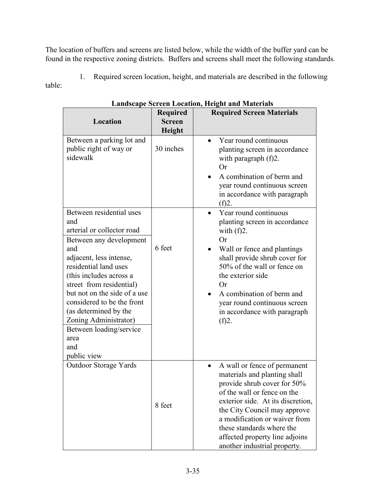The location of buffers and screens are listed below, while the width of the buffer yard can be found in the respective zoning districts. Buffers and screens shall meet the following standards.

1. Required screen location, height, and materials are described in the following table:

| Lanuscape Screen Location, rieight and materials                                                                                                                                                                                                                                                                                                                                    |                                     |                                                                                                                                                                                                                                                                                                                                 |  |
|-------------------------------------------------------------------------------------------------------------------------------------------------------------------------------------------------------------------------------------------------------------------------------------------------------------------------------------------------------------------------------------|-------------------------------------|---------------------------------------------------------------------------------------------------------------------------------------------------------------------------------------------------------------------------------------------------------------------------------------------------------------------------------|--|
| <b>Location</b>                                                                                                                                                                                                                                                                                                                                                                     | Required<br><b>Screen</b><br>Height | <b>Required Screen Materials</b>                                                                                                                                                                                                                                                                                                |  |
| Between a parking lot and<br>public right of way or<br>sidewalk                                                                                                                                                                                                                                                                                                                     | 30 inches                           | Year round continuous<br>planting screen in accordance<br>with paragraph (f)2.<br>Or<br>A combination of berm and<br>year round continuous screen<br>in accordance with paragraph<br>$(f)2$ .                                                                                                                                   |  |
| Between residential uses<br>and<br>arterial or collector road<br>Between any development<br>and<br>adjacent, less intense,<br>residential land uses<br>(this includes across a<br>street from residential)<br>but not on the side of a use<br>considered to be the front<br>(as determined by the<br>Zoning Administrator)<br>Between loading/service<br>area<br>and<br>public view | 6 feet                              | Year round continuous<br>planting screen in accordance<br>with $(f)2$ .<br>Or<br>Wall or fence and plantings<br>shall provide shrub cover for<br>50% of the wall or fence on<br>the exterior side<br><b>Or</b><br>A combination of berm and<br>year round continuous screen<br>in accordance with paragraph<br>(f)2.            |  |
| <b>Outdoor Storage Yards</b>                                                                                                                                                                                                                                                                                                                                                        | 8 feet                              | A wall or fence of permanent<br>materials and planting shall<br>provide shrub cover for 50%<br>of the wall or fence on the<br>exterior side. At its discretion,<br>the City Council may approve<br>a modification or waiver from<br>these standards where the<br>affected property line adjoins<br>another industrial property. |  |

## **Landscape Screen Location, Height and Materials**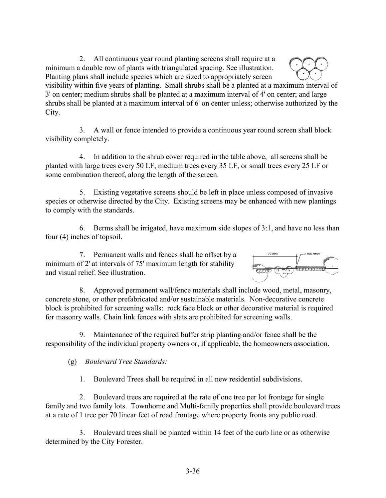2. All continuous year round planting screens shall require at a minimum a double row of plants with triangulated spacing. See illustration. Planting plans shall include species which are sized to appropriately screen



visibility within five years of planting. Small shrubs shall be a planted at a maximum interval of 3' on center; medium shrubs shall be planted at a maximum interval of 4' on center; and large shrubs shall be planted at a maximum interval of 6' on center unless; otherwise authorized by the City.

3. A wall or fence intended to provide a continuous year round screen shall block visibility completely.

4. In addition to the shrub cover required in the table above, all screens shall be planted with large trees every 50 LF, medium trees every 35 LF, or small trees every 25 LF or some combination thereof, along the length of the screen.

5. Existing vegetative screens should be left in place unless composed of invasive species or otherwise directed by the City. Existing screens may be enhanced with new plantings to comply with the standards.

6. Berms shall be irrigated, have maximum side slopes of 3:1, and have no less than four (4) inches of topsoil.

7. Permanent walls and fences shall be offset by a minimum of 2' at intervals of 75' maximum length for stability and visual relief. See illustration.



8. Approved permanent wall/fence materials shall include wood, metal, masonry, concrete stone, or other prefabricated and/or sustainable materials. Non-decorative concrete block is prohibited for screening walls: rock face block or other decorative material is required for masonry walls. Chain link fences with slats are prohibited for screening walls.

9. Maintenance of the required buffer strip planting and/or fence shall be the responsibility of the individual property owners or, if applicable, the homeowners association.

(g) *Boulevard Tree Standards:*

1. Boulevard Trees shall be required in all new residential subdivisions.

2. Boulevard trees are required at the rate of one tree per lot frontage for single family and two family lots. Townhome and Multi-family properties shall provide boulevard trees at a rate of 1 tree per 70 linear feet of road frontage where property fronts any public road.

3. Boulevard trees shall be planted within 14 feet of the curb line or as otherwise determined by the City Forester.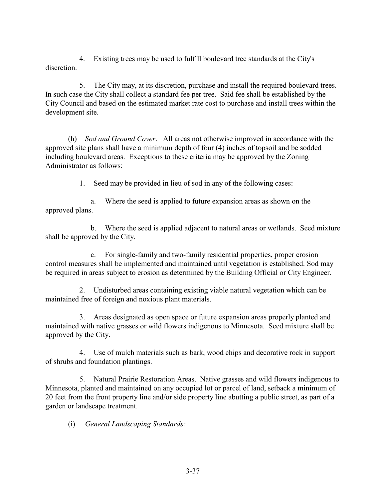4. Existing trees may be used to fulfill boulevard tree standards at the City's discretion.

5. The City may, at its discretion, purchase and install the required boulevard trees. In such case the City shall collect a standard fee per tree. Said fee shall be established by the City Council and based on the estimated market rate cost to purchase and install trees within the development site.

(h) *Sod and Ground Cover*. All areas not otherwise improved in accordance with the approved site plans shall have a minimum depth of four (4) inches of topsoil and be sodded including boulevard areas. Exceptions to these criteria may be approved by the Zoning Administrator as follows:

1. Seed may be provided in lieu of sod in any of the following cases:

a. Where the seed is applied to future expansion areas as shown on the approved plans.

b. Where the seed is applied adjacent to natural areas or wetlands. Seed mixture shall be approved by the City.

c. For single-family and two-family residential properties, proper erosion control measures shall be implemented and maintained until vegetation is established. Sod may be required in areas subject to erosion as determined by the Building Official or City Engineer.

2. Undisturbed areas containing existing viable natural vegetation which can be maintained free of foreign and noxious plant materials.

3. Areas designated as open space or future expansion areas properly planted and maintained with native grasses or wild flowers indigenous to Minnesota. Seed mixture shall be approved by the City.

4. Use of mulch materials such as bark, wood chips and decorative rock in support of shrubs and foundation plantings.

5. Natural Prairie Restoration Areas. Native grasses and wild flowers indigenous to Minnesota, planted and maintained on any occupied lot or parcel of land, setback a minimum of 20 feet from the front property line and/or side property line abutting a public street, as part of a garden or landscape treatment.

(i) *General Landscaping Standards:*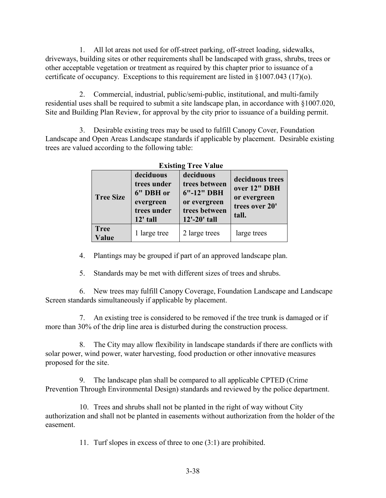1. All lot areas not used for off-street parking, off-street loading, sidewalks, driveways, building sites or other requirements shall be landscaped with grass, shrubs, trees or other acceptable vegetation or treatment as required by this chapter prior to issuance of a certificate of occupancy. Exceptions to this requirement are listed in §1007.043 (17)(o).

2. Commercial, industrial, public/semi-public, institutional, and multi-family residential uses shall be required to submit a site landscape plan, in accordance with §1007.020, Site and Building Plan Review, for approval by the city prior to issuance of a building permit.

3. Desirable existing trees may be used to fulfill Canopy Cover, Foundation Landscape and Open Areas Landscape standards if applicable by placement. Desirable existing trees are valued according to the following table:

| <b>Existing Tree Value</b> |                                                                               |                                                                                           |                                                                            |  |
|----------------------------|-------------------------------------------------------------------------------|-------------------------------------------------------------------------------------------|----------------------------------------------------------------------------|--|
| <b>Tree Size</b>           | deciduous<br>trees under<br>6" DBH or<br>evergreen<br>trees under<br>12' tall | deciduous<br>trees between<br>6"-12" DBH<br>or evergreen<br>trees between<br>12'-20' tall | deciduous trees<br>over 12" DBH<br>or evergreen<br>trees over 20'<br>tall. |  |
| <b>Tree</b><br>Value       | 1 large tree                                                                  | 2 large trees                                                                             | large trees                                                                |  |

4. Plantings may be grouped if part of an approved landscape plan.

5. Standards may be met with different sizes of trees and shrubs.

6. New trees may fulfill Canopy Coverage, Foundation Landscape and Landscape Screen standards simultaneously if applicable by placement.

7. An existing tree is considered to be removed if the tree trunk is damaged or if more than 30% of the drip line area is disturbed during the construction process.

8. The City may allow flexibility in landscape standards if there are conflicts with solar power, wind power, water harvesting, food production or other innovative measures proposed for the site.

9. The landscape plan shall be compared to all applicable CPTED (Crime Prevention Through Environmental Design) standards and reviewed by the police department.

10. Trees and shrubs shall not be planted in the right of way without City authorization and shall not be planted in easements without authorization from the holder of the easement.

11. Turf slopes in excess of three to one (3:1) are prohibited.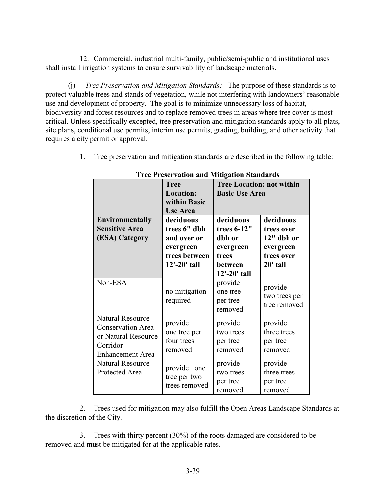12. Commercial, industrial multi-family, public/semi-public and institutional uses shall install irrigation systems to ensure survivability of landscape materials.

(j) *Tree Preservation and Mitigation Standards:*The purpose of these standards is to protect valuable trees and stands of vegetation, while not interfering with landowners' reasonable use and development of property. The goal is to minimize unnecessary loss of habitat, biodiversity and forest resources and to replace removed trees in areas where tree cover is most critical. Unless specifically excepted, tree preservation and mitigation standards apply to all plats, site plans, conditional use permits, interim use permits, grading, building, and other activity that requires a city permit or approval.

1. Tree preservation and mitigation standards are described in the following table:

|                                                                                                                   | <b>Tree</b><br><b>Location:</b><br>within Basic<br><b>Use Area</b>                     | Tree Preservation and Mitigation Standards<br><b>Tree Location: not within</b><br><b>Basic Use Area</b> |                                                                              |  |
|-------------------------------------------------------------------------------------------------------------------|----------------------------------------------------------------------------------------|---------------------------------------------------------------------------------------------------------|------------------------------------------------------------------------------|--|
| <b>Environmentally</b><br><b>Sensitive Area</b><br>(ESA) Category                                                 | deciduous<br>trees 6" dbh<br>and over or<br>evergreen<br>trees between<br>12'-20' tall | deciduous<br>trees 6-12"<br>dbh or<br>evergreen<br>trees<br>between<br>12'-20' tall                     | deciduous<br>trees over<br>12" dbh or<br>evergreen<br>trees over<br>20' tall |  |
| Non-ESA                                                                                                           | no mitigation<br>required                                                              | provide<br>one tree<br>per tree<br>removed                                                              | provide<br>two trees per<br>tree removed                                     |  |
| <b>Natural Resource</b><br><b>Conservation Area</b><br>or Natural Resource<br>Corridor<br><b>Enhancement Area</b> | provide<br>one tree per<br>four trees<br>removed                                       | provide<br>two trees<br>per tree<br>removed                                                             | provide<br>three trees<br>per tree<br>removed                                |  |
| Natural Resource<br>Protected Area                                                                                | provide one<br>tree per two<br>trees removed                                           | provide<br>two trees<br>per tree<br>removed                                                             | provide<br>three trees<br>per tree<br>removed                                |  |

| <b>Tree Preservation and Mitigation Standards</b> |  |
|---------------------------------------------------|--|
|---------------------------------------------------|--|

2. Trees used for mitigation may also fulfill the Open Areas Landscape Standards at the discretion of the City.

3. Trees with thirty percent (30%) of the roots damaged are considered to be removed and must be mitigated for at the applicable rates.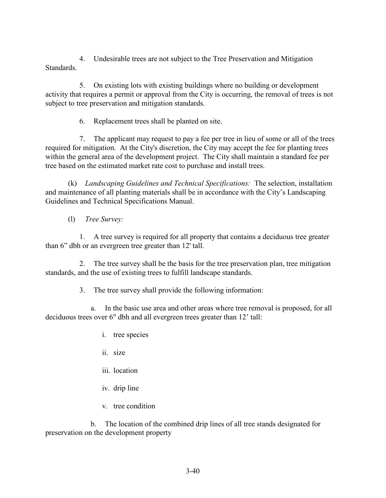4. Undesirable trees are not subject to the Tree Preservation and Mitigation Standards.

5. On existing lots with existing buildings where no building or development activity that requires a permit or approval from the City is occurring, the removal of trees is not subject to tree preservation and mitigation standards.

6. Replacement trees shall be planted on site.

7. The applicant may request to pay a fee per tree in lieu of some or all of the trees required for mitigation. At the City's discretion, the City may accept the fee for planting trees within the general area of the development project. The City shall maintain a standard fee per tree based on the estimated market rate cost to purchase and install trees.

(k) *Landscaping Guidelines and Technical Specifications:* The selection, installation and maintenance of all planting materials shall be in accordance with the City's Landscaping Guidelines and Technical Specifications Manual.

(l) *Tree Survey:* 

1. A tree survey is required for all property that contains a deciduous tree greater than 6" dbh or an evergreen tree greater than 12' tall.

2. The tree survey shall be the basis for the tree preservation plan, tree mitigation standards, and the use of existing trees to fulfill landscape standards.

3. The tree survey shall provide the following information:

a. In the basic use area and other areas where tree removal is proposed, for all deciduous trees over 6" dbh and all evergreen trees greater than 12' tall:

- i. tree species
- ii. size
- iii. location
- iv. drip line
- v. tree condition

b. The location of the combined drip lines of all tree stands designated for preservation on the development property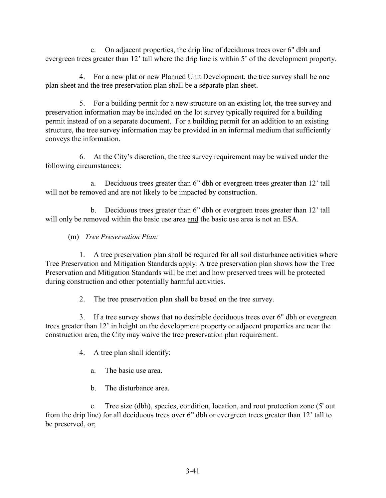c. On adjacent properties, the drip line of deciduous trees over 6" dbh and evergreen trees greater than 12' tall where the drip line is within 5' of the development property.

4. For a new plat or new Planned Unit Development, the tree survey shall be one plan sheet and the tree preservation plan shall be a separate plan sheet.

5. For a building permit for a new structure on an existing lot, the tree survey and preservation information may be included on the lot survey typically required for a building permit instead of on a separate document. For a building permit for an addition to an existing structure, the tree survey information may be provided in an informal medium that sufficiently conveys the information.

6. At the City's discretion, the tree survey requirement may be waived under the following circumstances:

a. Deciduous trees greater than 6" dbh or evergreen trees greater than 12' tall will not be removed and are not likely to be impacted by construction.

b. Deciduous trees greater than 6" dbh or evergreen trees greater than 12' tall will only be removed within the basic use area and the basic use area is not an ESA.

## (m) *Tree Preservation Plan:*

1. A tree preservation plan shall be required for all soil disturbance activities where Tree Preservation and Mitigation Standards apply*.* A tree preservation plan shows how the Tree Preservation and Mitigation Standards will be met and how preserved trees will be protected during construction and other potentially harmful activities.

2. The tree preservation plan shall be based on the tree survey.

3. If a tree survey shows that no desirable deciduous trees over 6" dbh or evergreen trees greater than 12' in height on the development property or adjacent properties are near the construction area, the City may waive the tree preservation plan requirement.

- 4. A tree plan shall identify:
	- a. The basic use area.
	- b. The disturbance area.

c. Tree size (dbh), species, condition, location, and root protection zone (5' out from the drip line) for all deciduous trees over 6" dbh or evergreen trees greater than 12' tall to be preserved, or;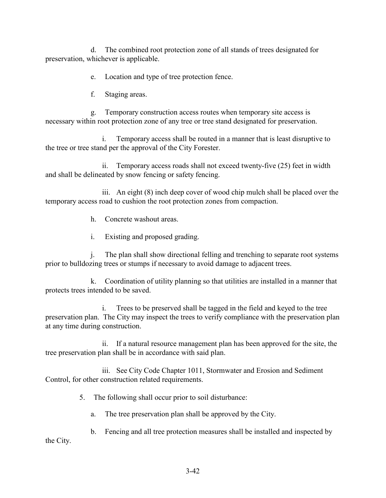d. The combined root protection zone of all stands of trees designated for preservation, whichever is applicable.

e. Location and type of tree protection fence.

f. Staging areas.

g. Temporary construction access routes when temporary site access is necessary within root protection zone of any tree or tree stand designated for preservation.

i. Temporary access shall be routed in a manner that is least disruptive to the tree or tree stand per the approval of the City Forester.

ii. Temporary access roads shall not exceed twenty-five (25) feet in width and shall be delineated by snow fencing or safety fencing.

iii. An eight (8) inch deep cover of wood chip mulch shall be placed over the temporary access road to cushion the root protection zones from compaction.

h. Concrete washout areas.

i. Existing and proposed grading.

j. The plan shall show directional felling and trenching to separate root systems prior to bulldozing trees or stumps if necessary to avoid damage to adjacent trees.

k. Coordination of utility planning so that utilities are installed in a manner that protects trees intended to be saved.

i. Trees to be preserved shall be tagged in the field and keyed to the tree preservation plan. The City may inspect the trees to verify compliance with the preservation plan at any time during construction.

ii. If a natural resource management plan has been approved for the site, the tree preservation plan shall be in accordance with said plan.

iii. See City Code Chapter 1011, Stormwater and Erosion and Sediment Control, for other construction related requirements.

5. The following shall occur prior to soil disturbance:

a. The tree preservation plan shall be approved by the City.

b. Fencing and all tree protection measures shall be installed and inspected by the City.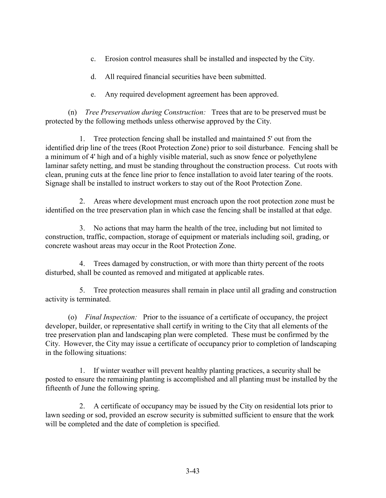- c. Erosion control measures shall be installed and inspected by the City.
- d. All required financial securities have been submitted.
- e. Any required development agreement has been approved.

(n) *Tree Preservation during Construction:* Trees that are to be preserved must be protected by the following methods unless otherwise approved by the City.

1. Tree protection fencing shall be installed and maintained 5' out from the identified drip line of the trees (Root Protection Zone) prior to soil disturbance. Fencing shall be a minimum of 4' high and of a highly visible material, such as snow fence or polyethylene laminar safety netting, and must be standing throughout the construction process. Cut roots with clean, pruning cuts at the fence line prior to fence installation to avoid later tearing of the roots. Signage shall be installed to instruct workers to stay out of the Root Protection Zone.

2. Areas where development must encroach upon the root protection zone must be identified on the tree preservation plan in which case the fencing shall be installed at that edge.

3. No actions that may harm the health of the tree, including but not limited to construction, traffic, compaction, storage of equipment or materials including soil, grading, or concrete washout areas may occur in the Root Protection Zone.

4. Trees damaged by construction, or with more than thirty percent of the roots disturbed, shall be counted as removed and mitigated at applicable rates.

5. Tree protection measures shall remain in place until all grading and construction activity is terminated.

(o) *Final Inspection:* Prior to the issuance of a certificate of occupancy, the project developer, builder, or representative shall certify in writing to the City that all elements of the tree preservation plan and landscaping plan were completed. These must be confirmed by the City. However, the City may issue a certificate of occupancy prior to completion of landscaping in the following situations:

1. If winter weather will prevent healthy planting practices, a security shall be posted to ensure the remaining planting is accomplished and all planting must be installed by the fifteenth of June the following spring.

2. A certificate of occupancy may be issued by the City on residential lots prior to lawn seeding or sod, provided an escrow security is submitted sufficient to ensure that the work will be completed and the date of completion is specified.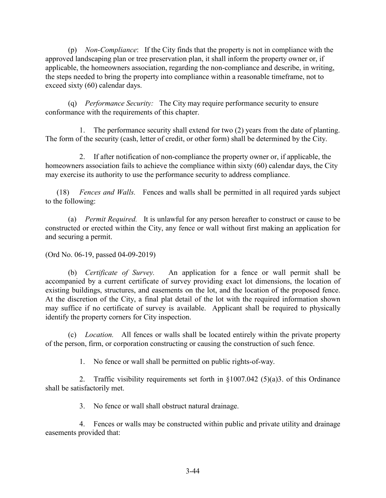(p) *Non-Compliance*: If the City finds that the property is not in compliance with the approved landscaping plan or tree preservation plan, it shall inform the property owner or, if applicable, the homeowners association, regarding the non-compliance and describe, in writing, the steps needed to bring the property into compliance within a reasonable timeframe, not to exceed sixty (60) calendar days.

(q) *Performance Security:* The City may require performance security to ensure conformance with the requirements of this chapter.

1. The performance security shall extend for two (2) years from the date of planting. The form of the security (cash, letter of credit, or other form) shall be determined by the City.

2. If after notification of non-compliance the property owner or, if applicable, the homeowners association fails to achieve the compliance within sixty (60) calendar days, the City may exercise its authority to use the performance security to address compliance.

(18) *Fences and Walls.* Fences and walls shall be permitted in all required yards subject to the following:

(a) *Permit Required.* It is unlawful for any person hereafter to construct or cause to be constructed or erected within the City, any fence or wall without first making an application for and securing a permit.

(Ord No. 06-19, passed 04-09-2019)

(b) *Certificate of Survey.* An application for a fence or wall permit shall be accompanied by a current certificate of survey providing exact lot dimensions, the location of existing buildings, structures, and easements on the lot, and the location of the proposed fence. At the discretion of the City, a final plat detail of the lot with the required information shown may suffice if no certificate of survey is available. Applicant shall be required to physically identify the property corners for City inspection.

(c) *Location.* All fences or walls shall be located entirely within the private property of the person, firm, or corporation constructing or causing the construction of such fence.

1. No fence or wall shall be permitted on public rights-of-way.

2. Traffic visibility requirements set forth in §1007.042 (5)(a)3. of this Ordinance shall be satisfactorily met.

3. No fence or wall shall obstruct natural drainage.

4. Fences or walls may be constructed within public and private utility and drainage easements provided that: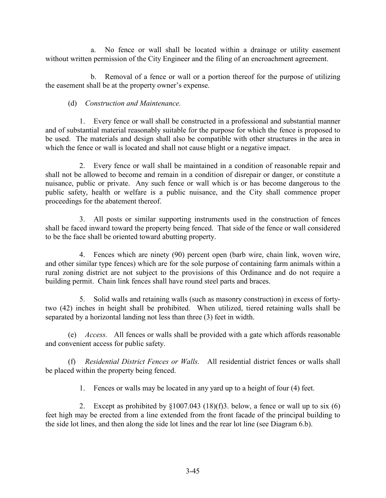a. No fence or wall shall be located within a drainage or utility easement without written permission of the City Engineer and the filing of an encroachment agreement.

b. Removal of a fence or wall or a portion thereof for the purpose of utilizing the easement shall be at the property owner's expense.

## (d) *Construction and Maintenance.*

1. Every fence or wall shall be constructed in a professional and substantial manner and of substantial material reasonably suitable for the purpose for which the fence is proposed to be used. The materials and design shall also be compatible with other structures in the area in which the fence or wall is located and shall not cause blight or a negative impact.

2. Every fence or wall shall be maintained in a condition of reasonable repair and shall not be allowed to become and remain in a condition of disrepair or danger, or constitute a nuisance, public or private. Any such fence or wall which is or has become dangerous to the public safety, health or welfare is a public nuisance, and the City shall commence proper proceedings for the abatement thereof.

3. All posts or similar supporting instruments used in the construction of fences shall be faced inward toward the property being fenced. That side of the fence or wall considered to be the face shall be oriented toward abutting property.

4. Fences which are ninety (90) percent open (barb wire, chain link, woven wire, and other similar type fences) which are for the sole purpose of containing farm animals within a rural zoning district are not subject to the provisions of this Ordinance and do not require a building permit. Chain link fences shall have round steel parts and braces.

5. Solid walls and retaining walls (such as masonry construction) in excess of fortytwo (42) inches in height shall be prohibited. When utilized, tiered retaining walls shall be separated by a horizontal landing not less than three (3) feet in width.

(e) *Access.* All fences or walls shall be provided with a gate which affords reasonable and convenient access for public safety.

(f) *Residential District Fences or Walls.* All residential district fences or walls shall be placed within the property being fenced.

1. Fences or walls may be located in any yard up to a height of four (4) feet.

2. Except as prohibited by  $\S1007.043$  (18)(f)3. below, a fence or wall up to six (6) feet high may be erected from a line extended from the front facade of the principal building to the side lot lines, and then along the side lot lines and the rear lot line (see Diagram 6.b).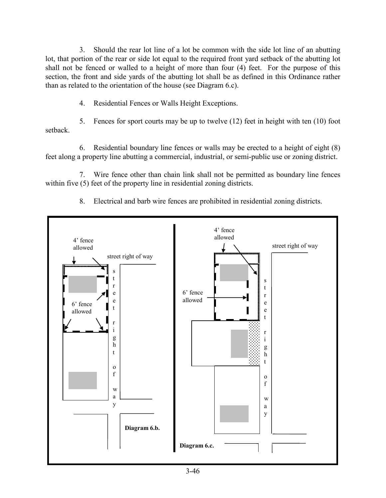3. Should the rear lot line of a lot be common with the side lot line of an abutting lot, that portion of the rear or side lot equal to the required front yard setback of the abutting lot shall not be fenced or walled to a height of more than four (4) feet. For the purpose of this section, the front and side yards of the abutting lot shall be as defined in this Ordinance rather than as related to the orientation of the house (see Diagram 6.c).

4. Residential Fences or Walls Height Exceptions.

5. Fences for sport courts may be up to twelve (12) feet in height with ten (10) foot setback.

6. Residential boundary line fences or walls may be erected to a height of eight (8) feet along a property line abutting a commercial, industrial, or semi-public use or zoning district.

7. Wire fence other than chain link shall not be permitted as boundary line fences within five (5) feet of the property line in residential zoning districts.



8. Electrical and barb wire fences are prohibited in residential zoning districts.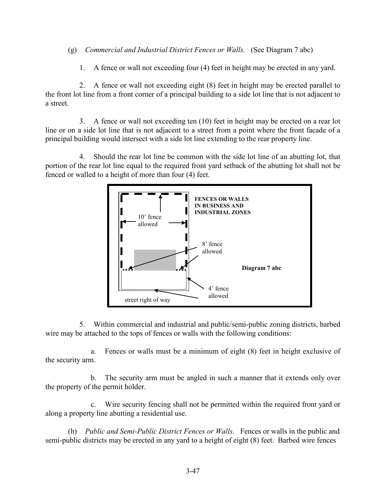(g) *Commercial and Industrial District Fences or Walls.* (See Diagram 7 abc)

1. A fence or wall not exceeding four (4) feet in height may be erected in any yard.

2. A fence or wall not exceeding eight (8) feet in height may be erected parallel to the front lot line from a front corner of a principal building to a side lot line that is not adjacent to a street.

3. A fence or wall not exceeding ten (10) feet in height may be erected on a rear lot line or on a side lot line that is not adjacent to a street from a point where the front facade of a principal building would intersect with a side lot line extending to the rear property line.

4. Should the rear lot line be common with the side lot line of an abutting lot, that portion of the rear lot line equal to the required front yard setback of the abutting lot shall not be fenced or walled to a height of more than four (4) feet.



5. Within commercial and industrial and public/semi-public zoning districts, barbed wire may be attached to the tops of fences or walls with the following conditions:

a. Fences or walls must be a minimum of eight (8) feet in height exclusive of the security arm.

b. The security arm must be angled in such a manner that it extends only over the property of the permit holder.

c. Wire security fencing shall not be permitted within the required front yard or along a property line abutting a residential use.

(h) *Public and Semi-Public District Fences or Walls.* Fences or walls in the public and semi-public districts may be erected in any yard to a height of eight (8) feet. Barbed wire fences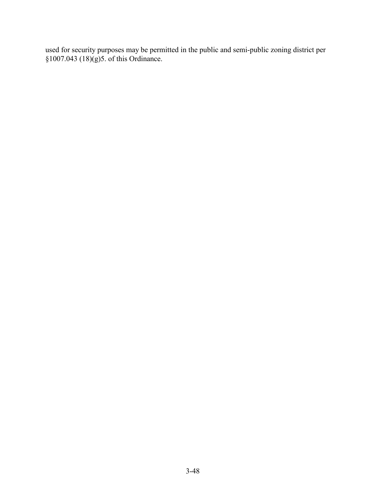used for security purposes may be permitted in the public and semi-public zoning district per §1007.043 (18)(g)5. of this Ordinance.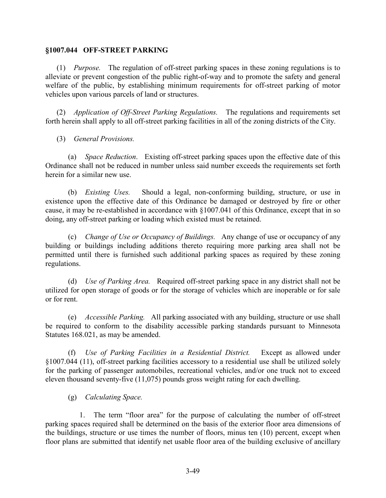#### **§1007.044 OFF-STREET PARKING**

(1) *Purpose.* The regulation of off-street parking spaces in these zoning regulations is to alleviate or prevent congestion of the public right-of-way and to promote the safety and general welfare of the public, by establishing minimum requirements for off-street parking of motor vehicles upon various parcels of land or structures.

(2) *Application of Off-Street Parking Regulations.* The regulations and requirements set forth herein shall apply to all off-street parking facilities in all of the zoning districts of the City.

## (3) *General Provisions.*

(a) *Space Reduction*. Existing off-street parking spaces upon the effective date of this Ordinance shall not be reduced in number unless said number exceeds the requirements set forth herein for a similar new use.

(b) *Existing Uses.* Should a legal, non-conforming building, structure, or use in existence upon the effective date of this Ordinance be damaged or destroyed by fire or other cause, it may be re-established in accordance with §1007.041 of this Ordinance, except that in so doing, any off-street parking or loading which existed must be retained.

Change of Use or Occupancy of Buildings. Any change of use or occupancy of any building or buildings including additions thereto requiring more parking area shall not be permitted until there is furnished such additional parking spaces as required by these zoning regulations.

(d) *Use of Parking Area.* Required off-street parking space in any district shall not be utilized for open storage of goods or for the storage of vehicles which are inoperable or for sale or for rent.

(e) *Accessible Parking.* All parking associated with any building, structure or use shall be required to conform to the disability accessible parking standards pursuant to Minnesota Statutes 168.021, as may be amended.

(f) *Use of Parking Facilities in a Residential District.* Except as allowed under §1007.044 (11), off-street parking facilities accessory to a residential use shall be utilized solely for the parking of passenger automobiles, recreational vehicles, and/or one truck not to exceed eleven thousand seventy-five (11,075) pounds gross weight rating for each dwelling.

(g) *Calculating Space.* 

1. The term "floor area" for the purpose of calculating the number of off-street parking spaces required shall be determined on the basis of the exterior floor area dimensions of the buildings, structure or use times the number of floors, minus ten (10) percent, except when floor plans are submitted that identify net usable floor area of the building exclusive of ancillary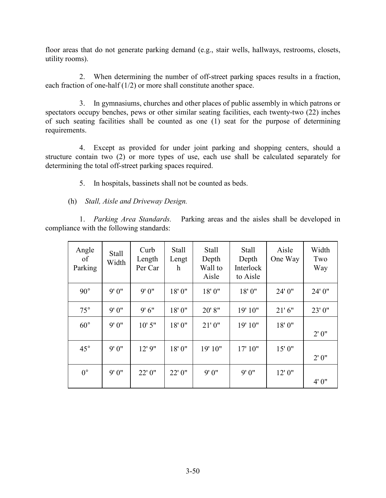floor areas that do not generate parking demand (e.g., stair wells, hallways, restrooms, closets, utility rooms).

2. When determining the number of off-street parking spaces results in a fraction, each fraction of one-half (1/2) or more shall constitute another space.

3. In gymnasiums, churches and other places of public assembly in which patrons or spectators occupy benches, pews or other similar seating facilities, each twenty-two (22) inches of such seating facilities shall be counted as one (1) seat for the purpose of determining requirements.

4. Except as provided for under joint parking and shopping centers, should a structure contain two (2) or more types of use, each use shall be calculated separately for determining the total off-street parking spaces required.

5. In hospitals, bassinets shall not be counted as beds.

(h) *Stall, Aisle and Driveway Design.* 

1. *Parking Area Standards.* Parking areas and the aisles shall be developed in compliance with the following standards:

| Angle<br>of<br>Parking | <b>Stall</b><br>Width | Curb<br>Length<br>Per Car | <b>Stall</b><br>Lengt<br>$\mathbf h$ | <b>Stall</b><br>Depth<br>Wall to<br>Aisle | <b>Stall</b><br>Depth<br>Interlock<br>to Aisle | Aisle<br>One Way | Width<br>Two<br>Way |
|------------------------|-----------------------|---------------------------|--------------------------------------|-------------------------------------------|------------------------------------------------|------------------|---------------------|
| $90^{\circ}$           | 9'0''                 | 9'0''                     | 18'0"                                | 18'0"                                     | 18'0"                                          | 24' 0"           | 24' 0"              |
| $75^{\circ}$           | 9'0''                 | 9'6''                     | 18'0"                                | 20' 8''                                   | 19' 10"                                        | 21'6''           | 23' 0"              |
| $60^{\circ}$           | 9'0''                 | 10'5''                    | 18'0"                                | 21'0''                                    | 19' 10"                                        | 18'0"            | 2'0''               |
| $45^{\circ}$           | 9'0''                 | $12'$ 9"                  | 18'0"                                | 19' 10"                                   | 17' 10''                                       | 15'0''           | 2'0''               |
| $0^{\circ}$            | 9'0''                 | 22' 0"                    | 22' 0"                               | 9'0''                                     | 9'0''                                          | 12'0''           | 4'0''               |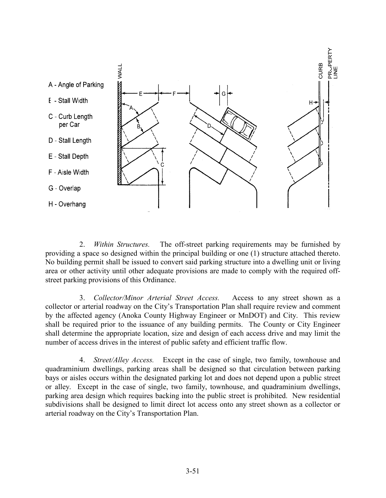

2. *Within Structures.* The off-street parking requirements may be furnished by providing a space so designed within the principal building or one (1) structure attached thereto. No building permit shall be issued to convert said parking structure into a dwelling unit or living area or other activity until other adequate provisions are made to comply with the required offstreet parking provisions of this Ordinance.

3. *Collector/Minor Arterial Street Access.* Access to any street shown as a collector or arterial roadway on the City's Transportation Plan shall require review and comment by the affected agency (Anoka County Highway Engineer or MnDOT) and City. This review shall be required prior to the issuance of any building permits. The County or City Engineer shall determine the appropriate location, size and design of each access drive and may limit the number of access drives in the interest of public safety and efficient traffic flow.

4. *Street/Alley Access.* Except in the case of single, two family, townhouse and quadraminium dwellings, parking areas shall be designed so that circulation between parking bays or aisles occurs within the designated parking lot and does not depend upon a public street or alley. Except in the case of single, two family, townhouse, and quadraminium dwellings, parking area design which requires backing into the public street is prohibited. New residential subdivisions shall be designed to limit direct lot access onto any street shown as a collector or arterial roadway on the City's Transportation Plan.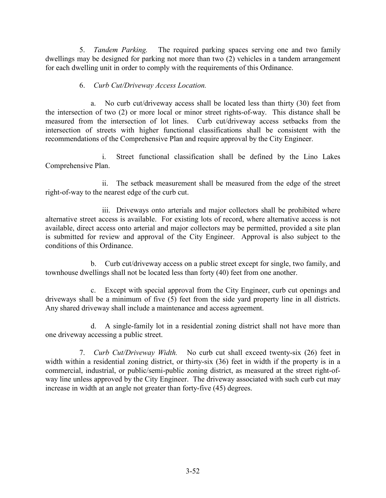5. *Tandem Parking.* The required parking spaces serving one and two family dwellings may be designed for parking not more than two (2) vehicles in a tandem arrangement for each dwelling unit in order to comply with the requirements of this Ordinance.

## 6. *Curb Cut/Driveway Access Location.*

a. No curb cut/driveway access shall be located less than thirty (30) feet from the intersection of two (2) or more local or minor street rights-of-way. This distance shall be measured from the intersection of lot lines. Curb cut/driveway access setbacks from the intersection of streets with higher functional classifications shall be consistent with the recommendations of the Comprehensive Plan and require approval by the City Engineer.

i. Street functional classification shall be defined by the Lino Lakes Comprehensive Plan.

ii. The setback measurement shall be measured from the edge of the street right-of-way to the nearest edge of the curb cut.

iii. Driveways onto arterials and major collectors shall be prohibited where alternative street access is available. For existing lots of record, where alternative access is not available, direct access onto arterial and major collectors may be permitted, provided a site plan is submitted for review and approval of the City Engineer. Approval is also subject to the conditions of this Ordinance.

b. Curb cut/driveway access on a public street except for single, two family, and townhouse dwellings shall not be located less than forty (40) feet from one another.

c. Except with special approval from the City Engineer, curb cut openings and driveways shall be a minimum of five (5) feet from the side yard property line in all districts. Any shared driveway shall include a maintenance and access agreement.

d. A single-family lot in a residential zoning district shall not have more than one driveway accessing a public street.

7. *Curb Cut/Driveway Width.* No curb cut shall exceed twenty-six (26) feet in width within a residential zoning district, or thirty-six (36) feet in width if the property is in a commercial, industrial, or public/semi-public zoning district, as measured at the street right-ofway line unless approved by the City Engineer. The driveway associated with such curb cut may increase in width at an angle not greater than forty-five (45) degrees.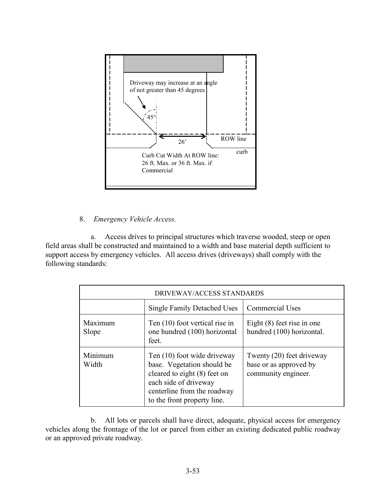

## 8. *Emergency Vehicle Access.*

a. Access drives to principal structures which traverse wooded, steep or open field areas shall be constructed and maintained to a width and base material depth sufficient to support access by emergency vehicles. All access drives (driveways) shall comply with the following standards:

| DRIVEWAY/ACCESS STANDARDS |                                                                                                                                                                                  |                                                                            |  |  |
|---------------------------|----------------------------------------------------------------------------------------------------------------------------------------------------------------------------------|----------------------------------------------------------------------------|--|--|
|                           | <b>Single Family Detached Uses</b>                                                                                                                                               | <b>Commercial Uses</b>                                                     |  |  |
| Maximum<br>Slope          | Ten $(10)$ foot vertical rise in<br>one hundred (100) horizontal<br>feet.                                                                                                        | Eight $(8)$ feet rise in one<br>hundred (100) horizontal.                  |  |  |
| Minimum<br>Width          | Ten (10) foot wide driveway<br>base. Vegetation should be<br>cleared to eight (8) feet on<br>each side of driveway<br>centerline from the roadway<br>to the front property line. | Twenty (20) feet driveway<br>base or as approved by<br>community engineer. |  |  |

b. All lots or parcels shall have direct, adequate, physical access for emergency vehicles along the frontage of the lot or parcel from either an existing dedicated public roadway or an approved private roadway.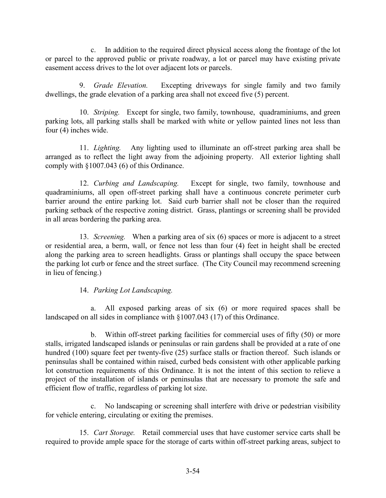c. In addition to the required direct physical access along the frontage of the lot or parcel to the approved public or private roadway, a lot or parcel may have existing private easement access drives to the lot over adjacent lots or parcels.

9. *Grade Elevation.* Excepting driveways for single family and two family dwellings, the grade elevation of a parking area shall not exceed five (5) percent.

10. *Striping.* Except for single, two family, townhouse, quadraminiums, and green parking lots, all parking stalls shall be marked with white or yellow painted lines not less than four (4) inches wide.

11. *Lighting.* Any lighting used to illuminate an off-street parking area shall be arranged as to reflect the light away from the adjoining property. All exterior lighting shall comply with §1007.043 (6) of this Ordinance.

12. *Curbing and Landscaping.* Except for single, two family, townhouse and quadraminiums, all open off-street parking shall have a continuous concrete perimeter curb barrier around the entire parking lot. Said curb barrier shall not be closer than the required parking setback of the respective zoning district. Grass, plantings or screening shall be provided in all areas bordering the parking area.

13. *Screening.* When a parking area of six (6) spaces or more is adjacent to a street or residential area, a berm, wall, or fence not less than four (4) feet in height shall be erected along the parking area to screen headlights. Grass or plantings shall occupy the space between the parking lot curb or fence and the street surface. (The City Council may recommend screening in lieu of fencing.)

## 14. *Parking Lot Landscaping.*

a. All exposed parking areas of six (6) or more required spaces shall be landscaped on all sides in compliance with §1007.043 (17) of this Ordinance.

b. Within off-street parking facilities for commercial uses of fifty (50) or more stalls, irrigated landscaped islands or peninsulas or rain gardens shall be provided at a rate of one hundred (100) square feet per twenty-five (25) surface stalls or fraction thereof. Such islands or peninsulas shall be contained within raised, curbed beds consistent with other applicable parking lot construction requirements of this Ordinance. It is not the intent of this section to relieve a project of the installation of islands or peninsulas that are necessary to promote the safe and efficient flow of traffic, regardless of parking lot size.

c. No landscaping or screening shall interfere with drive or pedestrian visibility for vehicle entering, circulating or exiting the premises.

15. *Cart Storage.* Retail commercial uses that have customer service carts shall be required to provide ample space for the storage of carts within off-street parking areas, subject to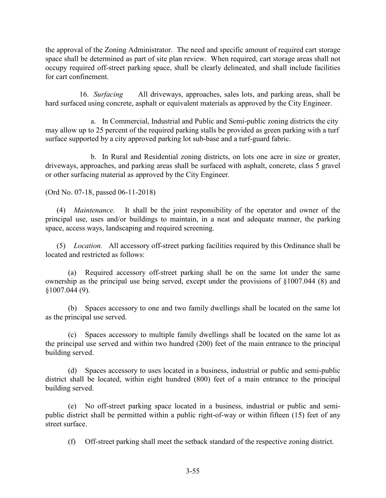the approval of the Zoning Administrator. The need and specific amount of required cart storage space shall be determined as part of site plan review. When required, cart storage areas shall not occupy required off-street parking space, shall be clearly delineated, and shall include facilities for cart confinement.

16. *Surfacing* All driveways, approaches, sales lots, and parking areas, shall be hard surfaced using concrete, asphalt or equivalent materials as approved by the City Engineer.

a. In Commercial, Industrial and Public and Semi-public zoning districts the city may allow up to 25 percent of the required parking stalls be provided as green parking with a turf surface supported by a city approved parking lot sub-base and a turf-guard fabric.

b. In Rural and Residential zoning districts, on lots one acre in size or greater, driveways, approaches, and parking areas shall be surfaced with asphalt, concrete, class 5 gravel or other surfacing material as approved by the City Engineer.

(Ord No. 07-18, passed 06-11-2018)

(4) *Maintenance.* It shall be the joint responsibility of the operator and owner of the principal use, uses and/or buildings to maintain, in a neat and adequate manner, the parking space, access ways, landscaping and required screening.

(5) *Location.* All accessory off-street parking facilities required by this Ordinance shall be located and restricted as follows:

(a) Required accessory off-street parking shall be on the same lot under the same ownership as the principal use being served, except under the provisions of §1007.044 (8) and §1007.044 (9).

(b) Spaces accessory to one and two family dwellings shall be located on the same lot as the principal use served.

(c) Spaces accessory to multiple family dwellings shall be located on the same lot as the principal use served and within two hundred (200) feet of the main entrance to the principal building served.

(d) Spaces accessory to uses located in a business, industrial or public and semi-public district shall be located, within eight hundred (800) feet of a main entrance to the principal building served.

(e) No off-street parking space located in a business, industrial or public and semipublic district shall be permitted within a public right-of-way or within fifteen (15) feet of any street surface.

(f) Off-street parking shall meet the setback standard of the respective zoning district.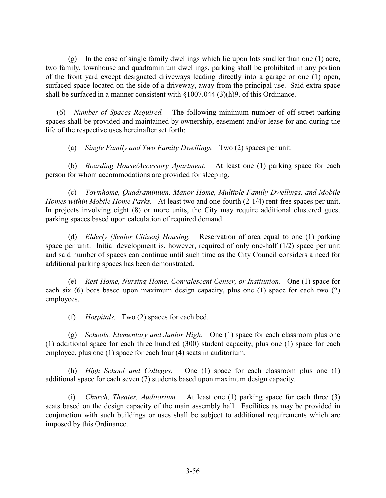(g) In the case of single family dwellings which lie upon lots smaller than one (1) acre, two family, townhouse and quadraminium dwellings, parking shall be prohibited in any portion of the front yard except designated driveways leading directly into a garage or one (1) open, surfaced space located on the side of a driveway, away from the principal use. Said extra space shall be surfaced in a manner consistent with §1007.044 (3)(h)9. of this Ordinance.

(6) *Number of Spaces Required.* The following minimum number of off-street parking spaces shall be provided and maintained by ownership, easement and/or lease for and during the life of the respective uses hereinafter set forth:

(a) *Single Family and Two Family Dwellings.* Two (2) spaces per unit.

(b) *Boarding House/Accessory Apartment*. At least one (1) parking space for each person for whom accommodations are provided for sleeping.

(c) *Townhome, Quadraminium, Manor Home, Multiple Family Dwellings, and Mobile Homes within Mobile Home Parks.* At least two and one-fourth (2-1/4) rent-free spaces per unit. In projects involving eight (8) or more units, the City may require additional clustered guest parking spaces based upon calculation of required demand.

(d) *Elderly (Senior Citizen) Housing.* Reservation of area equal to one (1) parking space per unit. Initial development is, however, required of only one-half (1/2) space per unit and said number of spaces can continue until such time as the City Council considers a need for additional parking spaces has been demonstrated.

(e) *Rest Home, Nursing Home, Convalescent Center, or Institution*. One (1) space for each six (6) beds based upon maximum design capacity, plus one (1) space for each two (2) employees.

(f) *Hospitals.* Two (2) spaces for each bed.

(g) *Schools, Elementary and Junior High*. One (1) space for each classroom plus one (1) additional space for each three hundred (300) student capacity, plus one (1) space for each employee, plus one (1) space for each four (4) seats in auditorium.

(h) *High School and Colleges.* One (1) space for each classroom plus one (1) additional space for each seven (7) students based upon maximum design capacity.

(i) *Church, Theater, Auditorium.* At least one (1) parking space for each three (3) seats based on the design capacity of the main assembly hall. Facilities as may be provided in conjunction with such buildings or uses shall be subject to additional requirements which are imposed by this Ordinance.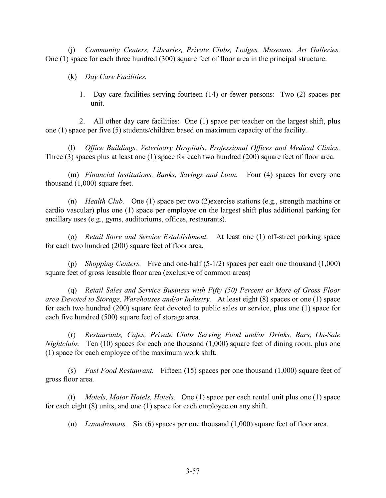(j) *Community Centers, Libraries, Private Clubs, Lodges, Museums, Art Galleries.*  One (1) space for each three hundred (300) square feet of floor area in the principal structure.

(k) *Day Care Facilities.*

1. Day care facilities serving fourteen (14) or fewer persons: Two (2) spaces per unit.

2. All other day care facilities: One (1) space per teacher on the largest shift, plus one (1) space per five (5) students/children based on maximum capacity of the facility.

(l) *Office Buildings, Veterinary Hospitals, Professional Offices and Medical Clinics.* Three (3) spaces plus at least one (1) space for each two hundred (200) square feet of floor area.

(m) *Financial Institutions, Banks, Savings and Loan.* Four (4) spaces for every one thousand (1,000) square feet.

(n) *Health Club.* One (1) space per two (2)exercise stations (e.g., strength machine or cardio vascular) plus one (1) space per employee on the largest shift plus additional parking for ancillary uses (e.g., gyms, auditoriums, offices, restaurants).

(o) *Retail Store and Service Establishment.* At least one (1) off-street parking space for each two hundred (200) square feet of floor area.

(p) *Shopping Centers.* Five and one-half (5-1/2) spaces per each one thousand (1,000) square feet of gross leasable floor area (exclusive of common areas)

(q) *Retail Sales and Service Business with Fifty (50) Percent or More of Gross Floor area Devoted to Storage, Warehouses and/or Industry.* At least eight (8) spaces or one (1) space for each two hundred (200) square feet devoted to public sales or service, plus one (1) space for each five hundred (500) square feet of storage area.

(r) *Restaurants, Cafes, Private Clubs Serving Food and/or Drinks, Bars, On-Sale Nightclubs.* Ten (10) spaces for each one thousand (1,000) square feet of dining room, plus one (1) space for each employee of the maximum work shift.

(s) *Fast Food Restaurant.* Fifteen (15) spaces per one thousand (1,000) square feet of gross floor area.

(t) *Motels, Motor Hotels, Hotels.* One (1) space per each rental unit plus one (1) space for each eight (8) units, and one (1) space for each employee on any shift.

(u) *Laundromats.* Six (6) spaces per one thousand (1,000) square feet of floor area.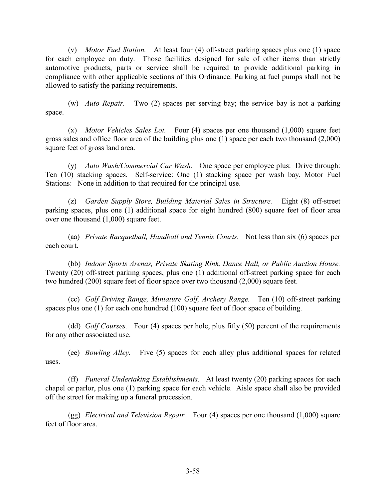(v) *Motor Fuel Station.* At least four (4) off-street parking spaces plus one (1) space for each employee on duty. Those facilities designed for sale of other items than strictly automotive products, parts or service shall be required to provide additional parking in compliance with other applicable sections of this Ordinance. Parking at fuel pumps shall not be allowed to satisfy the parking requirements.

(w) *Auto Repair.* Two (2) spaces per serving bay; the service bay is not a parking space.

(x) *Motor Vehicles Sales Lot.* Four (4) spaces per one thousand (1,000) square feet gross sales and office floor area of the building plus one (1) space per each two thousand (2,000) square feet of gross land area.

(y) *Auto Wash/Commercial Car Wash.* One space per employee plus: Drive through: Ten (10) stacking spaces. Self-service: One (1) stacking space per wash bay. Motor Fuel Stations: None in addition to that required for the principal use.

(z) *Garden Supply Store, Building Material Sales in Structure.* Eight (8) off-street parking spaces, plus one (1) additional space for eight hundred (800) square feet of floor area over one thousand (1,000) square feet.

(aa) *Private Racquetball, Handball and Tennis Courts.* Not less than six (6) spaces per each court.

(bb) *Indoor Sports Arenas, Private Skating Rink, Dance Hall, or Public Auction House.* Twenty (20) off-street parking spaces, plus one (1) additional off-street parking space for each two hundred (200) square feet of floor space over two thousand (2,000) square feet.

(cc) *Golf Driving Range, Miniature Golf, Archery Range.* Ten (10) off-street parking spaces plus one (1) for each one hundred (100) square feet of floor space of building.

(dd) *Golf Courses.* Four (4) spaces per hole, plus fifty (50) percent of the requirements for any other associated use.

(ee) *Bowling Alley.* Five (5) spaces for each alley plus additional spaces for related uses.

(ff) *Funeral Undertaking Establishments.* At least twenty (20) parking spaces for each chapel or parlor, plus one (1) parking space for each vehicle. Aisle space shall also be provided off the street for making up a funeral procession.

(gg) *Electrical and Television Repair.* Four (4) spaces per one thousand (1,000) square feet of floor area.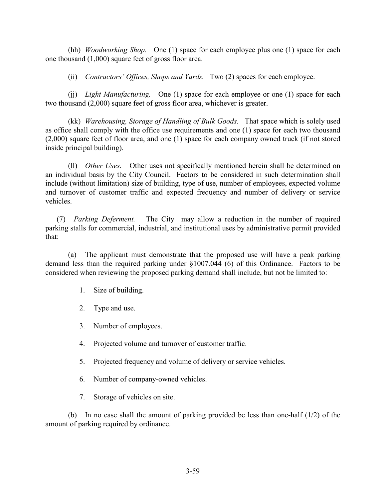(hh) *Woodworking Shop.* One (1) space for each employee plus one (1) space for each one thousand (1,000) square feet of gross floor area.

(ii) *Contractors' Offices, Shops and Yards.* Two (2) spaces for each employee.

(jj) *Light Manufacturing.* One (1) space for each employee or one (1) space for each two thousand (2,000) square feet of gross floor area, whichever is greater.

(kk) *Warehousing, Storage of Handling of Bulk Goods.* That space which is solely used as office shall comply with the office use requirements and one (1) space for each two thousand (2,000) square feet of floor area, and one (1) space for each company owned truck (if not stored inside principal building).

(ll) *Other Uses.* Other uses not specifically mentioned herein shall be determined on an individual basis by the City Council. Factors to be considered in such determination shall include (without limitation) size of building, type of use, number of employees, expected volume and turnover of customer traffic and expected frequency and number of delivery or service vehicles.

(7) *Parking Deferment.* The City may allow a reduction in the number of required parking stalls for commercial, industrial, and institutional uses by administrative permit provided that:

(a) The applicant must demonstrate that the proposed use will have a peak parking demand less than the required parking under §1007.044 (6) of this Ordinance. Factors to be considered when reviewing the proposed parking demand shall include, but not be limited to:

- 1. Size of building.
- 2. Type and use.
- 3. Number of employees.
- 4. Projected volume and turnover of customer traffic.
- 5. Projected frequency and volume of delivery or service vehicles.
- 6. Number of company-owned vehicles.
- 7. Storage of vehicles on site.

(b) In no case shall the amount of parking provided be less than one-half (1/2) of the amount of parking required by ordinance.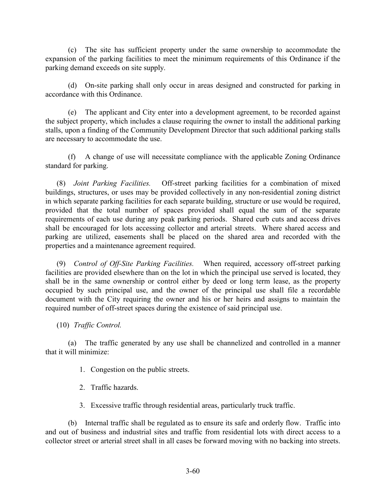(c) The site has sufficient property under the same ownership to accommodate the expansion of the parking facilities to meet the minimum requirements of this Ordinance if the parking demand exceeds on site supply.

(d) On-site parking shall only occur in areas designed and constructed for parking in accordance with this Ordinance.

(e) The applicant and City enter into a development agreement, to be recorded against the subject property, which includes a clause requiring the owner to install the additional parking stalls, upon a finding of the Community Development Director that such additional parking stalls are necessary to accommodate the use.

(f) A change of use will necessitate compliance with the applicable Zoning Ordinance standard for parking.

(8) *Joint Parking Facilities.* Off-street parking facilities for a combination of mixed buildings, structures, or uses may be provided collectively in any non-residential zoning district in which separate parking facilities for each separate building, structure or use would be required, provided that the total number of spaces provided shall equal the sum of the separate requirements of each use during any peak parking periods. Shared curb cuts and access drives shall be encouraged for lots accessing collector and arterial streets. Where shared access and parking are utilized, easements shall be placed on the shared area and recorded with the properties and a maintenance agreement required.

(9) *Control of Off-Site Parking Facilities.* When required, accessory off-street parking facilities are provided elsewhere than on the lot in which the principal use served is located, they shall be in the same ownership or control either by deed or long term lease, as the property occupied by such principal use, and the owner of the principal use shall file a recordable document with the City requiring the owner and his or her heirs and assigns to maintain the required number of off-street spaces during the existence of said principal use.

(10) *Traffic Control.* 

(a) The traffic generated by any use shall be channelized and controlled in a manner that it will minimize:

- 1. Congestion on the public streets.
- 2. Traffic hazards.
- 3. Excessive traffic through residential areas, particularly truck traffic.

(b) Internal traffic shall be regulated as to ensure its safe and orderly flow. Traffic into and out of business and industrial sites and traffic from residential lots with direct access to a collector street or arterial street shall in all cases be forward moving with no backing into streets.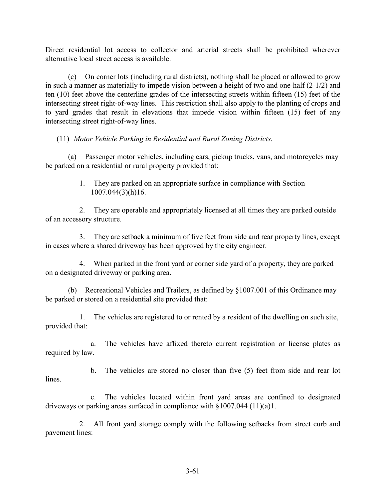Direct residential lot access to collector and arterial streets shall be prohibited wherever alternative local street access is available.

(c) On corner lots (including rural districts), nothing shall be placed or allowed to grow in such a manner as materially to impede vision between a height of two and one-half (2-1/2) and ten (10) feet above the centerline grades of the intersecting streets within fifteen (15) feet of the intersecting street right-of-way lines. This restriction shall also apply to the planting of crops and to yard grades that result in elevations that impede vision within fifteen (15) feet of any intersecting street right-of-way lines.

(11) *Motor Vehicle Parking in Residential and Rural Zoning Districts.*

(a) Passenger motor vehicles, including cars, pickup trucks, vans, and motorcycles may be parked on a residential or rural property provided that:

> 1. They are parked on an appropriate surface in compliance with Section 1007.044(3)(h)16.

2. They are operable and appropriately licensed at all times they are parked outside of an accessory structure.

3. They are setback a minimum of five feet from side and rear property lines, except in cases where a shared driveway has been approved by the city engineer.

4. When parked in the front yard or corner side yard of a property, they are parked on a designated driveway or parking area.

(b) Recreational Vehicles and Trailers, as defined by §1007.001 of this Ordinance may be parked or stored on a residential site provided that:

1. The vehicles are registered to or rented by a resident of the dwelling on such site, provided that:

a. The vehicles have affixed thereto current registration or license plates as required by law.

b. The vehicles are stored no closer than five (5) feet from side and rear lot lines.

c. The vehicles located within front yard areas are confined to designated driveways or parking areas surfaced in compliance with  $\S 1007.044 (11)(a)1$ .

2. All front yard storage comply with the following setbacks from street curb and pavement lines: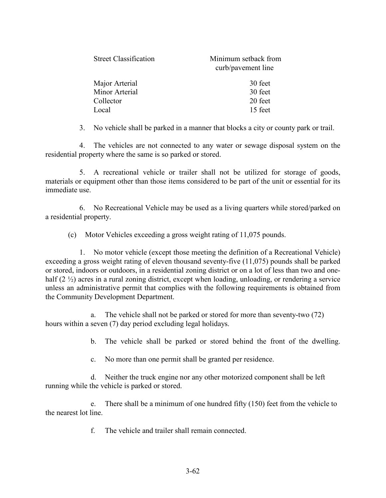| <b>Street Classification</b> | Minimum setback from<br>curb/pavement line |
|------------------------------|--------------------------------------------|
| Major Arterial               | 30 feet                                    |
| Minor Arterial               | 30 feet                                    |
| Collector                    | 20 feet                                    |
| Local                        | 15 feet                                    |

3. No vehicle shall be parked in a manner that blocks a city or county park or trail.

4. The vehicles are not connected to any water or sewage disposal system on the residential property where the same is so parked or stored.

5. A recreational vehicle or trailer shall not be utilized for storage of goods, materials or equipment other than those items considered to be part of the unit or essential for its immediate use.

6. No Recreational Vehicle may be used as a living quarters while stored/parked on a residential property.

(c) Motor Vehicles exceeding a gross weight rating of 11,075 pounds.

1. No motor vehicle (except those meeting the definition of a Recreational Vehicle) exceeding a gross weight rating of eleven thousand seventy-five (11,075) pounds shall be parked or stored, indoors or outdoors, in a residential zoning district or on a lot of less than two and onehalf (2  $\frac{1}{2}$ ) acres in a rural zoning district, except when loading, unloading, or rendering a service unless an administrative permit that complies with the following requirements is obtained from the Community Development Department.

a. The vehicle shall not be parked or stored for more than seventy-two (72) hours within a seven (7) day period excluding legal holidays.

b. The vehicle shall be parked or stored behind the front of the dwelling.

c. No more than one permit shall be granted per residence.

d. Neither the truck engine nor any other motorized component shall be left running while the vehicle is parked or stored.

e. There shall be a minimum of one hundred fifty (150) feet from the vehicle to the nearest lot line.

f. The vehicle and trailer shall remain connected.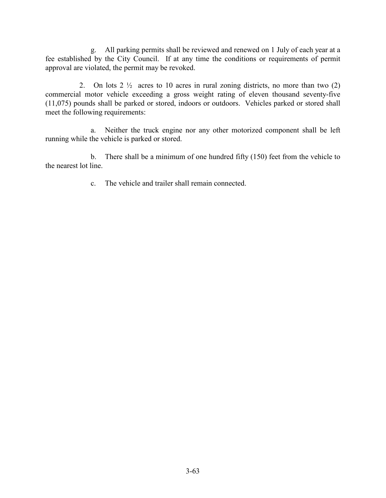g. All parking permits shall be reviewed and renewed on 1 July of each year at a fee established by the City Council. If at any time the conditions or requirements of permit approval are violated, the permit may be revoked.

2. On lots  $2 \frac{1}{2}$  acres to 10 acres in rural zoning districts, no more than two (2) commercial motor vehicle exceeding a gross weight rating of eleven thousand seventy-five (11,075) pounds shall be parked or stored, indoors or outdoors. Vehicles parked or stored shall meet the following requirements:

a. Neither the truck engine nor any other motorized component shall be left running while the vehicle is parked or stored.

b. There shall be a minimum of one hundred fifty (150) feet from the vehicle to the nearest lot line.

c. The vehicle and trailer shall remain connected.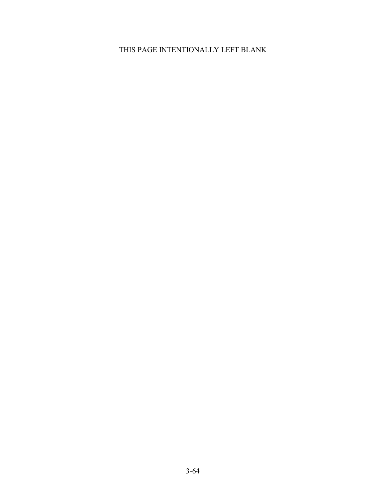# THIS PAGE INTENTIONALLY LEFT BLANK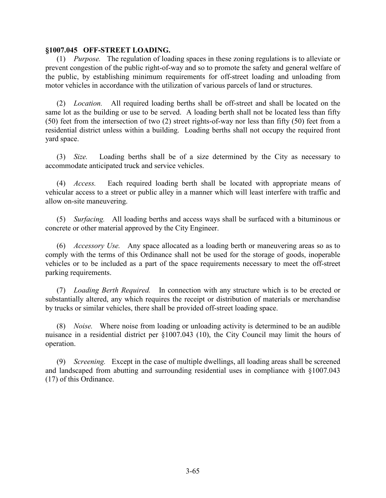#### **§1007.045 OFF-STREET LOADING.**

(1) *Purpose.* The regulation of loading spaces in these zoning regulations is to alleviate or prevent congestion of the public right-of-way and so to promote the safety and general welfare of the public, by establishing minimum requirements for off-street loading and unloading from motor vehicles in accordance with the utilization of various parcels of land or structures.

(2) *Location.* All required loading berths shall be off-street and shall be located on the same lot as the building or use to be served. A loading berth shall not be located less than fifty (50) feet from the intersection of two (2) street rights-of-way nor less than fifty (50) feet from a residential district unless within a building. Loading berths shall not occupy the required front yard space.

(3) *Size.* Loading berths shall be of a size determined by the City as necessary to accommodate anticipated truck and service vehicles.

(4) *Access.* Each required loading berth shall be located with appropriate means of vehicular access to a street or public alley in a manner which will least interfere with traffic and allow on-site maneuvering.

(5) *Surfacing.* All loading berths and access ways shall be surfaced with a bituminous or concrete or other material approved by the City Engineer.

(6) *Accessory Use.* Any space allocated as a loading berth or maneuvering areas so as to comply with the terms of this Ordinance shall not be used for the storage of goods, inoperable vehicles or to be included as a part of the space requirements necessary to meet the off-street parking requirements.

(7) *Loading Berth Required.* In connection with any structure which is to be erected or substantially altered, any which requires the receipt or distribution of materials or merchandise by trucks or similar vehicles, there shall be provided off-street loading space.

(8) *Noise.* Where noise from loading or unloading activity is determined to be an audible nuisance in a residential district per §1007.043 (10), the City Council may limit the hours of operation.

(9) *Screening.* Except in the case of multiple dwellings, all loading areas shall be screened and landscaped from abutting and surrounding residential uses in compliance with §1007.043 (17) of this Ordinance.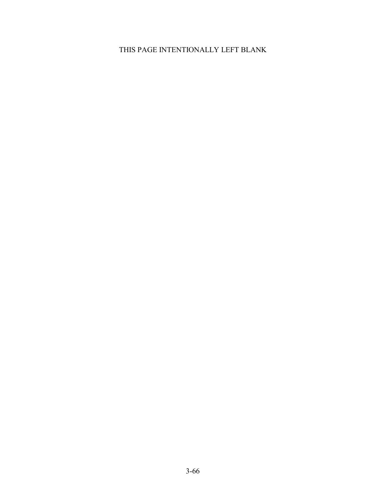# THIS PAGE INTENTIONALLY LEFT BLANK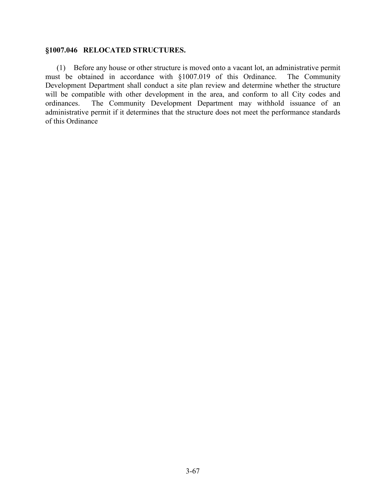## **§1007.046 RELOCATED STRUCTURES.**

(1) Before any house or other structure is moved onto a vacant lot, an administrative permit must be obtained in accordance with §1007.019 of this Ordinance. The Community Development Department shall conduct a site plan review and determine whether the structure will be compatible with other development in the area, and conform to all City codes and ordinances. The Community Development Department may withhold issuance of an administrative permit if it determines that the structure does not meet the performance standards of this Ordinance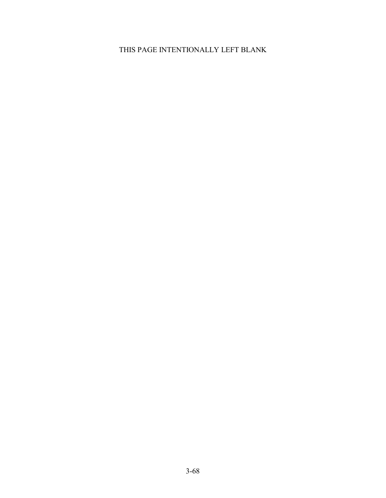# THIS PAGE INTENTIONALLY LEFT BLANK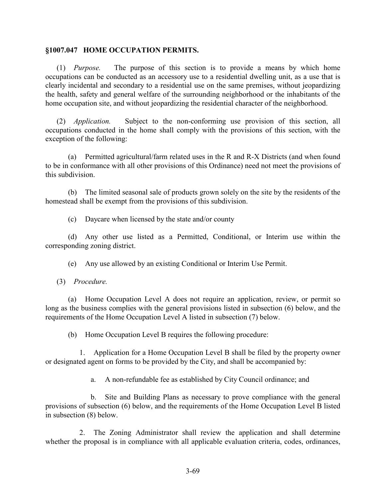#### **§1007.047 HOME OCCUPATION PERMITS.**

(1) *Purpose.* The purpose of this section is to provide a means by which home occupations can be conducted as an accessory use to a residential dwelling unit, as a use that is clearly incidental and secondary to a residential use on the same premises, without jeopardizing the health, safety and general welfare of the surrounding neighborhood or the inhabitants of the home occupation site, and without jeopardizing the residential character of the neighborhood.

(2) *Application.* Subject to the non-conforming use provision of this section, all occupations conducted in the home shall comply with the provisions of this section, with the exception of the following:

(a) Permitted agricultural/farm related uses in the R and R-X Districts (and when found to be in conformance with all other provisions of this Ordinance) need not meet the provisions of this subdivision.

(b) The limited seasonal sale of products grown solely on the site by the residents of the homestead shall be exempt from the provisions of this subdivision.

(c) Daycare when licensed by the state and/or county

(d) Any other use listed as a Permitted, Conditional, or Interim use within the corresponding zoning district.

(e) Any use allowed by an existing Conditional or Interim Use Permit.

(3) *Procedure.*

(a) Home Occupation Level A does not require an application, review, or permit so long as the business complies with the general provisions listed in subsection (6) below, and the requirements of the Home Occupation Level A listed in subsection (7) below.

(b) Home Occupation Level B requires the following procedure:

1. Application for a Home Occupation Level B shall be filed by the property owner or designated agent on forms to be provided by the City, and shall be accompanied by:

a. A non-refundable fee as established by City Council ordinance; and

b. Site and Building Plans as necessary to prove compliance with the general provisions of subsection (6) below, and the requirements of the Home Occupation Level B listed in subsection (8) below.

2. The Zoning Administrator shall review the application and shall determine whether the proposal is in compliance with all applicable evaluation criteria, codes, ordinances,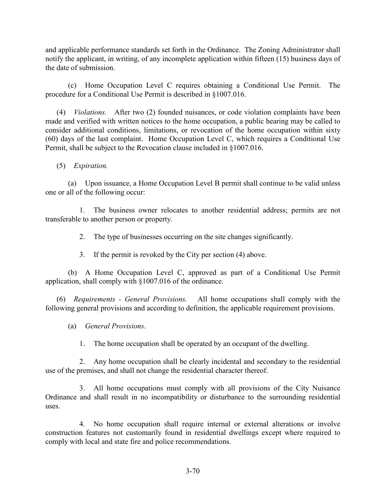and applicable performance standards set forth in the Ordinance. The Zoning Administrator shall notify the applicant, in writing, of any incomplete application within fifteen (15) business days of the date of submission.

(c) Home Occupation Level C requires obtaining a Conditional Use Permit. The procedure for a Conditional Use Permit is described in §1007.016.

(4) *Violations.* After two (2) founded nuisances, or code violation complaints have been made and verified with written notices to the home occupation, a public hearing may be called to consider additional conditions, limitations, or revocation of the home occupation within sixty (60) days of the last complaint. Home Occupation Level C, which requires a Conditional Use Permit, shall be subject to the Revocation clause included in §1007.016.

(5) *Expiration.* 

(a) Upon issuance, a Home Occupation Level B permit shall continue to be valid unless one or all of the following occur:

1. The business owner relocates to another residential address; permits are not transferable to another person or property.

2. The type of businesses occurring on the site changes significantly.

3. If the permit is revoked by the City per section (4) above.

(b) A Home Occupation Level C, approved as part of a Conditional Use Permit application, shall comply with §1007.016 of the ordinance.

(6) *Requirements - General Provisions.* All home occupations shall comply with the following general provisions and according to definition, the applicable requirement provisions.

(a) *General Provisions*.

1. The home occupation shall be operated by an occupant of the dwelling.

2. Any home occupation shall be clearly incidental and secondary to the residential use of the premises, and shall not change the residential character thereof.

3. All home occupations must comply with all provisions of the City Nuisance Ordinance and shall result in no incompatibility or disturbance to the surrounding residential uses.

4. No home occupation shall require internal or external alterations or involve construction features not customarily found in residential dwellings except where required to comply with local and state fire and police recommendations.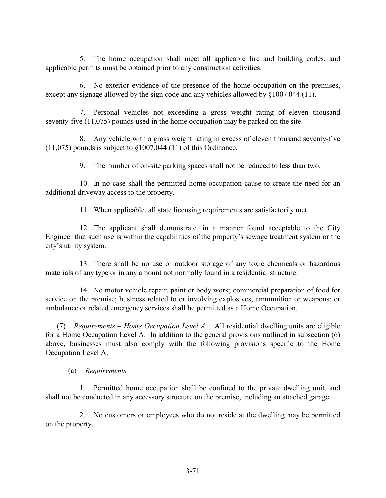5. The home occupation shall meet all applicable fire and building codes, and applicable permits must be obtained prior to any construction activities.

6. No exterior evidence of the presence of the home occupation on the premises, except any signage allowed by the sign code and any vehicles allowed by  $\S 1007.044$  (11).

7. Personal vehicles not exceeding a gross weight rating of eleven thousand seventy-five (11,075) pounds used in the home occupation may be parked on the site.

8. Any vehicle with a gross weight rating in excess of eleven thousand seventy-five  $(11,075)$  pounds is subject to  $\S 1007.044$   $(11)$  of this Ordinance.

9. The number of on-site parking spaces shall not be reduced to less than two.

10. In no case shall the permitted home occupation cause to create the need for an additional driveway access to the property.

11. When applicable, all state licensing requirements are satisfactorily met.

12. The applicant shall demonstrate, in a manner found acceptable to the City Engineer that such use is within the capabilities of the property's sewage treatment system or the city's utility system.

13. There shall be no use or outdoor storage of any toxic chemicals or hazardous materials of any type or in any amount not normally found in a residential structure.

14. No motor vehicle repair, paint or body work; commercial preparation of food for service on the premise; business related to or involving explosives, ammunition or weapons; or ambulance or related emergency services shall be permitted as a Home Occupation.

(7) *Requirements – Home Occupation Level A.* All residential dwelling units are eligible for a Home Occupation Level A. In addition to the general provisions outlined in subsection (6) above, businesses must also comply with the following provisions specific to the Home Occupation Level A.

(a) *Requirements.*

1. Permitted home occupation shall be confined to the private dwelling unit, and shall not be conducted in any accessory structure on the premise, including an attached garage.

2. No customers or employees who do not reside at the dwelling may be permitted on the property.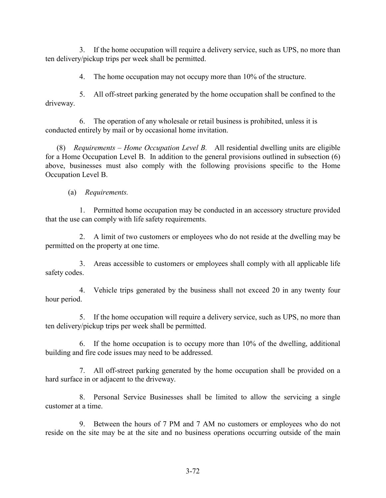3. If the home occupation will require a delivery service, such as UPS, no more than ten delivery/pickup trips per week shall be permitted.

4. The home occupation may not occupy more than 10% of the structure.

5. All off-street parking generated by the home occupation shall be confined to the driveway.

6. The operation of any wholesale or retail business is prohibited, unless it is conducted entirely by mail or by occasional home invitation.

(8) *Requirements – Home Occupation Level B.* All residential dwelling units are eligible for a Home Occupation Level B. In addition to the general provisions outlined in subsection (6) above, businesses must also comply with the following provisions specific to the Home Occupation Level B.

(a) *Requirements.*

1. Permitted home occupation may be conducted in an accessory structure provided that the use can comply with life safety requirements.

2. A limit of two customers or employees who do not reside at the dwelling may be permitted on the property at one time.

3. Areas accessible to customers or employees shall comply with all applicable life safety codes.

4. Vehicle trips generated by the business shall not exceed 20 in any twenty four hour period.

5. If the home occupation will require a delivery service, such as UPS, no more than ten delivery/pickup trips per week shall be permitted.

6. If the home occupation is to occupy more than 10% of the dwelling, additional building and fire code issues may need to be addressed.

7. All off-street parking generated by the home occupation shall be provided on a hard surface in or adjacent to the driveway.

8. Personal Service Businesses shall be limited to allow the servicing a single customer at a time.

9. Between the hours of 7 PM and 7 AM no customers or employees who do not reside on the site may be at the site and no business operations occurring outside of the main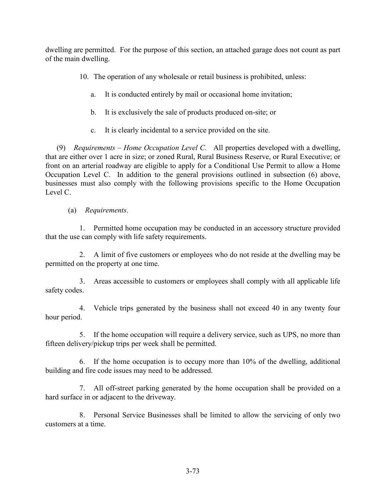dwelling are permitted. For the purpose of this section, an attached garage does not count as part of the main dwelling.

- 10. The operation of any wholesale or retail business is prohibited, unless:
	- a. It is conducted entirely by mail or occasional home invitation;
	- b. It is exclusively the sale of products produced on-site; or
	- c. It is clearly incidental to a service provided on the site.

(9) *Requirements – Home Occupation Level C.* All properties developed with a dwelling, that are either over 1 acre in size; or zoned Rural, Rural Business Reserve, or Rural Executive; or front on an arterial roadway are eligible to apply for a Conditional Use Permit to allow a Home Occupation Level C. In addition to the general provisions outlined in subsection (6) above, businesses must also comply with the following provisions specific to the Home Occupation Level C.

## (a) *Requirements*.

1. Permitted home occupation may be conducted in an accessory structure provided that the use can comply with life safety requirements.

2. A limit of five customers or employees who do not reside at the dwelling may be permitted on the property at one time.

3. Areas accessible to customers or employees shall comply with all applicable life safety codes.

4. Vehicle trips generated by the business shall not exceed 40 in any twenty four hour period.

5. If the home occupation will require a delivery service, such as UPS, no more than fifteen delivery/pickup trips per week shall be permitted.

6. If the home occupation is to occupy more than 10% of the dwelling, additional building and fire code issues may need to be addressed.

7. All off-street parking generated by the home occupation shall be provided on a hard surface in or adjacent to the driveway.

8. Personal Service Businesses shall be limited to allow the servicing of only two customers at a time.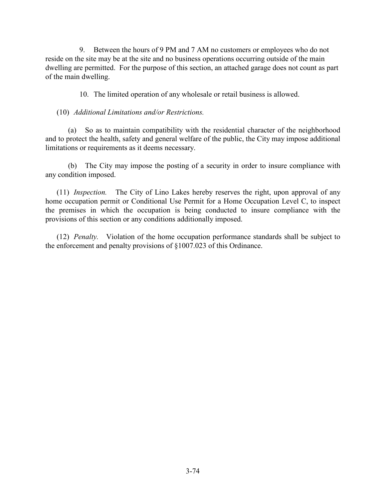9. Between the hours of 9 PM and 7 AM no customers or employees who do not reside on the site may be at the site and no business operations occurring outside of the main dwelling are permitted. For the purpose of this section, an attached garage does not count as part of the main dwelling.

10. The limited operation of any wholesale or retail business is allowed.

## (10) *Additional Limitations and/or Restrictions.*

(a) So as to maintain compatibility with the residential character of the neighborhood and to protect the health, safety and general welfare of the public, the City may impose additional limitations or requirements as it deems necessary.

(b) The City may impose the posting of a security in order to insure compliance with any condition imposed.

(11) *Inspection.* The City of Lino Lakes hereby reserves the right, upon approval of any home occupation permit or Conditional Use Permit for a Home Occupation Level C, to inspect the premises in which the occupation is being conducted to insure compliance with the provisions of this section or any conditions additionally imposed.

(12) *Penalty.* Violation of the home occupation performance standards shall be subject to the enforcement and penalty provisions of §1007.023 of this Ordinance.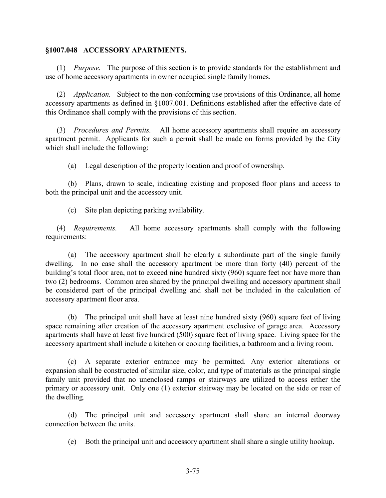### **§1007.048 ACCESSORY APARTMENTS.**

(1) *Purpose.* The purpose of this section is to provide standards for the establishment and use of home accessory apartments in owner occupied single family homes.

(2) *Application.* Subject to the non-conforming use provisions of this Ordinance, all home accessory apartments as defined in §1007.001. Definitions established after the effective date of this Ordinance shall comply with the provisions of this section.

(3) *Procedures and Permits.* All home accessory apartments shall require an accessory apartment permit. Applicants for such a permit shall be made on forms provided by the City which shall include the following:

(a) Legal description of the property location and proof of ownership.

(b) Plans, drawn to scale, indicating existing and proposed floor plans and access to both the principal unit and the accessory unit.

(c) Site plan depicting parking availability.

(4) *Requirements.* All home accessory apartments shall comply with the following requirements:

(a) The accessory apartment shall be clearly a subordinate part of the single family dwelling. In no case shall the accessory apartment be more than forty (40) percent of the building's total floor area, not to exceed nine hundred sixty (960) square feet nor have more than two (2) bedrooms. Common area shared by the principal dwelling and accessory apartment shall be considered part of the principal dwelling and shall not be included in the calculation of accessory apartment floor area.

(b) The principal unit shall have at least nine hundred sixty (960) square feet of living space remaining after creation of the accessory apartment exclusive of garage area. Accessory apartments shall have at least five hundred (500) square feet of living space. Living space for the accessory apartment shall include a kitchen or cooking facilities, a bathroom and a living room.

(c) A separate exterior entrance may be permitted. Any exterior alterations or expansion shall be constructed of similar size, color, and type of materials as the principal single family unit provided that no unenclosed ramps or stairways are utilized to access either the primary or accessory unit. Only one (1) exterior stairway may be located on the side or rear of the dwelling.

(d) The principal unit and accessory apartment shall share an internal doorway connection between the units.

(e) Both the principal unit and accessory apartment shall share a single utility hookup.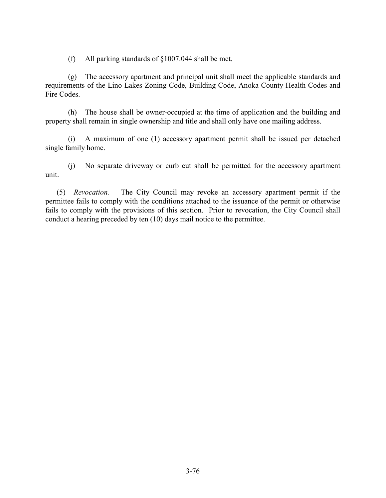(f) All parking standards of §1007.044 shall be met.

(g) The accessory apartment and principal unit shall meet the applicable standards and requirements of the Lino Lakes Zoning Code, Building Code, Anoka County Health Codes and Fire Codes.

(h) The house shall be owner-occupied at the time of application and the building and property shall remain in single ownership and title and shall only have one mailing address.

(i) A maximum of one (1) accessory apartment permit shall be issued per detached single family home.

(j) No separate driveway or curb cut shall be permitted for the accessory apartment unit.

(5) *Revocation.* The City Council may revoke an accessory apartment permit if the permittee fails to comply with the conditions attached to the issuance of the permit or otherwise fails to comply with the provisions of this section. Prior to revocation, the City Council shall conduct a hearing preceded by ten (10) days mail notice to the permittee.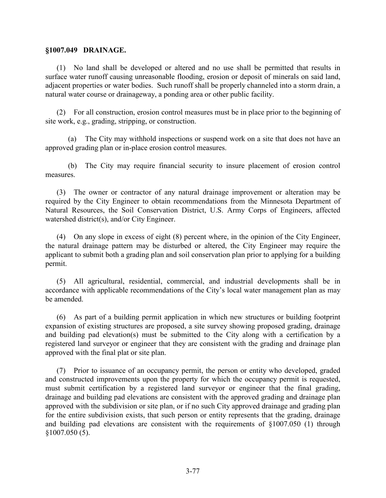#### **§1007.049 DRAINAGE.**

(1) No land shall be developed or altered and no use shall be permitted that results in surface water runoff causing unreasonable flooding, erosion or deposit of minerals on said land, adjacent properties or water bodies. Such runoff shall be properly channeled into a storm drain, a natural water course or drainageway, a ponding area or other public facility.

(2) For all construction, erosion control measures must be in place prior to the beginning of site work, e.g., grading, stripping, or construction.

(a) The City may withhold inspections or suspend work on a site that does not have an approved grading plan or in-place erosion control measures.

(b) The City may require financial security to insure placement of erosion control measures.

(3) The owner or contractor of any natural drainage improvement or alteration may be required by the City Engineer to obtain recommendations from the Minnesota Department of Natural Resources, the Soil Conservation District, U.S. Army Corps of Engineers, affected watershed district(s), and/or City Engineer.

(4) On any slope in excess of eight (8) percent where, in the opinion of the City Engineer, the natural drainage pattern may be disturbed or altered, the City Engineer may require the applicant to submit both a grading plan and soil conservation plan prior to applying for a building permit.

(5) All agricultural, residential, commercial, and industrial developments shall be in accordance with applicable recommendations of the City's local water management plan as may be amended.

(6) As part of a building permit application in which new structures or building footprint expansion of existing structures are proposed, a site survey showing proposed grading, drainage and building pad elevation(s) must be submitted to the City along with a certification by a registered land surveyor or engineer that they are consistent with the grading and drainage plan approved with the final plat or site plan.

(7) Prior to issuance of an occupancy permit, the person or entity who developed, graded and constructed improvements upon the property for which the occupancy permit is requested, must submit certification by a registered land surveyor or engineer that the final grading, drainage and building pad elevations are consistent with the approved grading and drainage plan approved with the subdivision or site plan, or if no such City approved drainage and grading plan for the entire subdivision exists, that such person or entity represents that the grading, drainage and building pad elevations are consistent with the requirements of §1007.050 (1) through §1007.050 (5).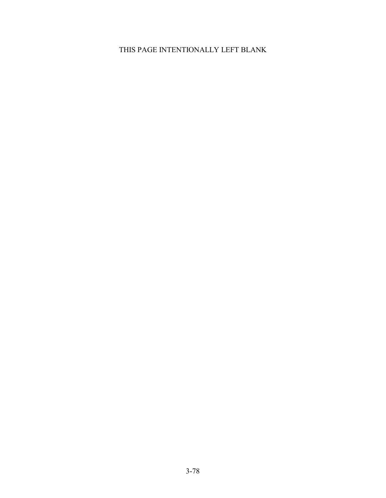# THIS PAGE INTENTIONALLY LEFT BLANK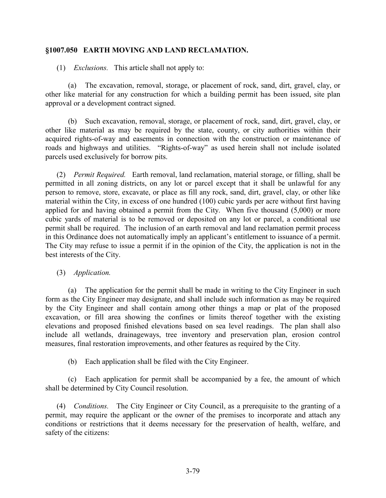### **§1007.050 EARTH MOVING AND LAND RECLAMATION.**

(1) *Exclusions.* This article shall not apply to:

(a) The excavation, removal, storage, or placement of rock, sand, dirt, gravel, clay, or other like material for any construction for which a building permit has been issued, site plan approval or a development contract signed.

(b) Such excavation, removal, storage, or placement of rock, sand, dirt, gravel, clay, or other like material as may be required by the state, county, or city authorities within their acquired rights-of-way and easements in connection with the construction or maintenance of roads and highways and utilities. "Rights-of-way" as used herein shall not include isolated parcels used exclusively for borrow pits.

(2) *Permit Required.* Earth removal, land reclamation, material storage, or filling, shall be permitted in all zoning districts, on any lot or parcel except that it shall be unlawful for any person to remove, store, excavate, or place as fill any rock, sand, dirt, gravel, clay, or other like material within the City, in excess of one hundred (100) cubic yards per acre without first having applied for and having obtained a permit from the City. When five thousand (5,000) or more cubic yards of material is to be removed or deposited on any lot or parcel, a conditional use permit shall be required. The inclusion of an earth removal and land reclamation permit process in this Ordinance does not automatically imply an applicant's entitlement to issuance of a permit. The City may refuse to issue a permit if in the opinion of the City, the application is not in the best interests of the City.

### (3) *Application.*

(a) The application for the permit shall be made in writing to the City Engineer in such form as the City Engineer may designate, and shall include such information as may be required by the City Engineer and shall contain among other things a map or plat of the proposed excavation, or fill area showing the confines or limits thereof together with the existing elevations and proposed finished elevations based on sea level readings. The plan shall also include all wetlands, drainageways, tree inventory and preservation plan, erosion control measures, final restoration improvements, and other features as required by the City.

(b) Each application shall be filed with the City Engineer.

(c) Each application for permit shall be accompanied by a fee, the amount of which shall be determined by City Council resolution.

(4) *Conditions.* The City Engineer or City Council, as a prerequisite to the granting of a permit, may require the applicant or the owner of the premises to incorporate and attach any conditions or restrictions that it deems necessary for the preservation of health, welfare, and safety of the citizens: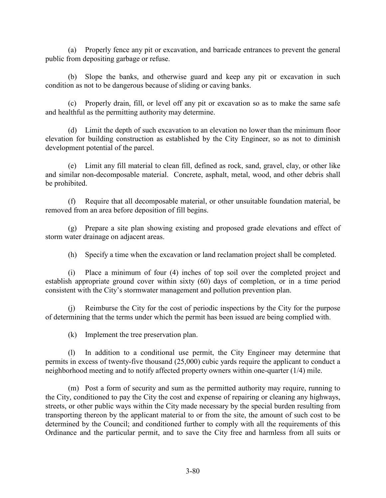(a) Properly fence any pit or excavation, and barricade entrances to prevent the general public from depositing garbage or refuse.

(b) Slope the banks, and otherwise guard and keep any pit or excavation in such condition as not to be dangerous because of sliding or caving banks.

(c) Properly drain, fill, or level off any pit or excavation so as to make the same safe and healthful as the permitting authority may determine.

(d) Limit the depth of such excavation to an elevation no lower than the minimum floor elevation for building construction as established by the City Engineer, so as not to diminish development potential of the parcel.

(e) Limit any fill material to clean fill, defined as rock, sand, gravel, clay, or other like and similar non-decomposable material. Concrete, asphalt, metal, wood, and other debris shall be prohibited.

(f) Require that all decomposable material, or other unsuitable foundation material, be removed from an area before deposition of fill begins.

(g) Prepare a site plan showing existing and proposed grade elevations and effect of storm water drainage on adjacent areas.

(h) Specify a time when the excavation or land reclamation project shall be completed.

(i) Place a minimum of four (4) inches of top soil over the completed project and establish appropriate ground cover within sixty (60) days of completion, or in a time period consistent with the City's stormwater management and pollution prevention plan.

(j) Reimburse the City for the cost of periodic inspections by the City for the purpose of determining that the terms under which the permit has been issued are being complied with.

(k) Implement the tree preservation plan.

(l) In addition to a conditional use permit, the City Engineer may determine that permits in excess of twenty-five thousand (25,000) cubic yards require the applicant to conduct a neighborhood meeting and to notify affected property owners within one-quarter (1/4) mile.

(m) Post a form of security and sum as the permitted authority may require, running to the City, conditioned to pay the City the cost and expense of repairing or cleaning any highways, streets, or other public ways within the City made necessary by the special burden resulting from transporting thereon by the applicant material to or from the site, the amount of such cost to be determined by the Council; and conditioned further to comply with all the requirements of this Ordinance and the particular permit, and to save the City free and harmless from all suits or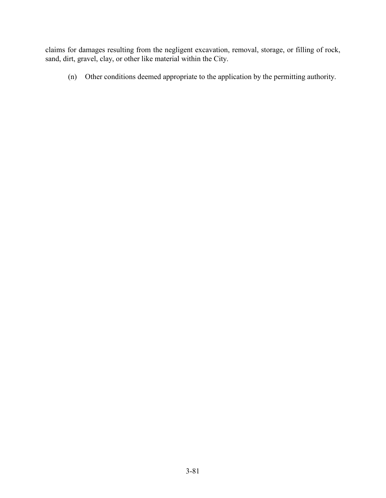claims for damages resulting from the negligent excavation, removal, storage, or filling of rock, sand, dirt, gravel, clay, or other like material within the City.

(n) Other conditions deemed appropriate to the application by the permitting authority.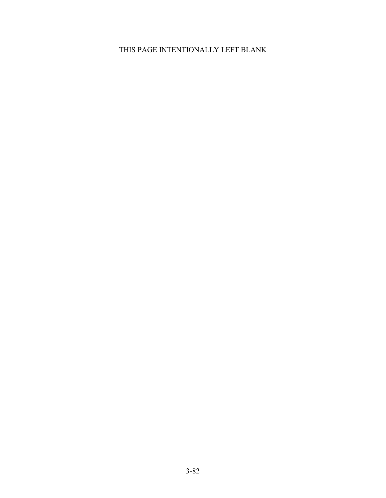## THIS PAGE INTENTIONALLY LEFT BLANK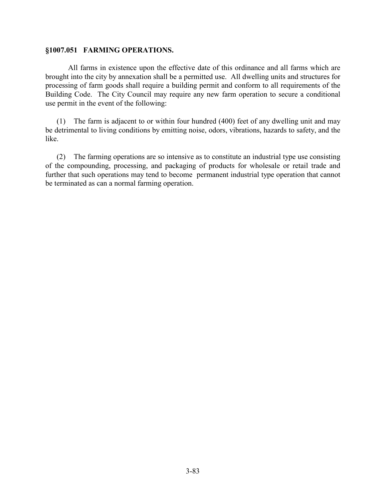### **§1007.051 FARMING OPERATIONS.**

All farms in existence upon the effective date of this ordinance and all farms which are brought into the city by annexation shall be a permitted use. All dwelling units and structures for processing of farm goods shall require a building permit and conform to all requirements of the Building Code. The City Council may require any new farm operation to secure a conditional use permit in the event of the following:

(1) The farm is adjacent to or within four hundred (400) feet of any dwelling unit and may be detrimental to living conditions by emitting noise, odors, vibrations, hazards to safety, and the like.

(2) The farming operations are so intensive as to constitute an industrial type use consisting of the compounding, processing, and packaging of products for wholesale or retail trade and further that such operations may tend to become permanent industrial type operation that cannot be terminated as can a normal farming operation.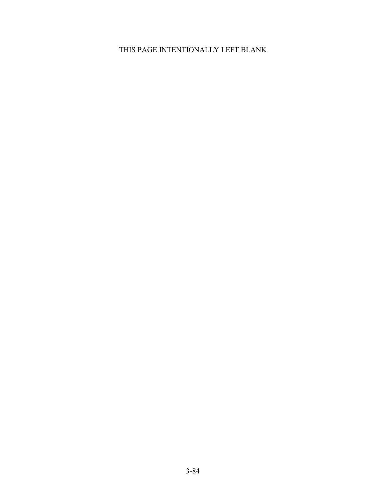# THIS PAGE INTENTIONALLY LEFT BLANK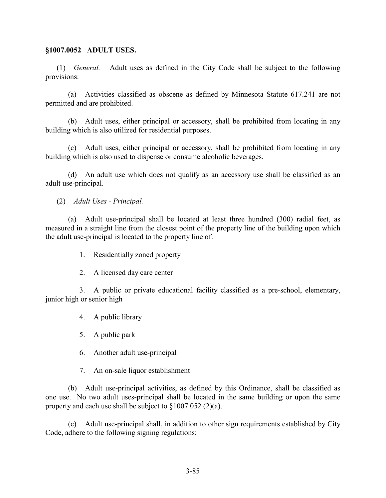### **§1007.0052 ADULT USES.**

(1) *General.* Adult uses as defined in the City Code shall be subject to the following provisions:

(a) Activities classified as obscene as defined by Minnesota Statute 617.241 are not permitted and are prohibited.

(b) Adult uses, either principal or accessory, shall be prohibited from locating in any building which is also utilized for residential purposes.

(c) Adult uses, either principal or accessory, shall be prohibited from locating in any building which is also used to dispense or consume alcoholic beverages.

(d) An adult use which does not qualify as an accessory use shall be classified as an adult use-principal.

(2) *Adult Uses - Principal.*

(a) Adult use-principal shall be located at least three hundred (300) radial feet, as measured in a straight line from the closest point of the property line of the building upon which the adult use-principal is located to the property line of:

- 1. Residentially zoned property
- 2. A licensed day care center

3. A public or private educational facility classified as a pre-school, elementary, junior high or senior high

- 4. A public library
- 5. A public park
- 6. Another adult use-principal
- 7. An on-sale liquor establishment

(b) Adult use-principal activities, as defined by this Ordinance, shall be classified as one use. No two adult uses-principal shall be located in the same building or upon the same property and each use shall be subject to §1007.052 (2)(a).

(c) Adult use-principal shall, in addition to other sign requirements established by City Code, adhere to the following signing regulations: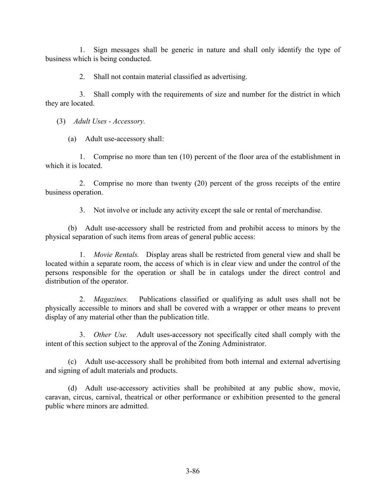1. Sign messages shall be generic in nature and shall only identify the type of business which is being conducted.

2. Shall not contain material classified as advertising.

3. Shall comply with the requirements of size and number for the district in which they are located.

(3) *Adult Uses - Accessory.*

(a) Adult use-accessory shall:

1. Comprise no more than ten (10) percent of the floor area of the establishment in which it is located.

2. Comprise no more than twenty (20) percent of the gross receipts of the entire business operation.

3. Not involve or include any activity except the sale or rental of merchandise.

(b) Adult use-accessory shall be restricted from and prohibit access to minors by the physical separation of such items from areas of general public access:

1. *Movie Rentals.* Display areas shall be restricted from general view and shall be located within a separate room, the access of which is in clear view and under the control of the persons responsible for the operation or shall be in catalogs under the direct control and distribution of the operator.

2. *Magazines.* Publications classified or qualifying as adult uses shall not be physically accessible to minors and shall be covered with a wrapper or other means to prevent display of any material other than the publication title.

3. *Other Use.* Adult uses-accessory not specifically cited shall comply with the intent of this section subject to the approval of the Zoning Administrator.

(c) Adult use-accessory shall be prohibited from both internal and external advertising and signing of adult materials and products.

(d) Adult use-accessory activities shall be prohibited at any public show, movie, caravan, circus, carnival, theatrical or other performance or exhibition presented to the general public where minors are admitted.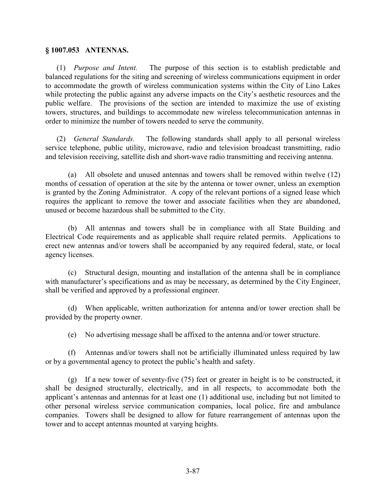#### **§ 1007.053 ANTENNAS.**

(1) *Purpose and Intent.* The purpose of this section is to establish predictable and balanced regulations for the siting and screening of wireless communications equipment in order to accommodate the growth of wireless communication systems within the City of Lino Lakes while protecting the public against any adverse impacts on the City's aesthetic resources and the public welfare. The provisions of the section are intended to maximize the use of existing towers, structures, and buildings to accommodate new wireless telecommunication antennas in order to minimize the number of towers needed to serve the community.

(2) *General Standards.* The following standards shall apply to all personal wireless service telephone, public utility, microwave, radio and television broadcast transmitting, radio and television receiving, satellite dish and short-wave radio transmitting and receiving antenna.

(a) All obsolete and unused antennas and towers shall be removed within twelve (12) months of cessation of operation at the site by the antenna or tower owner, unless an exemption is granted by the Zoning Administrator. A copy of the relevant portions of a signed lease which requires the applicant to remove the tower and associate facilities when they are abandoned, unused or become hazardous shall be submitted to the City.

(b) All antennas and towers shall be in compliance with all State Building and Electrical Code requirements and as applicable shall require related permits. Applications to erect new antennas and/or towers shall be accompanied by any required federal, state, or local agency licenses.

(c) Structural design, mounting and installation of the antenna shall be in compliance with manufacturer's specifications and as may be necessary, as determined by the City Engineer, shall be verified and approved by a professional engineer.

(d) When applicable, written authorization for antenna and/or tower erection shall be provided by the property owner.

(e) No advertising message shall be affixed to the antenna and/or tower structure.

(f) Antennas and/or towers shall not be artificially illuminated unless required by law or by a governmental agency to protect the public's health and safety.

(g) If a new tower of seventy-five (75) feet or greater in height is to be constructed, it shall be designed structurally, electrically, and in all respects, to accommodate both the applicant's antennas and antennas for at least one (1) additional use, including but not limited to other personal wireless service communication companies, local police, fire and ambulance companies. Towers shall be designed to allow for future rearrangement of antennas upon the tower and to accept antennas mounted at varying heights.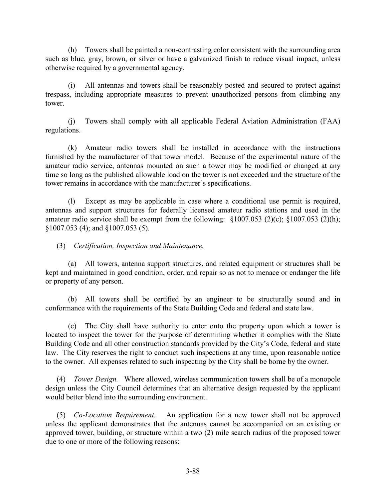(h) Towers shall be painted a non-contrasting color consistent with the surrounding area such as blue, gray, brown, or silver or have a galvanized finish to reduce visual impact, unless otherwise required by a governmental agency.

(i) All antennas and towers shall be reasonably posted and secured to protect against trespass, including appropriate measures to prevent unauthorized persons from climbing any tower.

(j) Towers shall comply with all applicable Federal Aviation Administration (FAA) regulations.

(k) Amateur radio towers shall be installed in accordance with the instructions furnished by the manufacturer of that tower model. Because of the experimental nature of the amateur radio service, antennas mounted on such a tower may be modified or changed at any time so long as the published allowable load on the tower is not exceeded and the structure of the tower remains in accordance with the manufacturer's specifications.

(l) Except as may be applicable in case where a conditional use permit is required, antennas and support structures for federally licensed amateur radio stations and used in the amateur radio service shall be exempt from the following: §1007.053 (2)(c); §1007.053 (2)(h); §1007.053 (4); and §1007.053 (5).

## (3) *Certification, Inspection and Maintenance.*

(a) All towers, antenna support structures, and related equipment or structures shall be kept and maintained in good condition, order, and repair so as not to menace or endanger the life or property of any person.

(b) All towers shall be certified by an engineer to be structurally sound and in conformance with the requirements of the State Building Code and federal and state law.

(c) The City shall have authority to enter onto the property upon which a tower is located to inspect the tower for the purpose of determining whether it complies with the State Building Code and all other construction standards provided by the City's Code, federal and state law. The City reserves the right to conduct such inspections at any time, upon reasonable notice to the owner. All expenses related to such inspecting by the City shall be borne by the owner.

(4) *Tower Design.* Where allowed, wireless communication towers shall be of a monopole design unless the City Council determines that an alternative design requested by the applicant would better blend into the surrounding environment.

(5) *Co-Location Requirement.* An application for a new tower shall not be approved unless the applicant demonstrates that the antennas cannot be accompanied on an existing or approved tower, building, or structure within a two (2) mile search radius of the proposed tower due to one or more of the following reasons: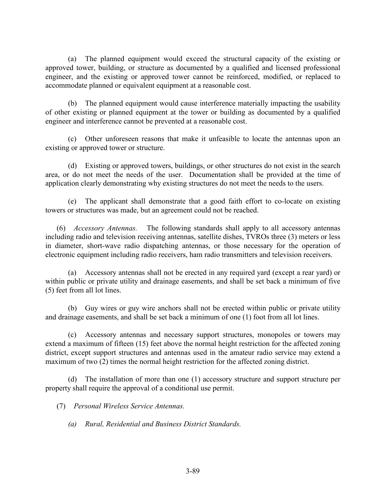(a) The planned equipment would exceed the structural capacity of the existing or approved tower, building, or structure as documented by a qualified and licensed professional engineer, and the existing or approved tower cannot be reinforced, modified, or replaced to accommodate planned or equivalent equipment at a reasonable cost.

(b) The planned equipment would cause interference materially impacting the usability of other existing or planned equipment at the tower or building as documented by a qualified engineer and interference cannot be prevented at a reasonable cost.

(c) Other unforeseen reasons that make it unfeasible to locate the antennas upon an existing or approved tower or structure.

(d) Existing or approved towers, buildings, or other structures do not exist in the search area, or do not meet the needs of the user. Documentation shall be provided at the time of application clearly demonstrating why existing structures do not meet the needs to the users.

(e) The applicant shall demonstrate that a good faith effort to co-locate on existing towers or structures was made, but an agreement could not be reached.

(6) *Accessory Antennas.* The following standards shall apply to all accessory antennas including radio and television receiving antennas, satellite dishes, TVROs three (3) meters or less in diameter, short-wave radio dispatching antennas, or those necessary for the operation of electronic equipment including radio receivers, ham radio transmitters and television receivers.

(a) Accessory antennas shall not be erected in any required yard (except a rear yard) or within public or private utility and drainage easements, and shall be set back a minimum of five (5) feet from all lot lines.

(b) Guy wires or guy wire anchors shall not be erected within public or private utility and drainage easements, and shall be set back a minimum of one (1) foot from all lot lines.

(c) Accessory antennas and necessary support structures, monopoles or towers may extend a maximum of fifteen (15) feet above the normal height restriction for the affected zoning district, except support structures and antennas used in the amateur radio service may extend a maximum of two (2) times the normal height restriction for the affected zoning district.

(d) The installation of more than one (1) accessory structure and support structure per property shall require the approval of a conditional use permit.

(7) *Personal Wireless Service Antennas.*

*(a) Rural, Residential and Business District Standards.*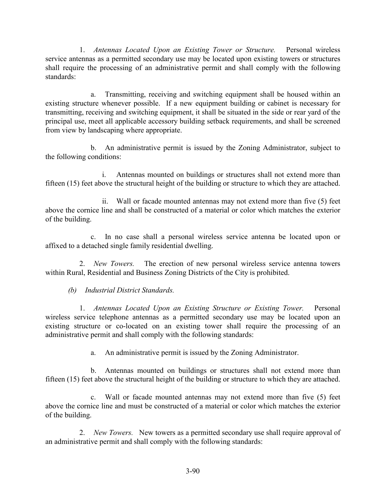1. *Antennas Located Upon an Existing Tower or Structure.* Personal wireless service antennas as a permitted secondary use may be located upon existing towers or structures shall require the processing of an administrative permit and shall comply with the following standards:

a. Transmitting, receiving and switching equipment shall be housed within an existing structure whenever possible. If a new equipment building or cabinet is necessary for transmitting, receiving and switching equipment, it shall be situated in the side or rear yard of the principal use, meet all applicable accessory building setback requirements, and shall be screened from view by landscaping where appropriate.

b. An administrative permit is issued by the Zoning Administrator, subject to the following conditions:

i. Antennas mounted on buildings or structures shall not extend more than fifteen (15) feet above the structural height of the building or structure to which they are attached.

ii. Wall or facade mounted antennas may not extend more than five (5) feet above the cornice line and shall be constructed of a material or color which matches the exterior of the building.

c. In no case shall a personal wireless service antenna be located upon or affixed to a detached single family residential dwelling.

2. *New Towers.* The erection of new personal wireless service antenna towers within Rural, Residential and Business Zoning Districts of the City is prohibited.

*(b) Industrial District Standards.*

1. *Antennas Located Upon an Existing Structure or Existing Tower.* Personal wireless service telephone antennas as a permitted secondary use may be located upon an existing structure or co-located on an existing tower shall require the processing of an administrative permit and shall comply with the following standards:

a. An administrative permit is issued by the Zoning Administrator.

b. Antennas mounted on buildings or structures shall not extend more than fifteen (15) feet above the structural height of the building or structure to which they are attached.

c. Wall or facade mounted antennas may not extend more than five (5) feet above the cornice line and must be constructed of a material or color which matches the exterior of the building.

2. *New Towers.* New towers as a permitted secondary use shall require approval of an administrative permit and shall comply with the following standards: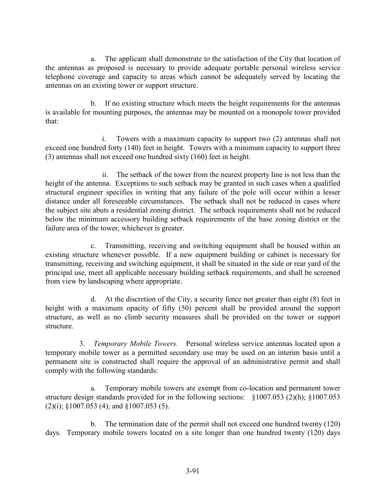a. The applicant shall demonstrate to the satisfaction of the City that location of the antennas as proposed is necessary to provide adequate portable personal wireless service telephone coverage and capacity to areas which cannot be adequately served by locating the antennas on an existing tower or support structure.

b. If no existing structure which meets the height requirements for the antennas is available for mounting purposes, the antennas may be mounted on a monopole tower provided that:

i. Towers with a maximum capacity to support two (2) antennas shall not exceed one hundred forty (140) feet in height. Towers with a minimum capacity to support three (3) antennas shall not exceed one hundred sixty (160) feet in height.

ii. The setback of the tower from the nearest property line is not less than the height of the antenna. Exceptions to such setback may be granted in such cases when a qualified structural engineer specifies in writing that any failure of the pole will occur within a lesser distance under all foreseeable circumstances. The setback shall not be reduced in cases where the subject site abuts a residential zoning district. The setback requirements shall not be reduced below the minimum accessory building setback requirements of the base zoning district or the failure area of the tower, whichever is greater.

c. Transmitting, receiving and switching equipment shall be housed within an existing structure whenever possible. If a new equipment building or cabinet is necessary for transmitting, receiving and switching equipment, it shall be situated in the side or rear yard of the principal use, meet all applicable necessary building setback requirements, and shall be screened from view by landscaping where appropriate.

d. At the discretion of the City, a security fence not greater than eight (8) feet in height with a maximum opacity of fifty (50) percent shall be provided around the support structure, as well as no climb security measures shall be provided on the tower or support structure.

3. *Temporary Mobile Towers.* Personal wireless service antennas located upon a temporary mobile tower as a permitted secondary use may be used on an interim basis until a permanent site is constructed shall require the approval of an administrative permit and shall comply with the following standards:

a. Temporary mobile towers are exempt from co-location and permanent tower structure design standards provided for in the following sections: §1007.053 (2)(h); §1007.053  $(2)(i)$ ; §1007.053 (4); and §1007.053 (5).

b. The termination date of the permit shall not exceed one hundred twenty (120) days. Temporary mobile towers located on a site longer than one hundred twenty (120) days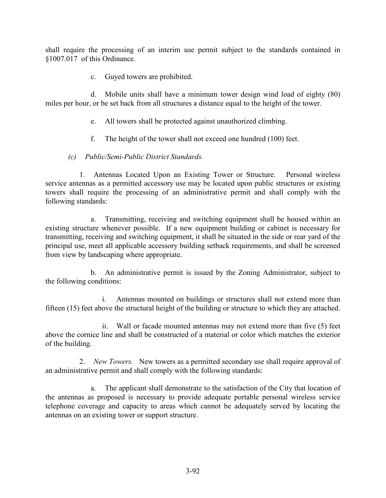shall require the processing of an interim use permit subject to the standards contained in §1007.017 of this Ordinance.

c. Guyed towers are prohibited.

d. Mobile units shall have a minimum tower design wind load of eighty (80) miles per hour, or be set back from all structures a distance equal to the height of the tower.

- e. All towers shall be protected against unauthorized climbing.
- f. The height of the tower shall not exceed one hundred (100) feet.
- *(c) Public/Semi-Public District Standards.*

1. Antennas Located Upon an Existing Tower or Structure. Personal wireless service antennas as a permitted accessory use may be located upon public structures or existing towers shall require the processing of an administrative permit and shall comply with the following standards:

a. Transmitting, receiving and switching equipment shall be housed within an existing structure whenever possible. If a new equipment building or cabinet is necessary for transmitting, receiving and switching equipment, it shall be situated in the side or rear yard of the principal use, meet all applicable accessory building setback requirements, and shall be screened from view by landscaping where appropriate.

b. An administrative permit is issued by the Zoning Administrator, subject to the following conditions:

i. Antennas mounted on buildings or structures shall not extend more than fifteen (15) feet above the structural height of the building or structure to which they are attached.

ii. Wall or facade mounted antennas may not extend more than five (5) feet above the cornice line and shall be constructed of a material or color which matches the exterior of the building.

2. *New Towers.* New towers as a permitted secondary use shall require approval of an administrative permit and shall comply with the following standards:

a. The applicant shall demonstrate to the satisfaction of the City that location of the antennas as proposed is necessary to provide adequate portable personal wireless service telephone coverage and capacity to areas which cannot be adequately served by locating the antennas on an existing tower or support structure.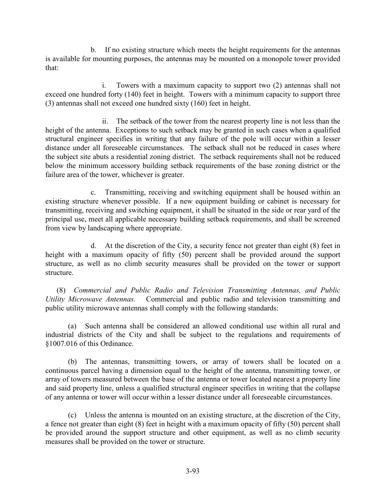b. If no existing structure which meets the height requirements for the antennas is available for mounting purposes, the antennas may be mounted on a monopole tower provided that:

i. Towers with a maximum capacity to support two (2) antennas shall not exceed one hundred forty (140) feet in height. Towers with a minimum capacity to support three (3) antennas shall not exceed one hundred sixty (160) feet in height.

ii. The setback of the tower from the nearest property line is not less than the height of the antenna. Exceptions to such setback may be granted in such cases when a qualified structural engineer specifies in writing that any failure of the pole will occur within a lesser distance under all foreseeable circumstances. The setback shall not be reduced in cases where the subject site abuts a residential zoning district. The setback requirements shall not be reduced below the minimum accessory building setback requirements of the base zoning district or the failure area of the tower, whichever is greater.

c. Transmitting, receiving and switching equipment shall be housed within an existing structure whenever possible. If a new equipment building or cabinet is necessary for transmitting, receiving and switching equipment, it shall be situated in the side or rear yard of the principal use, meet all applicable necessary building setback requirements, and shall be screened from view by landscaping where appropriate.

d. At the discretion of the City, a security fence not greater than eight (8) feet in height with a maximum opacity of fifty (50) percent shall be provided around the support structure, as well as no climb security measures shall be provided on the tower or support structure.

(8) *Commercial and Public Radio and Television Transmitting Antennas, and Public Utility Microwave Antennas.* Commercial and public radio and television transmitting and public utility microwave antennas shall comply with the following standards:

(a) Such antenna shall be considered an allowed conditional use within all rural and industrial districts of the City and shall be subject to the regulations and requirements of §1007.016 of this Ordinance.

(b) The antennas, transmitting towers, or array of towers shall be located on a continuous parcel having a dimension equal to the height of the antenna, transmitting tower, or array of towers measured between the base of the antenna or tower located nearest a property line and said property line, unless a qualified structural engineer specifies in writing that the collapse of any antenna or tower will occur within a lesser distance under all foreseeable circumstances.

(c) Unless the antenna is mounted on an existing structure, at the discretion of the City, a fence not greater than eight (8) feet in height with a maximum opacity of fifty (50) percent shall be provided around the support structure and other equipment, as well as no climb security measures shall be provided on the tower or structure.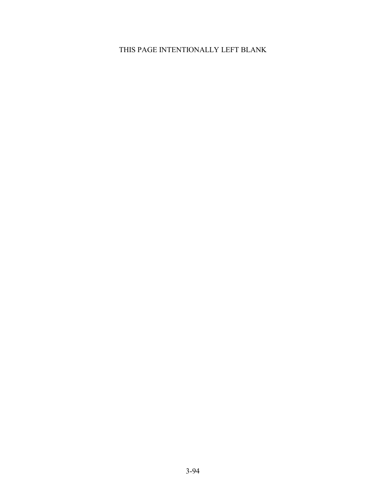# THIS PAGE INTENTIONALLY LEFT BLANK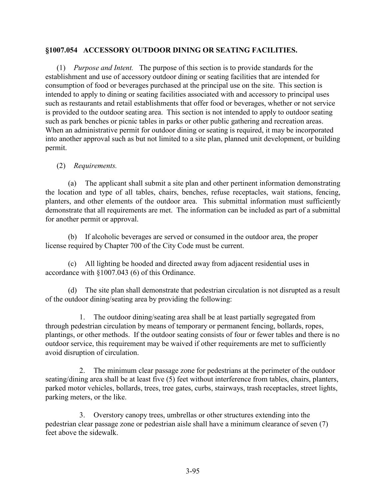## **§1007.054 ACCESSORY OUTDOOR DINING OR SEATING FACILITIES.**

(1) *Purpose and Intent.* The purpose of this section is to provide standards for the establishment and use of accessory outdoor dining or seating facilities that are intended for consumption of food or beverages purchased at the principal use on the site. This section is intended to apply to dining or seating facilities associated with and accessory to principal uses such as restaurants and retail establishments that offer food or beverages, whether or not service is provided to the outdoor seating area. This section is not intended to apply to outdoor seating such as park benches or picnic tables in parks or other public gathering and recreation areas. When an administrative permit for outdoor dining or seating is required, it may be incorporated into another approval such as but not limited to a site plan, planned unit development, or building permit.

## (2) *Requirements.*

(a) The applicant shall submit a site plan and other pertinent information demonstrating the location and type of all tables, chairs, benches, refuse receptacles, wait stations, fencing, planters, and other elements of the outdoor area. This submittal information must sufficiently demonstrate that all requirements are met. The information can be included as part of a submittal for another permit or approval.

(b) If alcoholic beverages are served or consumed in the outdoor area, the proper license required by Chapter 700 of the City Code must be current.

(c) All lighting be hooded and directed away from adjacent residential uses in accordance with §1007.043 (6) of this Ordinance.

(d) The site plan shall demonstrate that pedestrian circulation is not disrupted as a result of the outdoor dining/seating area by providing the following:

1. The outdoor dining/seating area shall be at least partially segregated from through pedestrian circulation by means of temporary or permanent fencing, bollards, ropes, plantings, or other methods. If the outdoor seating consists of four or fewer tables and there is no outdoor service, this requirement may be waived if other requirements are met to sufficiently avoid disruption of circulation.

2. The minimum clear passage zone for pedestrians at the perimeter of the outdoor seating/dining area shall be at least five (5) feet without interference from tables, chairs, planters, parked motor vehicles, bollards, trees, tree gates, curbs, stairways, trash receptacles, street lights, parking meters, or the like.

3. Overstory canopy trees, umbrellas or other structures extending into the pedestrian clear passage zone or pedestrian aisle shall have a minimum clearance of seven (7) feet above the sidewalk.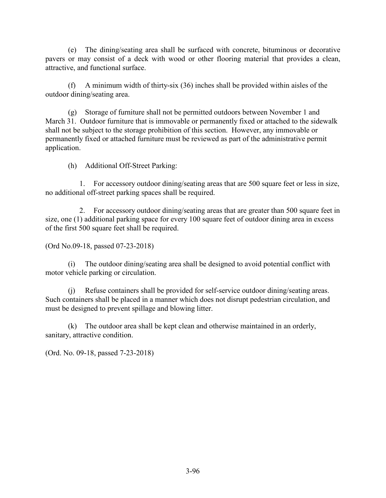(e) The dining/seating area shall be surfaced with concrete, bituminous or decorative pavers or may consist of a deck with wood or other flooring material that provides a clean, attractive, and functional surface.

(f) A minimum width of thirty-six (36) inches shall be provided within aisles of the outdoor dining/seating area.

(g) Storage of furniture shall not be permitted outdoors between November 1 and March 31. Outdoor furniture that is immovable or permanently fixed or attached to the sidewalk shall not be subject to the storage prohibition of this section. However, any immovable or permanently fixed or attached furniture must be reviewed as part of the administrative permit application.

(h) Additional Off-Street Parking:

1. For accessory outdoor dining/seating areas that are 500 square feet or less in size, no additional off-street parking spaces shall be required.

2. For accessory outdoor dining/seating areas that are greater than 500 square feet in size, one (1) additional parking space for every 100 square feet of outdoor dining area in excess of the first 500 square feet shall be required.

(Ord No.09-18, passed 07-23-2018)

(i) The outdoor dining/seating area shall be designed to avoid potential conflict with motor vehicle parking or circulation.

(j) Refuse containers shall be provided for self-service outdoor dining/seating areas. Such containers shall be placed in a manner which does not disrupt pedestrian circulation, and must be designed to prevent spillage and blowing litter.

(k) The outdoor area shall be kept clean and otherwise maintained in an orderly, sanitary, attractive condition.

(Ord. No. 09-18, passed 7-23-2018)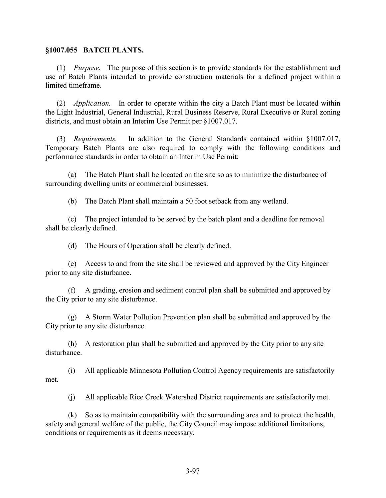#### **§1007.055 BATCH PLANTS.**

(1) *Purpose.* The purpose of this section is to provide standards for the establishment and use of Batch Plants intended to provide construction materials for a defined project within a limited timeframe.

(2) *Application.*In order to operate within the city a Batch Plant must be located within the Light Industrial, General Industrial, Rural Business Reserve, Rural Executive or Rural zoning districts, and must obtain an Interim Use Permit per §1007.017.

(3) *Requirements.* In addition to the General Standards contained within §1007.017, Temporary Batch Plants are also required to comply with the following conditions and performance standards in order to obtain an Interim Use Permit:

(a) The Batch Plant shall be located on the site so as to minimize the disturbance of surrounding dwelling units or commercial businesses.

(b) The Batch Plant shall maintain a 50 foot setback from any wetland.

(c) The project intended to be served by the batch plant and a deadline for removal shall be clearly defined.

(d) The Hours of Operation shall be clearly defined.

(e) Access to and from the site shall be reviewed and approved by the City Engineer prior to any site disturbance.

(f) A grading, erosion and sediment control plan shall be submitted and approved by the City prior to any site disturbance.

(g) A Storm Water Pollution Prevention plan shall be submitted and approved by the City prior to any site disturbance.

(h) A restoration plan shall be submitted and approved by the City prior to any site disturbance.

(i) All applicable Minnesota Pollution Control Agency requirements are satisfactorily met.

(j) All applicable Rice Creek Watershed District requirements are satisfactorily met.

(k) So as to maintain compatibility with the surrounding area and to protect the health, safety and general welfare of the public, the City Council may impose additional limitations, conditions or requirements as it deems necessary.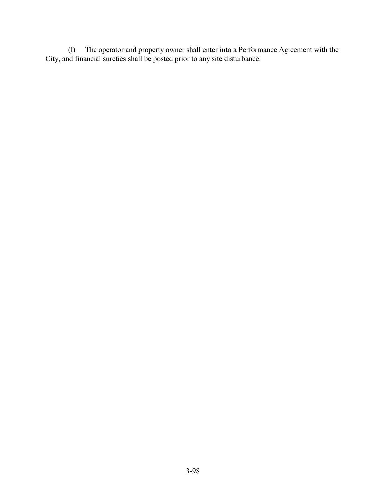(l) The operator and property owner shall enter into a Performance Agreement with the City, and financial sureties shall be posted prior to any site disturbance.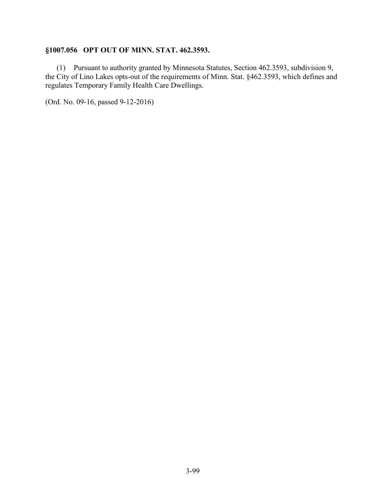## **§1007.056 OPT OUT OF MINN. STAT. 462.3593.**

(1) Pursuant to authority granted by Minnesota Statutes, Section 462.3593, subdivision 9, the City of Lino Lakes opts-out of the requirements of Minn. Stat. §462.3593, which defines and regulates Temporary Family Health Care Dwellings.

(Ord. No. 09-16, passed 9-12-2016)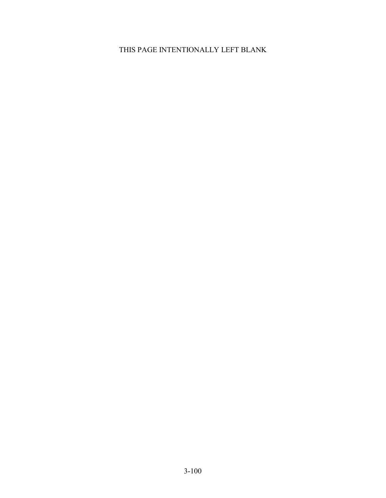# THIS PAGE INTENTIONALLY LEFT BLANK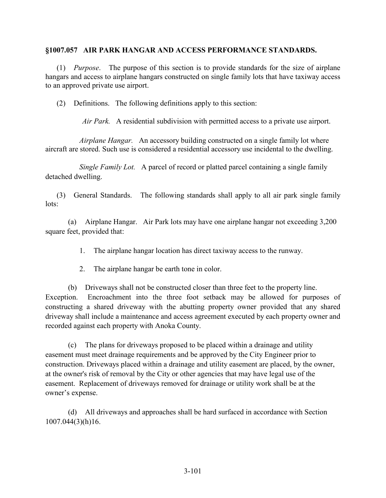### **§1007.057 AIR PARK HANGAR AND ACCESS PERFORMANCE STANDARDS.**

(1) *Purpose*. The purpose of this section is to provide standards for the size of airplane hangars and access to airplane hangars constructed on single family lots that have taxiway access to an approved private use airport.

(2) Definitions. The following definitions apply to this section:

*Air Park.* A residential subdivision with permitted access to a private use airport.

*Airplane Hangar.* An accessory building constructed on a single family lot where aircraft are stored. Such use is considered a residential accessory use incidental to the dwelling.

*Single Family Lot.* A parcel of record or platted parcel containing a single family detached dwelling.

(3) General Standards. The following standards shall apply to all air park single family lots:

(a) Airplane Hangar. Air Park lots may have one airplane hangar not exceeding 3,200 square feet, provided that:

1. The airplane hangar location has direct taxiway access to the runway.

2. The airplane hangar be earth tone in color.

(b) Driveways shall not be constructed closer than three feet to the property line. Exception. Encroachment into the three foot setback may be allowed for purposes of constructing a shared driveway with the abutting property owner provided that any shared driveway shall include a maintenance and access agreement executed by each property owner and recorded against each property with Anoka County.

(c) The plans for driveways proposed to be placed within a drainage and utility easement must meet drainage requirements and be approved by the City Engineer prior to construction. Driveways placed within a drainage and utility easement are placed, by the owner, at the owner's risk of removal by the City or other agencies that may have legal use of the easement. Replacement of driveways removed for drainage or utility work shall be at the owner's expense.

(d) All driveways and approaches shall be hard surfaced in accordance with Section 1007.044(3)(h)16.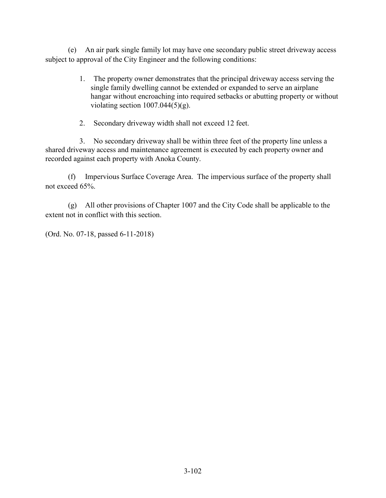(e) An air park single family lot may have one secondary public street driveway access subject to approval of the City Engineer and the following conditions:

- 1. The property owner demonstrates that the principal driveway access serving the single family dwelling cannot be extended or expanded to serve an airplane hangar without encroaching into required setbacks or abutting property or without violating section  $1007.044(5)(g)$ .
- 2. Secondary driveway width shall not exceed 12 feet.

3. No secondary driveway shall be within three feet of the property line unless a shared driveway access and maintenance agreement is executed by each property owner and recorded against each property with Anoka County.

(f) Impervious Surface Coverage Area. The impervious surface of the property shall not exceed 65%.

(g) All other provisions of Chapter 1007 and the City Code shall be applicable to the extent not in conflict with this section.

(Ord. No. 07-18, passed 6-11-2018)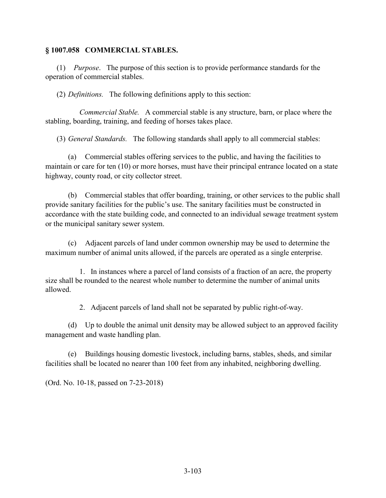### **§ 1007.058 COMMERCIAL STABLES.**

(1) *Purpose*. The purpose of this section is to provide performance standards for the operation of commercial stables.

(2) *Definitions.* The following definitions apply to this section:

*Commercial Stable.* A commercial stable is any structure, barn, or place where the stabling, boarding, training, and feeding of horses takes place.

(3) *General Standards.* The following standards shall apply to all commercial stables:

(a) Commercial stables offering services to the public, and having the facilities to maintain or care for ten (10) or more horses, must have their principal entrance located on a state highway, county road, or city collector street.

(b) Commercial stables that offer boarding, training, or other services to the public shall provide sanitary facilities for the public's use. The sanitary facilities must be constructed in accordance with the state building code, and connected to an individual sewage treatment system or the municipal sanitary sewer system.

(c) Adjacent parcels of land under common ownership may be used to determine the maximum number of animal units allowed, if the parcels are operated as a single enterprise.

1. In instances where a parcel of land consists of a fraction of an acre, the property size shall be rounded to the nearest whole number to determine the number of animal units allowed.

2. Adjacent parcels of land shall not be separated by public right-of-way.

(d) Up to double the animal unit density may be allowed subject to an approved facility management and waste handling plan.

(e) Buildings housing domestic livestock, including barns, stables, sheds, and similar facilities shall be located no nearer than 100 feet from any inhabited, neighboring dwelling.

(Ord. No. 10-18, passed on 7-23-2018)